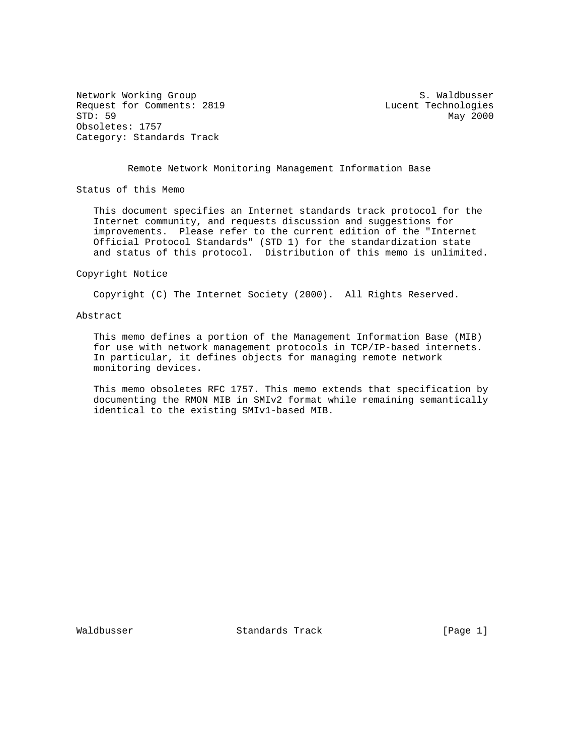Network Working Group S. Waldbusser Request for Comments: 2819<br>
STD: 59 May 2000 Obsoletes: 1757 Category: Standards Track

May 2000

## Remote Network Monitoring Management Information Base

Status of this Memo

 This document specifies an Internet standards track protocol for the Internet community, and requests discussion and suggestions for improvements. Please refer to the current edition of the "Internet Official Protocol Standards" (STD 1) for the standardization state and status of this protocol. Distribution of this memo is unlimited.

#### Copyright Notice

Copyright (C) The Internet Society (2000). All Rights Reserved.

#### Abstract

 This memo defines a portion of the Management Information Base (MIB) for use with network management protocols in TCP/IP-based internets. In particular, it defines objects for managing remote network monitoring devices.

 This memo obsoletes RFC 1757. This memo extends that specification by documenting the RMON MIB in SMIv2 format while remaining semantically identical to the existing SMIv1-based MIB.

Waldbusser Standards Track [Page 1]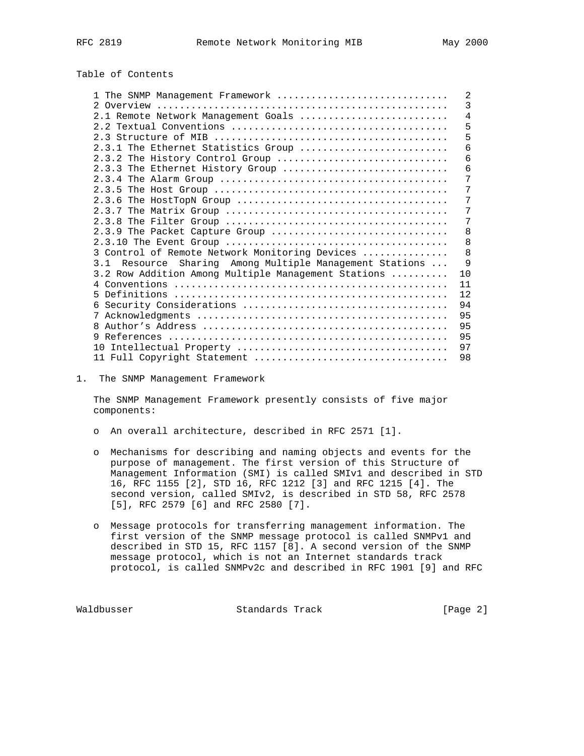# Table of Contents

| 1 The SNMP Management Framework                         | $\overline{2}$ |
|---------------------------------------------------------|----------------|
|                                                         | 3              |
| 2.1 Remote Network Management Goals                     | $\overline{4}$ |
|                                                         | 5              |
|                                                         | 5              |
| 2.3.1 The Ethernet Statistics Group                     | 6              |
| 2.3.2 The History Control Group                         | 6              |
| 2.3.3 The Ethernet History Group                        | 6              |
|                                                         | 7              |
|                                                         | 7              |
|                                                         | 7              |
|                                                         | 7              |
|                                                         | 7              |
| 2.3.9 The Packet Capture Group                          | 8              |
|                                                         | 8              |
| 3 Control of Remote Network Monitoring Devices          | 8              |
| 3.1 Resource Sharing Among Multiple Management Stations | $\mathsf{Q}$   |
| 3.2 Row Addition Among Multiple Management Stations     | 10             |
|                                                         | 11             |
|                                                         | 12             |
|                                                         | 94             |
|                                                         | 95             |
| R                                                       | 95             |
| 9                                                       | 95             |
|                                                         | 97             |
| 11 Full Copyright Statement                             | 98             |

1. The SNMP Management Framework

 The SNMP Management Framework presently consists of five major components:

- o An overall architecture, described in RFC 2571 [1].
- o Mechanisms for describing and naming objects and events for the purpose of management. The first version of this Structure of Management Information (SMI) is called SMIv1 and described in STD 16, RFC 1155 [2], STD 16, RFC 1212 [3] and RFC 1215 [4]. The second version, called SMIv2, is described in STD 58, RFC 2578 [5], RFC 2579 [6] and RFC 2580 [7].
- o Message protocols for transferring management information. The first version of the SNMP message protocol is called SNMPv1 and described in STD 15, RFC 1157 [8]. A second version of the SNMP message protocol, which is not an Internet standards track protocol, is called SNMPv2c and described in RFC 1901 [9] and RFC

Waldbusser Standards Track (Page 2)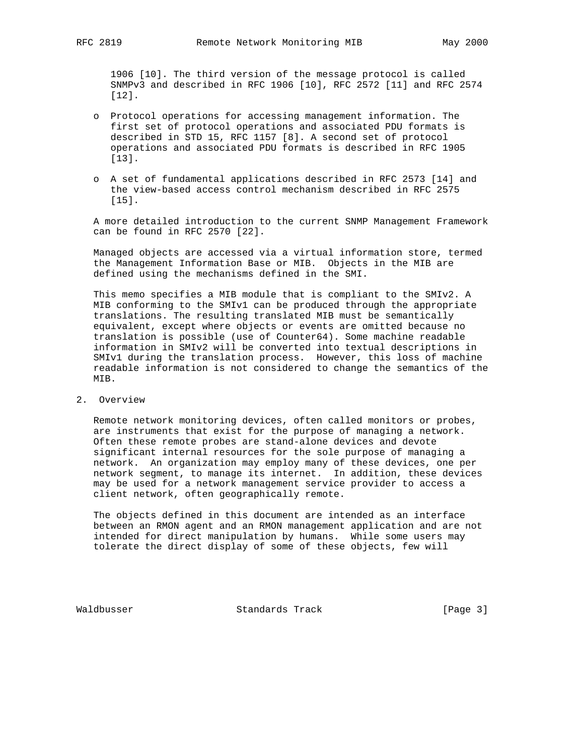1906 [10]. The third version of the message protocol is called SNMPv3 and described in RFC 1906 [10], RFC 2572 [11] and RFC 2574 [12].

- o Protocol operations for accessing management information. The first set of protocol operations and associated PDU formats is described in STD 15, RFC 1157 [8]. A second set of protocol operations and associated PDU formats is described in RFC 1905 [13].
- o A set of fundamental applications described in RFC 2573 [14] and the view-based access control mechanism described in RFC 2575 [15].

 A more detailed introduction to the current SNMP Management Framework can be found in RFC 2570 [22].

 Managed objects are accessed via a virtual information store, termed the Management Information Base or MIB. Objects in the MIB are defined using the mechanisms defined in the SMI.

 This memo specifies a MIB module that is compliant to the SMIv2. A MIB conforming to the SMIv1 can be produced through the appropriate translations. The resulting translated MIB must be semantically equivalent, except where objects or events are omitted because no translation is possible (use of Counter64). Some machine readable information in SMIv2 will be converted into textual descriptions in SMIv1 during the translation process. However, this loss of machine readable information is not considered to change the semantics of the MIB.

2. Overview

 Remote network monitoring devices, often called monitors or probes, are instruments that exist for the purpose of managing a network. Often these remote probes are stand-alone devices and devote significant internal resources for the sole purpose of managing a network. An organization may employ many of these devices, one per network segment, to manage its internet. In addition, these devices may be used for a network management service provider to access a client network, often geographically remote.

 The objects defined in this document are intended as an interface between an RMON agent and an RMON management application and are not intended for direct manipulation by humans. While some users may tolerate the direct display of some of these objects, few will

Waldbusser Standards Track [Page 3]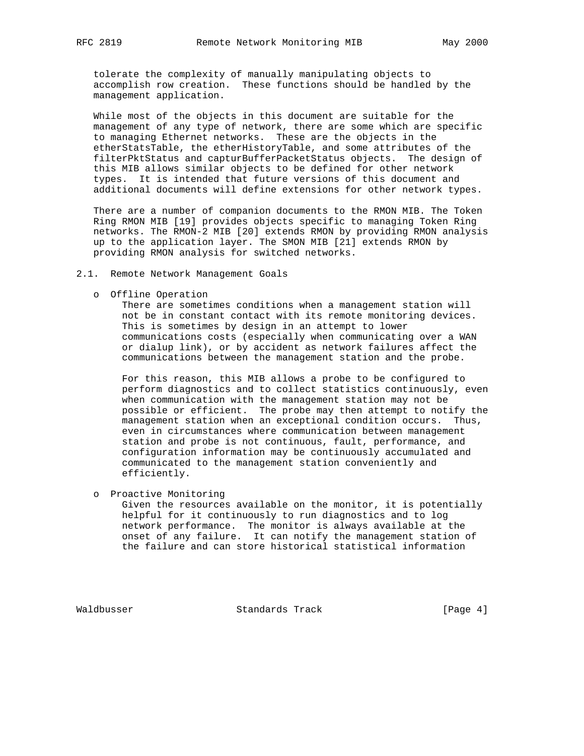tolerate the complexity of manually manipulating objects to accomplish row creation. These functions should be handled by the management application.

 While most of the objects in this document are suitable for the management of any type of network, there are some which are specific to managing Ethernet networks. These are the objects in the etherStatsTable, the etherHistoryTable, and some attributes of the filterPktStatus and capturBufferPacketStatus objects. The design of this MIB allows similar objects to be defined for other network types. It is intended that future versions of this document and additional documents will define extensions for other network types.

 There are a number of companion documents to the RMON MIB. The Token Ring RMON MIB [19] provides objects specific to managing Token Ring networks. The RMON-2 MIB [20] extends RMON by providing RMON analysis up to the application layer. The SMON MIB [21] extends RMON by providing RMON analysis for switched networks.

- 2.1. Remote Network Management Goals
	- o Offline Operation

 There are sometimes conditions when a management station will not be in constant contact with its remote monitoring devices. This is sometimes by design in an attempt to lower communications costs (especially when communicating over a WAN or dialup link), or by accident as network failures affect the communications between the management station and the probe.

 For this reason, this MIB allows a probe to be configured to perform diagnostics and to collect statistics continuously, even when communication with the management station may not be possible or efficient. The probe may then attempt to notify the management station when an exceptional condition occurs. Thus, even in circumstances where communication between management station and probe is not continuous, fault, performance, and configuration information may be continuously accumulated and communicated to the management station conveniently and efficiently.

o Proactive Monitoring

 Given the resources available on the monitor, it is potentially helpful for it continuously to run diagnostics and to log network performance. The monitor is always available at the onset of any failure. It can notify the management station of the failure and can store historical statistical information

Waldbusser Standards Track [Page 4]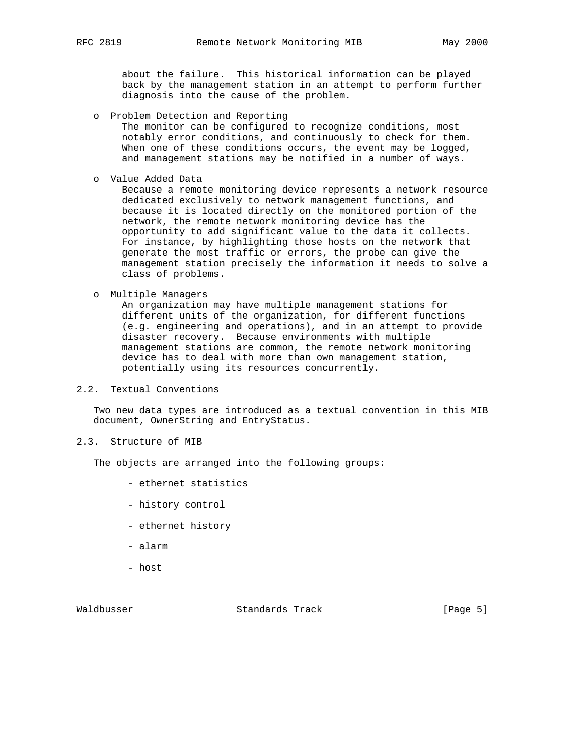about the failure. This historical information can be played back by the management station in an attempt to perform further diagnosis into the cause of the problem.

o Problem Detection and Reporting

 The monitor can be configured to recognize conditions, most notably error conditions, and continuously to check for them. When one of these conditions occurs, the event may be logged, and management stations may be notified in a number of ways.

o Value Added Data

 Because a remote monitoring device represents a network resource dedicated exclusively to network management functions, and because it is located directly on the monitored portion of the network, the remote network monitoring device has the opportunity to add significant value to the data it collects. For instance, by highlighting those hosts on the network that generate the most traffic or errors, the probe can give the management station precisely the information it needs to solve a class of problems.

o Multiple Managers

 An organization may have multiple management stations for different units of the organization, for different functions (e.g. engineering and operations), and in an attempt to provide disaster recovery. Because environments with multiple management stations are common, the remote network monitoring device has to deal with more than own management station, potentially using its resources concurrently.

2.2. Textual Conventions

 Two new data types are introduced as a textual convention in this MIB document, OwnerString and EntryStatus.

2.3. Structure of MIB

The objects are arranged into the following groups:

- ethernet statistics
- history control
- ethernet history
- alarm
- host

Waldbusser Standards Track [Page 5]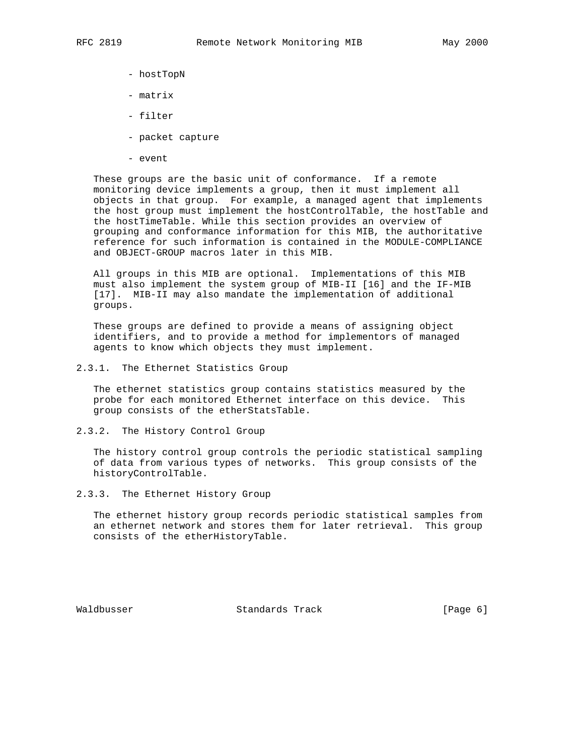- - hostTopN
	- matrix
	- filter
	- packet capture
	- event

 These groups are the basic unit of conformance. If a remote monitoring device implements a group, then it must implement all objects in that group. For example, a managed agent that implements the host group must implement the hostControlTable, the hostTable and the hostTimeTable. While this section provides an overview of grouping and conformance information for this MIB, the authoritative reference for such information is contained in the MODULE-COMPLIANCE and OBJECT-GROUP macros later in this MIB.

 All groups in this MIB are optional. Implementations of this MIB must also implement the system group of MIB-II [16] and the IF-MIB [17]. MIB-II may also mandate the implementation of additional groups.

 These groups are defined to provide a means of assigning object identifiers, and to provide a method for implementors of managed agents to know which objects they must implement.

2.3.1. The Ethernet Statistics Group

 The ethernet statistics group contains statistics measured by the probe for each monitored Ethernet interface on this device. This group consists of the etherStatsTable.

2.3.2. The History Control Group

 The history control group controls the periodic statistical sampling of data from various types of networks. This group consists of the historyControlTable.

2.3.3. The Ethernet History Group

 The ethernet history group records periodic statistical samples from an ethernet network and stores them for later retrieval. This group consists of the etherHistoryTable.

Waldbusser Standards Track (Page 6)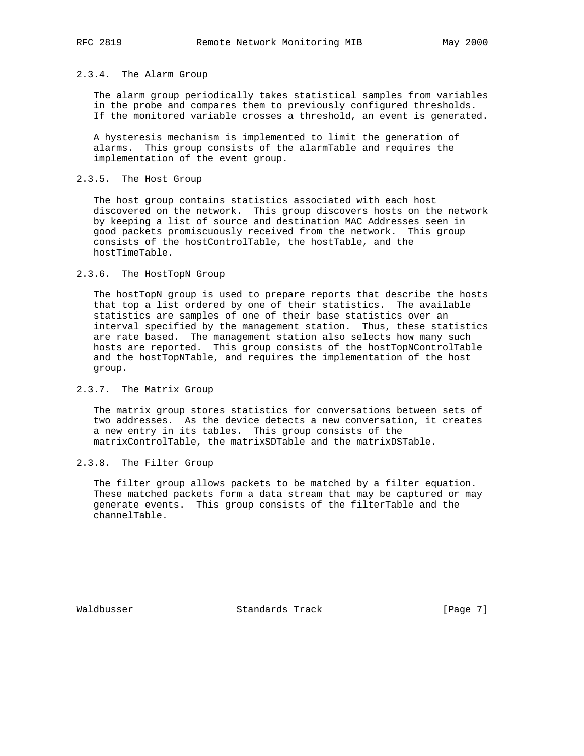# 2.3.4. The Alarm Group

 The alarm group periodically takes statistical samples from variables in the probe and compares them to previously configured thresholds. If the monitored variable crosses a threshold, an event is generated.

 A hysteresis mechanism is implemented to limit the generation of alarms. This group consists of the alarmTable and requires the implementation of the event group.

## 2.3.5. The Host Group

 The host group contains statistics associated with each host discovered on the network. This group discovers hosts on the network by keeping a list of source and destination MAC Addresses seen in good packets promiscuously received from the network. This group consists of the hostControlTable, the hostTable, and the hostTimeTable.

#### 2.3.6. The HostTopN Group

 The hostTopN group is used to prepare reports that describe the hosts that top a list ordered by one of their statistics. The available statistics are samples of one of their base statistics over an interval specified by the management station. Thus, these statistics are rate based. The management station also selects how many such hosts are reported. This group consists of the hostTopNControlTable and the hostTopNTable, and requires the implementation of the host group.

### 2.3.7. The Matrix Group

 The matrix group stores statistics for conversations between sets of two addresses. As the device detects a new conversation, it creates a new entry in its tables. This group consists of the matrixControlTable, the matrixSDTable and the matrixDSTable.

### 2.3.8. The Filter Group

 The filter group allows packets to be matched by a filter equation. These matched packets form a data stream that may be captured or may generate events. This group consists of the filterTable and the channelTable.

Waldbusser Standards Track [Page 7]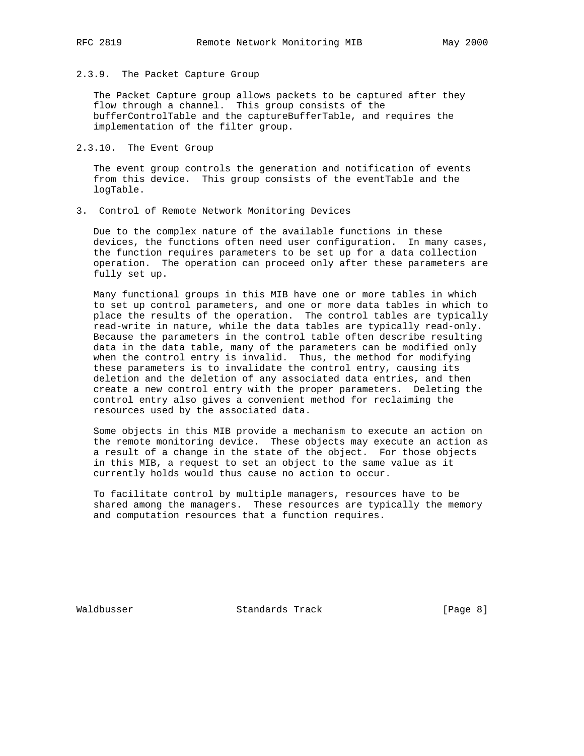# 2.3.9. The Packet Capture Group

 The Packet Capture group allows packets to be captured after they flow through a channel. This group consists of the bufferControlTable and the captureBufferTable, and requires the implementation of the filter group.

#### 2.3.10. The Event Group

 The event group controls the generation and notification of events from this device. This group consists of the eventTable and the logTable.

3. Control of Remote Network Monitoring Devices

 Due to the complex nature of the available functions in these devices, the functions often need user configuration. In many cases, the function requires parameters to be set up for a data collection operation. The operation can proceed only after these parameters are fully set up.

 Many functional groups in this MIB have one or more tables in which to set up control parameters, and one or more data tables in which to place the results of the operation. The control tables are typically read-write in nature, while the data tables are typically read-only. Because the parameters in the control table often describe resulting data in the data table, many of the parameters can be modified only when the control entry is invalid. Thus, the method for modifying these parameters is to invalidate the control entry, causing its deletion and the deletion of any associated data entries, and then create a new control entry with the proper parameters. Deleting the control entry also gives a convenient method for reclaiming the resources used by the associated data.

 Some objects in this MIB provide a mechanism to execute an action on the remote monitoring device. These objects may execute an action as a result of a change in the state of the object. For those objects in this MIB, a request to set an object to the same value as it currently holds would thus cause no action to occur.

 To facilitate control by multiple managers, resources have to be shared among the managers. These resources are typically the memory and computation resources that a function requires.

Waldbusser Standards Track [Page 8]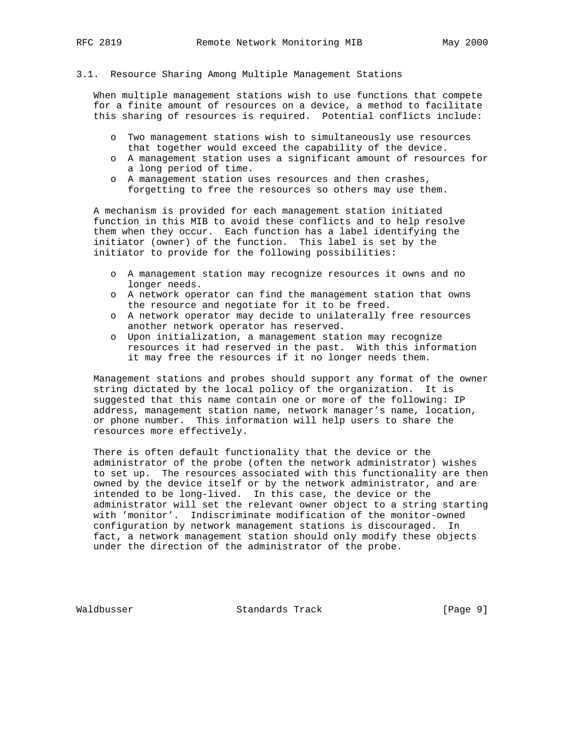### 3.1. Resource Sharing Among Multiple Management Stations

 When multiple management stations wish to use functions that compete for a finite amount of resources on a device, a method to facilitate this sharing of resources is required. Potential conflicts include:

- o Two management stations wish to simultaneously use resources that together would exceed the capability of the device.
- o A management station uses a significant amount of resources for a long period of time.
- o A management station uses resources and then crashes, forgetting to free the resources so others may use them.

 A mechanism is provided for each management station initiated function in this MIB to avoid these conflicts and to help resolve them when they occur. Each function has a label identifying the initiator (owner) of the function. This label is set by the initiator to provide for the following possibilities:

- o A management station may recognize resources it owns and no longer needs.
- o A network operator can find the management station that owns the resource and negotiate for it to be freed.
- o A network operator may decide to unilaterally free resources another network operator has reserved.
- o Upon initialization, a management station may recognize resources it had reserved in the past. With this information it may free the resources if it no longer needs them.

 Management stations and probes should support any format of the owner string dictated by the local policy of the organization. It is suggested that this name contain one or more of the following: IP address, management station name, network manager's name, location, or phone number. This information will help users to share the resources more effectively.

 There is often default functionality that the device or the administrator of the probe (often the network administrator) wishes to set up. The resources associated with this functionality are then owned by the device itself or by the network administrator, and are intended to be long-lived. In this case, the device or the administrator will set the relevant owner object to a string starting with 'monitor'. Indiscriminate modification of the monitor-owned configuration by network management stations is discouraged. In fact, a network management station should only modify these objects under the direction of the administrator of the probe.

Waldbusser Standards Track [Page 9]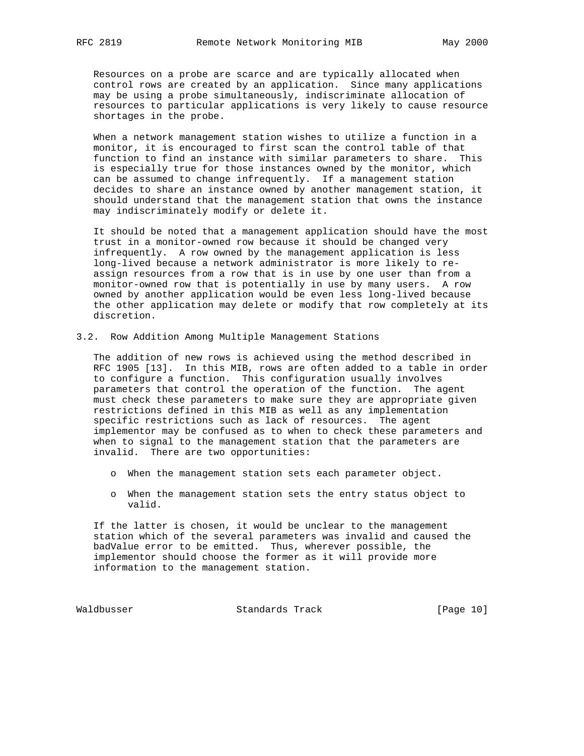Resources on a probe are scarce and are typically allocated when control rows are created by an application. Since many applications may be using a probe simultaneously, indiscriminate allocation of resources to particular applications is very likely to cause resource shortages in the probe.

 When a network management station wishes to utilize a function in a monitor, it is encouraged to first scan the control table of that function to find an instance with similar parameters to share. This is especially true for those instances owned by the monitor, which can be assumed to change infrequently. If a management station decides to share an instance owned by another management station, it should understand that the management station that owns the instance may indiscriminately modify or delete it.

 It should be noted that a management application should have the most trust in a monitor-owned row because it should be changed very infrequently. A row owned by the management application is less long-lived because a network administrator is more likely to re assign resources from a row that is in use by one user than from a monitor-owned row that is potentially in use by many users. A row owned by another application would be even less long-lived because the other application may delete or modify that row completely at its discretion.

3.2. Row Addition Among Multiple Management Stations

 The addition of new rows is achieved using the method described in RFC 1905 [13]. In this MIB, rows are often added to a table in order to configure a function. This configuration usually involves parameters that control the operation of the function. The agent must check these parameters to make sure they are appropriate given restrictions defined in this MIB as well as any implementation specific restrictions such as lack of resources. The agent implementor may be confused as to when to check these parameters and when to signal to the management station that the parameters are invalid. There are two opportunities:

- o When the management station sets each parameter object.
- o When the management station sets the entry status object to valid.

 If the latter is chosen, it would be unclear to the management station which of the several parameters was invalid and caused the badValue error to be emitted. Thus, wherever possible, the implementor should choose the former as it will provide more information to the management station.

Waldbusser Standards Track [Page 10]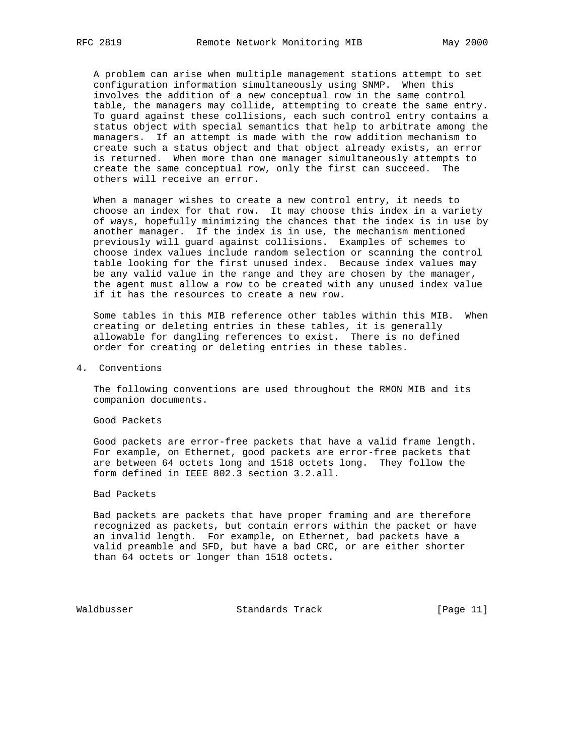A problem can arise when multiple management stations attempt to set configuration information simultaneously using SNMP. When this involves the addition of a new conceptual row in the same control table, the managers may collide, attempting to create the same entry. To guard against these collisions, each such control entry contains a status object with special semantics that help to arbitrate among the managers. If an attempt is made with the row addition mechanism to create such a status object and that object already exists, an error is returned. When more than one manager simultaneously attempts to create the same conceptual row, only the first can succeed. The others will receive an error.

 When a manager wishes to create a new control entry, it needs to choose an index for that row. It may choose this index in a variety of ways, hopefully minimizing the chances that the index is in use by another manager. If the index is in use, the mechanism mentioned previously will guard against collisions. Examples of schemes to choose index values include random selection or scanning the control table looking for the first unused index. Because index values may be any valid value in the range and they are chosen by the manager, the agent must allow a row to be created with any unused index value if it has the resources to create a new row.

 Some tables in this MIB reference other tables within this MIB. When creating or deleting entries in these tables, it is generally allowable for dangling references to exist. There is no defined order for creating or deleting entries in these tables.

4. Conventions

 The following conventions are used throughout the RMON MIB and its companion documents.

Good Packets

 Good packets are error-free packets that have a valid frame length. For example, on Ethernet, good packets are error-free packets that are between 64 octets long and 1518 octets long. They follow the form defined in IEEE 802.3 section 3.2.all.

Bad Packets

 Bad packets are packets that have proper framing and are therefore recognized as packets, but contain errors within the packet or have an invalid length. For example, on Ethernet, bad packets have a valid preamble and SFD, but have a bad CRC, or are either shorter than 64 octets or longer than 1518 octets.

Waldbusser Standards Track [Page 11]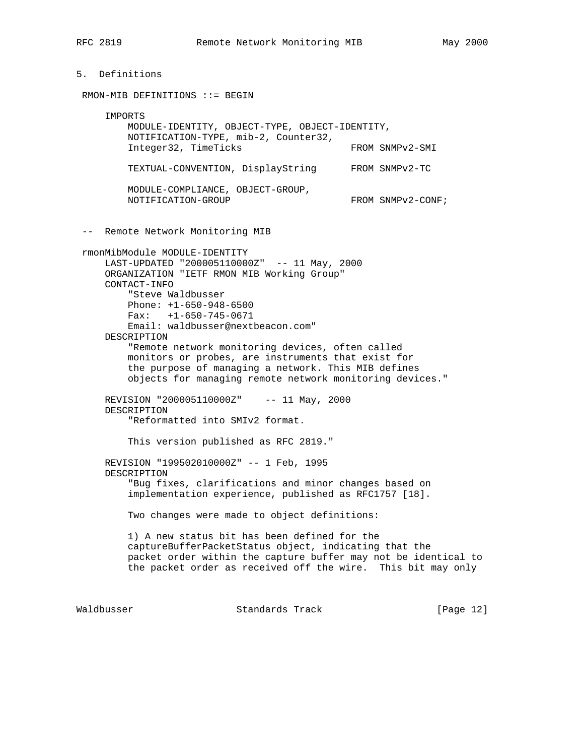5. Definitions RMON-MIB DEFINITIONS ::= BEGIN IMPORTS MODULE-IDENTITY, OBJECT-TYPE, OBJECT-IDENTITY, NOTIFICATION-TYPE, mib-2, Counter32, Integer32, TimeTicks FROM SNMPv2-SMI TEXTUAL-CONVENTION, DisplayString FROM SNMPv2-TC MODULE-COMPLIANCE, OBJECT-GROUP, NOTIFICATION-GROUP FROM SNMPv2-CONF; -- Remote Network Monitoring MIB rmonMibModule MODULE-IDENTITY LAST-UPDATED "200005110000Z" -- 11 May, 2000 ORGANIZATION "IETF RMON MIB Working Group" CONTACT-INFO "Steve Waldbusser Phone: +1-650-948-6500  $Fast: +1-650-745-0671$  Email: waldbusser@nextbeacon.com" DESCRIPTION "Remote network monitoring devices, often called monitors or probes, are instruments that exist for the purpose of managing a network. This MIB defines objects for managing remote network monitoring devices." REVISION "200005110000Z" -- 11 May, 2000 DESCRIPTION "Reformatted into SMIv2 format. This version published as RFC 2819." REVISION "199502010000Z" -- 1 Feb, 1995 DESCRIPTION "Bug fixes, clarifications and minor changes based on implementation experience, published as RFC1757 [18]. Two changes were made to object definitions: 1) A new status bit has been defined for the captureBufferPacketStatus object, indicating that the packet order within the capture buffer may not be identical to the packet order as received off the wire. This bit may only

Waldbusser Standards Track [Page 12]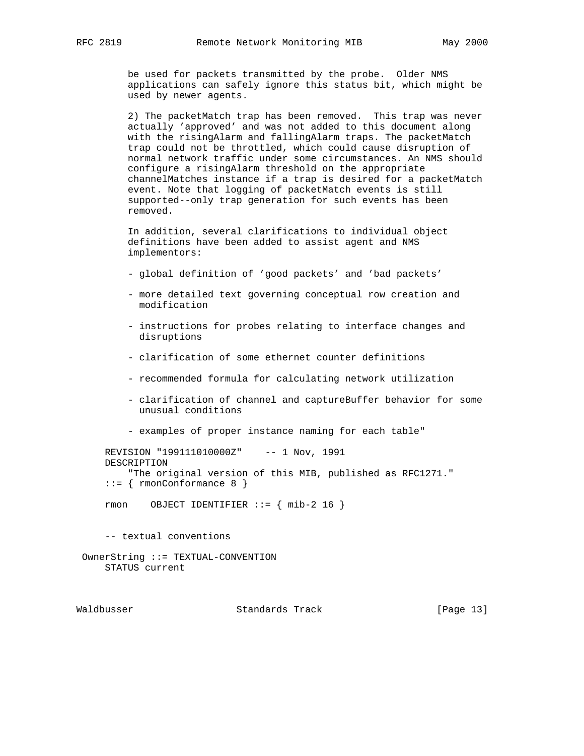be used for packets transmitted by the probe. Older NMS applications can safely ignore this status bit, which might be used by newer agents.

 2) The packetMatch trap has been removed. This trap was never actually 'approved' and was not added to this document along with the risingAlarm and fallingAlarm traps. The packetMatch trap could not be throttled, which could cause disruption of normal network traffic under some circumstances. An NMS should configure a risingAlarm threshold on the appropriate channelMatches instance if a trap is desired for a packetMatch event. Note that logging of packetMatch events is still supported--only trap generation for such events has been removed.

 In addition, several clarifications to individual object definitions have been added to assist agent and NMS implementors:

- global definition of 'good packets' and 'bad packets'
- more detailed text governing conceptual row creation and modification
- instructions for probes relating to interface changes and disruptions
- clarification of some ethernet counter definitions
- recommended formula for calculating network utilization
- clarification of channel and captureBuffer behavior for some unusual conditions
- examples of proper instance naming for each table"

 REVISION "199111010000Z" -- 1 Nov, 1991 DESCRIPTION "The original version of this MIB, published as RFC1271."  $::=$  { rmonConformance 8 }

rmon OBJECT IDENTIFIER  $::=$  { mib-2 16 }

-- textual conventions

 OwnerString ::= TEXTUAL-CONVENTION STATUS current

Waldbusser Standards Track [Page 13]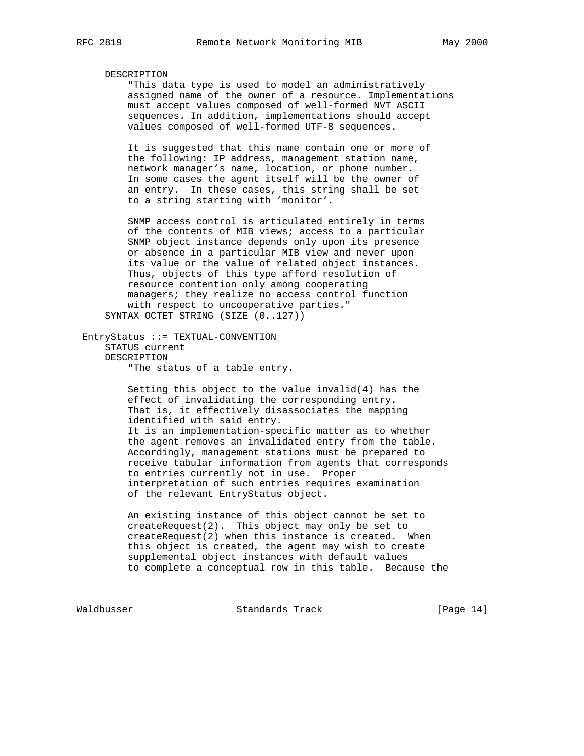#### DESCRIPTION

 "This data type is used to model an administratively assigned name of the owner of a resource. Implementations must accept values composed of well-formed NVT ASCII sequences. In addition, implementations should accept values composed of well-formed UTF-8 sequences.

 It is suggested that this name contain one or more of the following: IP address, management station name, network manager's name, location, or phone number. In some cases the agent itself will be the owner of an entry. In these cases, this string shall be set to a string starting with 'monitor'.

 SNMP access control is articulated entirely in terms of the contents of MIB views; access to a particular SNMP object instance depends only upon its presence or absence in a particular MIB view and never upon its value or the value of related object instances. Thus, objects of this type afford resolution of resource contention only among cooperating managers; they realize no access control function with respect to uncooperative parties." SYNTAX OCTET STRING (SIZE (0..127))

```
 EntryStatus ::= TEXTUAL-CONVENTION
     STATUS current
     DESCRIPTION
```
"The status of a table entry.

 Setting this object to the value invalid(4) has the effect of invalidating the corresponding entry. That is, it effectively disassociates the mapping identified with said entry. It is an implementation-specific matter as to whether the agent removes an invalidated entry from the table. Accordingly, management stations must be prepared to receive tabular information from agents that corresponds to entries currently not in use. Proper interpretation of such entries requires examination of the relevant EntryStatus object.

 An existing instance of this object cannot be set to createRequest(2). This object may only be set to createRequest(2) when this instance is created. When this object is created, the agent may wish to create supplemental object instances with default values to complete a conceptual row in this table. Because the

Waldbusser **Standards Track** [Page 14]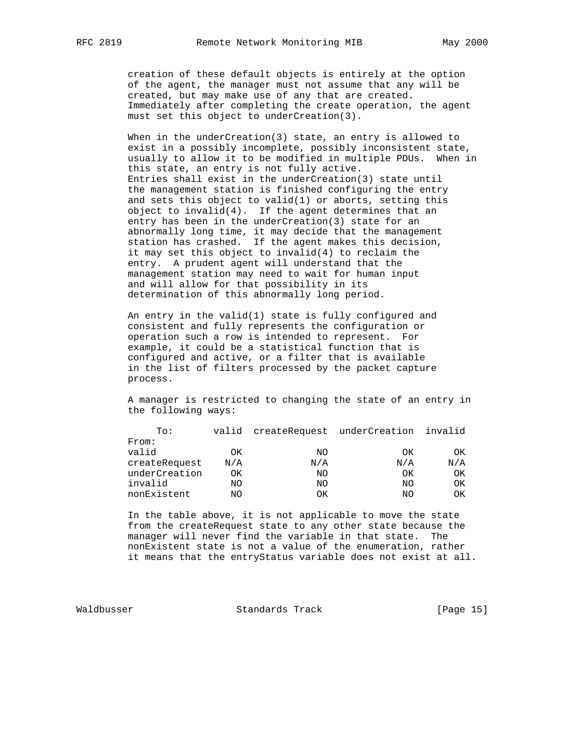creation of these default objects is entirely at the option of the agent, the manager must not assume that any will be created, but may make use of any that are created. Immediately after completing the create operation, the agent must set this object to underCreation(3).

 When in the underCreation(3) state, an entry is allowed to exist in a possibly incomplete, possibly inconsistent state, usually to allow it to be modified in multiple PDUs. When in this state, an entry is not fully active. Entries shall exist in the underCreation(3) state until the management station is finished configuring the entry and sets this object to valid(1) or aborts, setting this object to invalid $(4)$ . If the agent determines that an entry has been in the underCreation(3) state for an abnormally long time, it may decide that the management station has crashed. If the agent makes this decision, it may set this object to invalid(4) to reclaim the entry. A prudent agent will understand that the management station may need to wait for human input and will allow for that possibility in its determination of this abnormally long period.

 An entry in the valid(1) state is fully configured and consistent and fully represents the configuration or operation such a row is intended to represent. For example, it could be a statistical function that is configured and active, or a filter that is available in the list of filters processed by the packet capture process.

 A manager is restricted to changing the state of an entry in the following ways:

| To:           | valid |     | createRequest underCreation invalid |     |
|---------------|-------|-----|-------------------------------------|-----|
| From:         |       |     |                                     |     |
| valid         | ΟK    | NO  | ΟK                                  | ΟK  |
| createRequest | N/A   | N/A | N/A                                 | N/A |
| underCreation | ΟK    | ΝO  | ΟK                                  | ΟK  |
| invalid       | ΝO    | NO  | NΟ                                  | ΟK  |
| nonExistent   | NΟ    | ΟK  | NΟ                                  | ΟK  |

 In the table above, it is not applicable to move the state from the createRequest state to any other state because the manager will never find the variable in that state. The nonExistent state is not a value of the enumeration, rather it means that the entryStatus variable does not exist at all.

Waldbusser Standards Track [Page 15]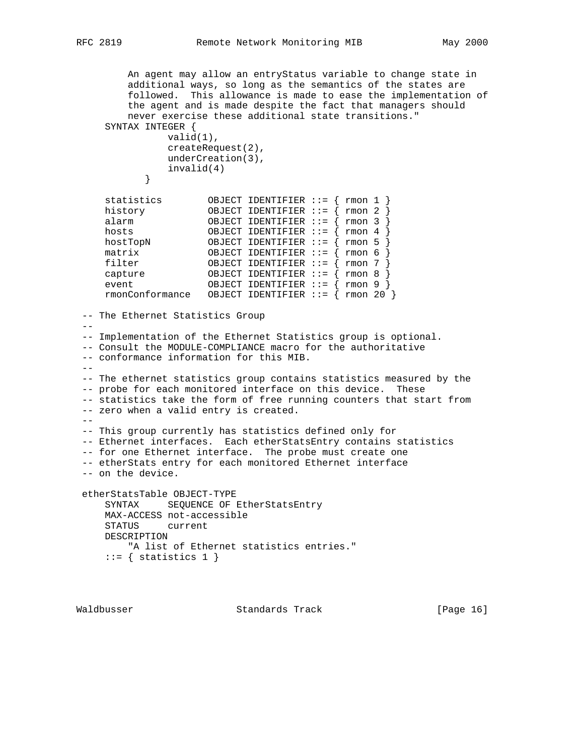An agent may allow an entryStatus variable to change state in additional ways, so long as the semantics of the states are followed. This allowance is made to ease the implementation of the agent and is made despite the fact that managers should never exercise these additional state transitions." SYNTAX INTEGER { valid(1), createRequest(2), underCreation(3), invalid(4)<br>} } statistics OBJECT IDENTIFIER ::= { rmon 1 } history OBJECT IDENTIFIER ::= { rmon 2 } alarm OBJECT IDENTIFIER ::= { rmon 3 } hosts OBJECT IDENTIFIER ::= { rmon 4 } hostTopN OBJECT IDENTIFIER ::= { rmon 5 } matrix OBJECT IDENTIFIER ::= { rmon 6 } filter OBJECT IDENTIFIER ::= { rmon 7 } capture OBJECT IDENTIFIER ::= { rmon 8 } event OBJECT IDENTIFIER ::= { rmon 9 } rmonConformance OBJECT IDENTIFIER  $::=$  { rmon 20 } -- The Ethernet Statistics Group  $-$  -- Implementation of the Ethernet Statistics group is optional. -- Consult the MODULE-COMPLIANCE macro for the authoritative -- conformance information for this MIB. -- The ethernet statistics group contains statistics measured by the -- probe for each monitored interface on this device. These -- statistics take the form of free running counters that start from -- zero when a valid entry is created. -- -- This group currently has statistics defined only for -- Ethernet interfaces. Each etherStatsEntry contains statistics -- for one Ethernet interface. The probe must create one -- etherStats entry for each monitored Ethernet interface -- on the device. etherStatsTable OBJECT-TYPE SYNTAX SEQUENCE OF EtherStatsEntry MAX-ACCESS not-accessible STATUS current DESCRIPTION "A list of Ethernet statistics entries."  $::=$  { statistics 1 }

--

Waldbusser Standards Track [Page 16]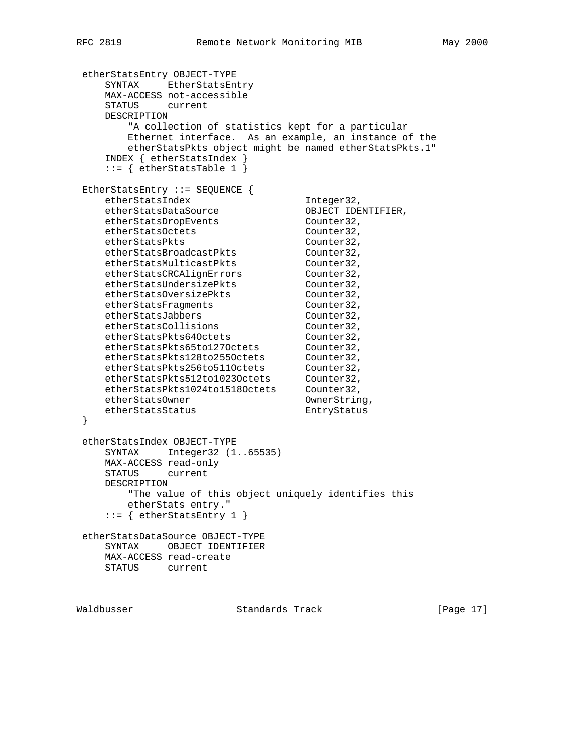```
 etherStatsEntry OBJECT-TYPE
    SYNTAX EtherStatsEntry
    MAX-ACCESS not-accessible
    STATUS current
    DESCRIPTION
        "A collection of statistics kept for a particular
       Ethernet interface. As an example, an instance of the
       etherStatsPkts object might be named etherStatsPkts.1"
     INDEX { etherStatsIndex }
    ::= { etherStatsTable 1 }
 EtherStatsEntry ::= SEQUENCE {
etherStatsIndex 1nteger32,
 etherStatsDataSource OBJECT IDENTIFIER,
etherStatsDropEvents Counter32,
etherStatsOctets Counter32,
etherStatsPkts
and
\frac{1}{2}
counter32,
etherStatsBroadcastPkts Counter32,
etherStatsMulticastPkts Counter32,
etherStatsCRCAlignErrors Counter32,
etherStatsUndersizePkts Counter32,
etherStatsOversizePkts Counter32,
etherStatsFragments Counter32,
etherStatsJabbers Counter32,
etherStatsCollisions Counter32,
etherStatsPkts64Octets Counter32,
etherStatsPkts65to1270ctets Counter32,
 etherStatsPkts128to255Octets Counter32,
etherStatsPkts256to5110ctets Counter32,
etherStatsPkts512to10230ctets Counter32,
 etherStatsPkts1024to1518Octets Counter32,
etherStatsOwner Communisties OwnerString,
   etherStatsStatus EntryStatus
 }
 etherStatsIndex OBJECT-TYPE
    SYNTAX Integer32 (1..65535)
    MAX-ACCESS read-only
    STATUS current
    DESCRIPTION
        "The value of this object uniquely identifies this
       etherStats entry."
     ::= { etherStatsEntry 1 }
 etherStatsDataSource OBJECT-TYPE
    SYNTAX OBJECT IDENTIFIER
    MAX-ACCESS read-create
    STATUS current
```
Waldbusser Standards Track [Page 17]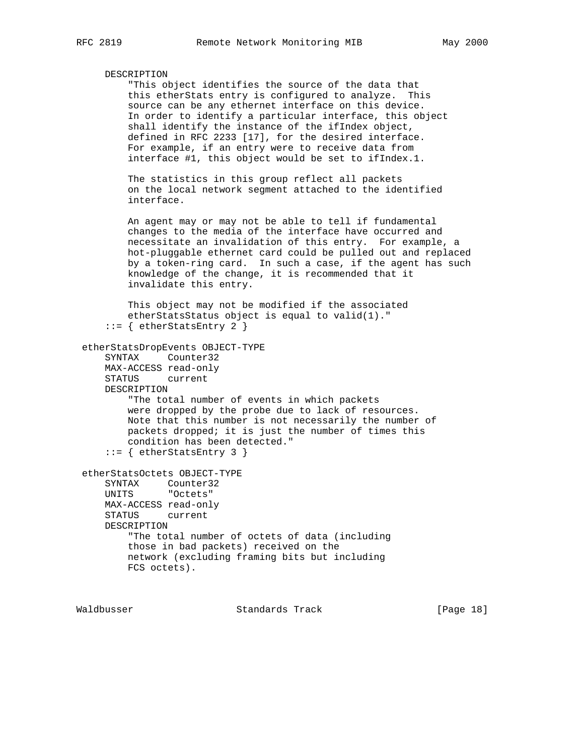```
 DESCRIPTION
         "This object identifies the source of the data that
         this etherStats entry is configured to analyze. This
         source can be any ethernet interface on this device.
         In order to identify a particular interface, this object
         shall identify the instance of the ifIndex object,
         defined in RFC 2233 [17], for the desired interface.
         For example, if an entry were to receive data from
         interface #1, this object would be set to ifIndex.1.
         The statistics in this group reflect all packets
         on the local network segment attached to the identified
         interface.
         An agent may or may not be able to tell if fundamental
         changes to the media of the interface have occurred and
         necessitate an invalidation of this entry. For example, a
         hot-pluggable ethernet card could be pulled out and replaced
        by a token-ring card. In such a case, if the agent has such
         knowledge of the change, it is recommended that it
         invalidate this entry.
         This object may not be modified if the associated
         etherStatsStatus object is equal to valid(1)."
     ::= { etherStatsEntry 2 }
 etherStatsDropEvents OBJECT-TYPE
     SYNTAX Counter32
    MAX-ACCESS read-only
    STATUS current
    DESCRIPTION
         "The total number of events in which packets
         were dropped by the probe due to lack of resources.
         Note that this number is not necessarily the number of
         packets dropped; it is just the number of times this
        condition has been detected."
    ::= { etherStatsEntry 3 }
 etherStatsOctets OBJECT-TYPE
    SYNTAX Counter32
    UNITS "Octets"
    MAX-ACCESS read-only
    STATUS current
    DESCRIPTION
         "The total number of octets of data (including
        those in bad packets) received on the
        network (excluding framing bits but including
        FCS octets).
```
Waldbusser **Standards Track** [Page 18]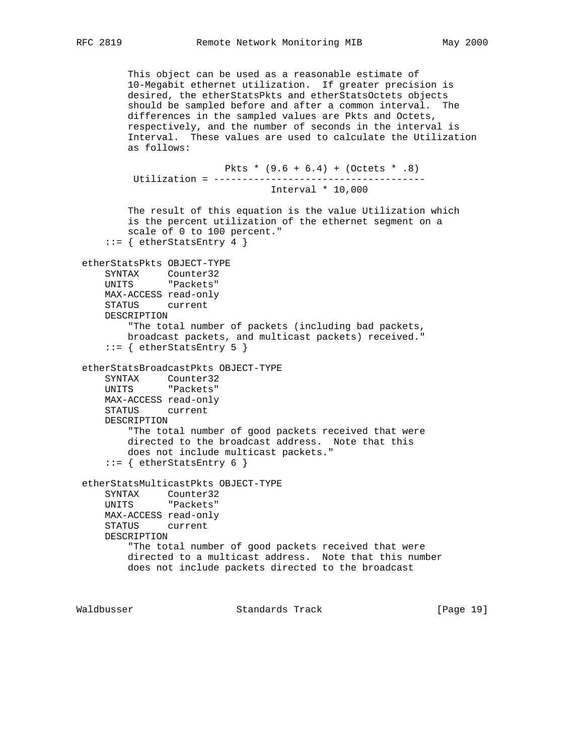This object can be used as a reasonable estimate of 10-Megabit ethernet utilization. If greater precision is desired, the etherStatsPkts and etherStatsOctets objects should be sampled before and after a common interval. The differences in the sampled values are Pkts and Octets, respectively, and the number of seconds in the interval is Interval. These values are used to calculate the Utilization as follows: Pkts \*  $(9.6 + 6.4) + (Octets * .8)$  Utilization = ------------------------------------- Interval \* 10,000 The result of this equation is the value Utilization which is the percent utilization of the ethernet segment on a scale of 0 to 100 percent."  $::=$  { etherStatsEntry 4 } etherStatsPkts OBJECT-TYPE SYNTAX Counter32 UNITS "Packets" MAX-ACCESS read-only STATUS current DESCRIPTION "The total number of packets (including bad packets, broadcast packets, and multicast packets) received."  $::=$  { etherStatsEntry 5 } etherStatsBroadcastPkts OBJECT-TYPE SYNTAX Counter32 UNITS "Packets" MAX-ACCESS read-only STATUS current DESCRIPTION "The total number of good packets received that were directed to the broadcast address. Note that this does not include multicast packets."  $::=$  { etherStatsEntry 6 } etherStatsMulticastPkts OBJECT-TYPE SYNTAX Counter32 UNITS "Packets" MAX-ACCESS read-only STATUS current DESCRIPTION "The total number of good packets received that were directed to a multicast address. Note that this number does not include packets directed to the broadcast

Waldbusser **Standards Track** [Page 19]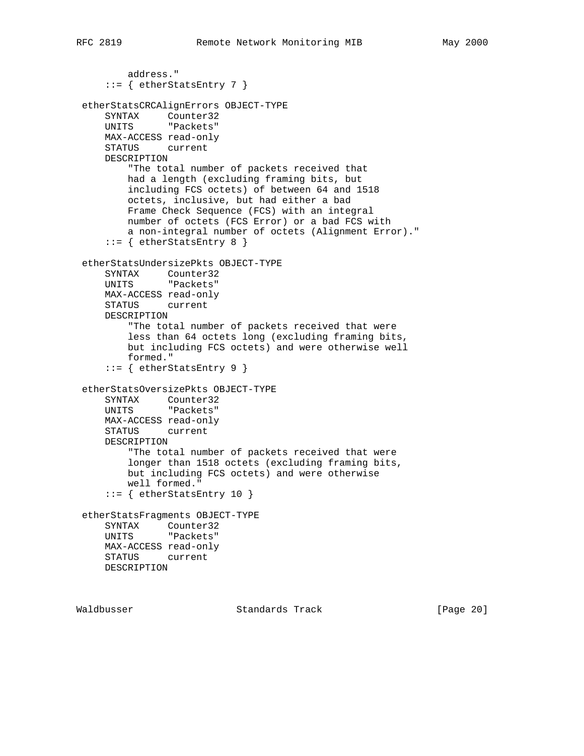```
 address."
    ::= { etherStatsEntry 7 }
 etherStatsCRCAlignErrors OBJECT-TYPE
 SYNTAX Counter32
 UNITS "Packets"
     MAX-ACCESS read-only
     STATUS current
     DESCRIPTION
         "The total number of packets received that
         had a length (excluding framing bits, but
         including FCS octets) of between 64 and 1518
         octets, inclusive, but had either a bad
         Frame Check Sequence (FCS) with an integral
         number of octets (FCS Error) or a bad FCS with
         a non-integral number of octets (Alignment Error)."
     ::= { etherStatsEntry 8 }
 etherStatsUndersizePkts OBJECT-TYPE
     SYNTAX Counter32
     UNITS "Packets"
     MAX-ACCESS read-only
     STATUS current
     DESCRIPTION
         "The total number of packets received that were
         less than 64 octets long (excluding framing bits,
         but including FCS octets) and were otherwise well
         formed."
     ::= { etherStatsEntry 9 }
 etherStatsOversizePkts OBJECT-TYPE
 SYNTAX Counter32
 UNITS "Packets"
     MAX-ACCESS read-only
     STATUS current
     DESCRIPTION
         "The total number of packets received that were
         longer than 1518 octets (excluding framing bits,
         but including FCS octets) and were otherwise
         well formed."
     ::= { etherStatsEntry 10 }
 etherStatsFragments OBJECT-TYPE
     SYNTAX Counter32
     UNITS "Packets"
     MAX-ACCESS read-only
     STATUS current
     DESCRIPTION
```
Waldbusser **Standards Track** [Page 20]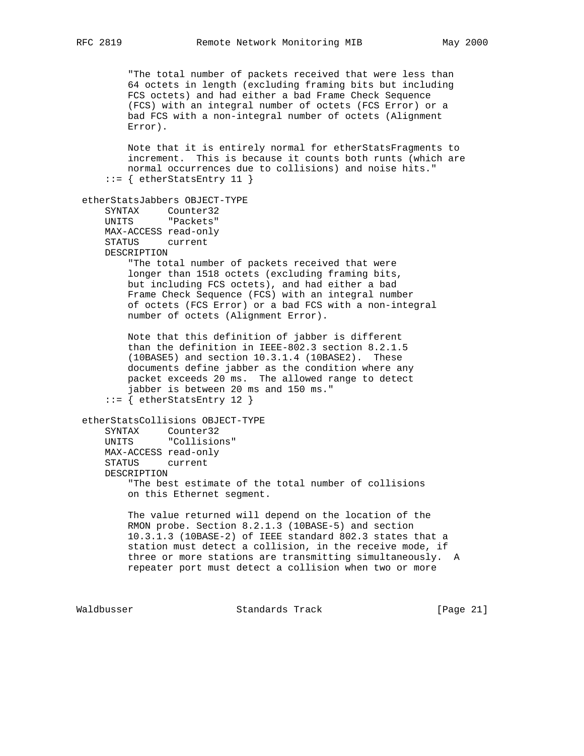"The total number of packets received that were less than 64 octets in length (excluding framing bits but including FCS octets) and had either a bad Frame Check Sequence (FCS) with an integral number of octets (FCS Error) or a bad FCS with a non-integral number of octets (Alignment Error). Note that it is entirely normal for etherStatsFragments to increment. This is because it counts both runts (which are normal occurrences due to collisions) and noise hits."  $::=$  { etherStatsEntry 11 } etherStatsJabbers OBJECT-TYPE SYNTAX Counter32 UNITS "Packets" MAX-ACCESS read-only STATUS current DESCRIPTION "The total number of packets received that were longer than 1518 octets (excluding framing bits, but including FCS octets), and had either a bad Frame Check Sequence (FCS) with an integral number of octets (FCS Error) or a bad FCS with a non-integral number of octets (Alignment Error). Note that this definition of jabber is different than the definition in IEEE-802.3 section 8.2.1.5 (10BASE5) and section 10.3.1.4 (10BASE2). These documents define jabber as the condition where any packet exceeds 20 ms. The allowed range to detect jabber is between 20 ms and 150 ms."  $::=$  { etherStatsEntry 12 } etherStatsCollisions OBJECT-TYPE SYNTAX Counter32 UNITS "Collisions" MAX-ACCESS read-only STATUS current DESCRIPTION "The best estimate of the total number of collisions on this Ethernet segment. The value returned will depend on the location of the RMON probe. Section 8.2.1.3 (10BASE-5) and section 10.3.1.3 (10BASE-2) of IEEE standard 802.3 states that a station must detect a collision, in the receive mode, if three or more stations are transmitting simultaneously. A repeater port must detect a collision when two or more

Waldbusser **Standards Track** [Page 21]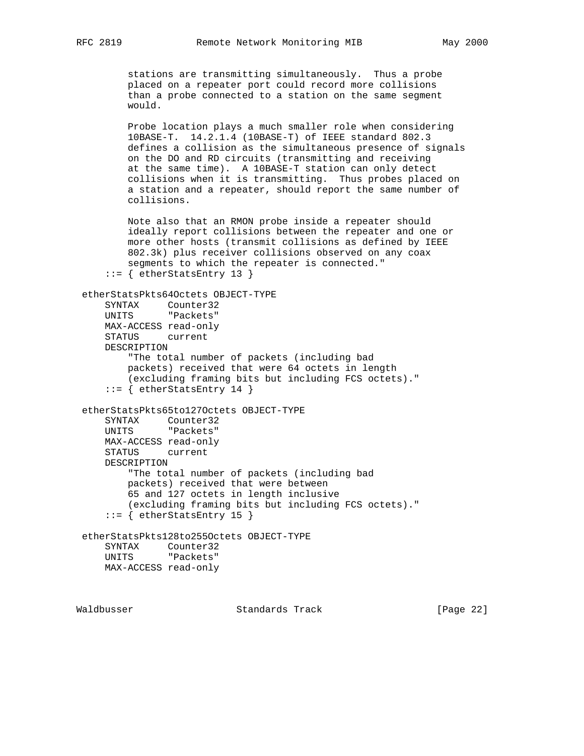stations are transmitting simultaneously. Thus a probe placed on a repeater port could record more collisions than a probe connected to a station on the same segment would.

 Probe location plays a much smaller role when considering 10BASE-T. 14.2.1.4 (10BASE-T) of IEEE standard 802.3 defines a collision as the simultaneous presence of signals on the DO and RD circuits (transmitting and receiving at the same time). A 10BASE-T station can only detect collisions when it is transmitting. Thus probes placed on a station and a repeater, should report the same number of collisions.

 Note also that an RMON probe inside a repeater should ideally report collisions between the repeater and one or more other hosts (transmit collisions as defined by IEEE 802.3k) plus receiver collisions observed on any coax segments to which the repeater is connected."

```
::= { etherStatsEntry 13 }
```
 etherStatsPkts64Octets OBJECT-TYPE SYNTAX Counter32 UNITS "Packets" MAX-ACCESS read-only STATUS current DESCRIPTION "The total number of packets (including bad packets) received that were 64 octets in length (excluding framing bits but including FCS octets)." ::= { etherStatsEntry 14 } etherStatsPkts65to127Octets OBJECT-TYPE SYNTAX Counter32 UNITS "Packets" MAX-ACCESS read-only STATUS current DESCRIPTION "The total number of packets (including bad packets) received that were between 65 and 127 octets in length inclusive (excluding framing bits but including FCS octets)." ::= { etherStatsEntry 15 } etherStatsPkts128to255Octets OBJECT-TYPE SYNTAX Counter32 UNITS "Packets" MAX-ACCESS read-only

Waldbusser Standards Track [Page 22]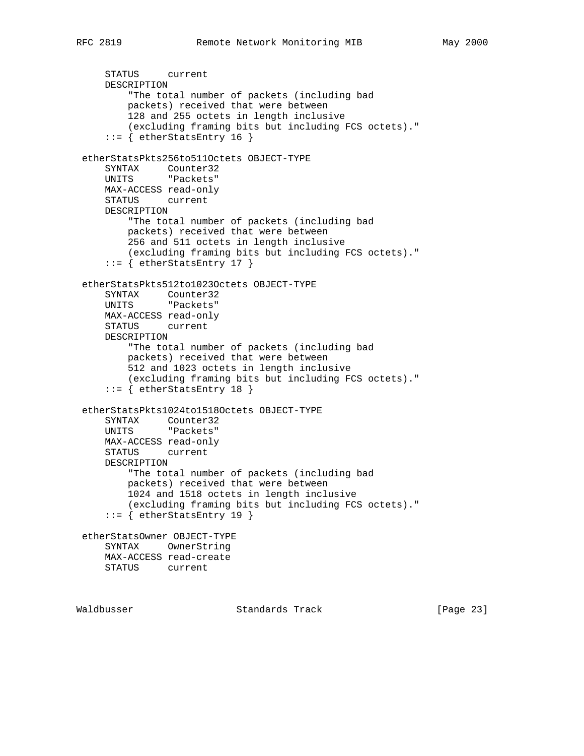```
 STATUS current
    DESCRIPTION
         "The total number of packets (including bad
        packets) received that were between
        128 and 255 octets in length inclusive
        (excluding framing bits but including FCS octets)."
     ::= { etherStatsEntry 16 }
 etherStatsPkts256to511Octets OBJECT-TYPE
    SYNTAX Counter32
    UNITS "Packets"
    MAX-ACCESS read-only
    STATUS current
    DESCRIPTION
        "The total number of packets (including bad
        packets) received that were between
        256 and 511 octets in length inclusive
        (excluding framing bits but including FCS octets)."
     ::= { etherStatsEntry 17 }
 etherStatsPkts512to1023Octets OBJECT-TYPE
     SYNTAX Counter32
    UNITS "Packets"
    MAX-ACCESS read-only
    STATUS current
    DESCRIPTION
         "The total number of packets (including bad
        packets) received that were between
        512 and 1023 octets in length inclusive
        (excluding framing bits but including FCS octets)."
     ::= { etherStatsEntry 18 }
 etherStatsPkts1024to1518Octets OBJECT-TYPE
    SYNTAX Counter32
    UNITS "Packets"
    MAX-ACCESS read-only
    STATUS current
    DESCRIPTION
        "The total number of packets (including bad
        packets) received that were between
        1024 and 1518 octets in length inclusive
        (excluding framing bits but including FCS octets)."
     ::= { etherStatsEntry 19 }
 etherStatsOwner OBJECT-TYPE
    SYNTAX OwnerString
    MAX-ACCESS read-create
    STATUS current
```
Waldbusser **Standards Track** [Page 23]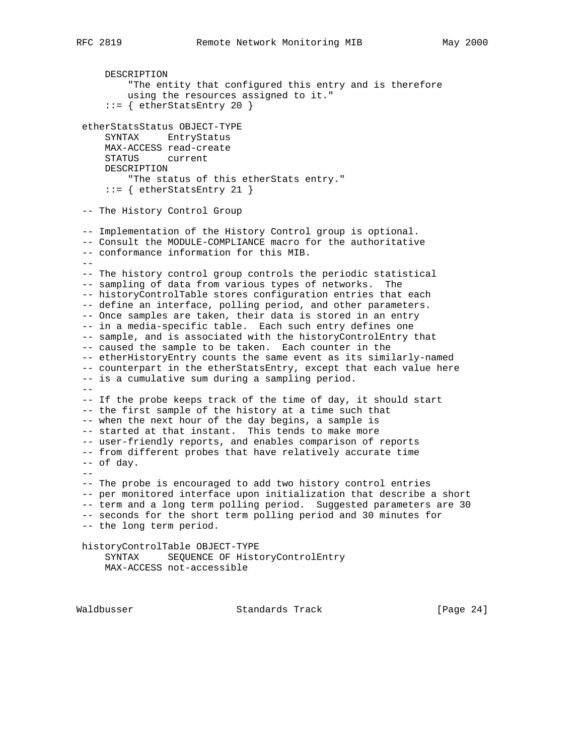DESCRIPTION "The entity that configured this entry and is therefore using the resources assigned to it." ::= { etherStatsEntry 20 } etherStatsStatus OBJECT-TYPE SYNTAX EntryStatus MAX-ACCESS read-create STATUS current DESCRIPTION "The status of this etherStats entry." ::= { etherStatsEntry 21 } -- The History Control Group -- Implementation of the History Control group is optional. -- Consult the MODULE-COMPLIANCE macro for the authoritative -- conformance information for this MIB.  $-$  -- The history control group controls the periodic statistical -- sampling of data from various types of networks. The -- historyControlTable stores configuration entries that each -- define an interface, polling period, and other parameters. -- Once samples are taken, their data is stored in an entry -- in a media-specific table. Each such entry defines one -- sample, and is associated with the historyControlEntry that -- caused the sample to be taken. Each counter in the -- etherHistoryEntry counts the same event as its similarly-named -- counterpart in the etherStatsEntry, except that each value here -- is a cumulative sum during a sampling period. -- -- If the probe keeps track of the time of day, it should start -- the first sample of the history at a time such that -- when the next hour of the day begins, a sample is -- started at that instant. This tends to make more -- user-friendly reports, and enables comparison of reports -- from different probes that have relatively accurate time -- of day. -- -- The probe is encouraged to add two history control entries -- per monitored interface upon initialization that describe a short -- term and a long term polling period. Suggested parameters are 30 -- seconds for the short term polling period and 30 minutes for -- the long term period. historyControlTable OBJECT-TYPE SYNTAX SEQUENCE OF HistoryControlEntry MAX-ACCESS not-accessible

Waldbusser Standards Track [Page 24]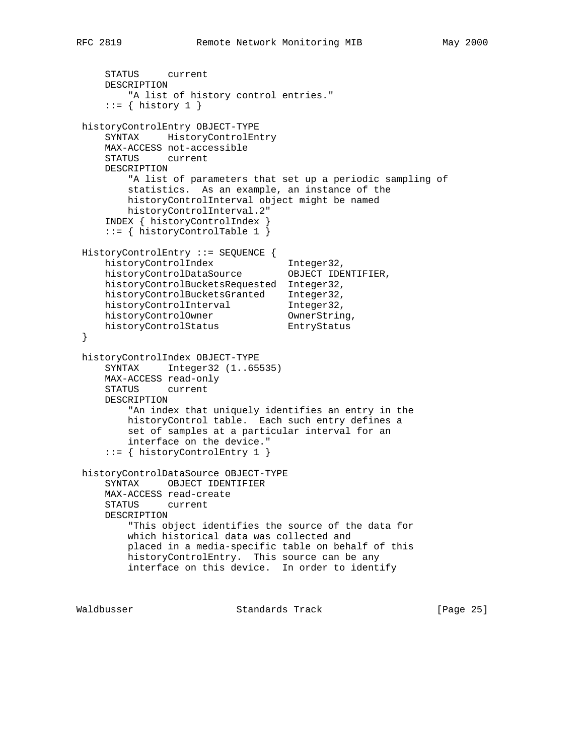```
 STATUS current
     DESCRIPTION
         "A list of history control entries."
    ::= { history 1 }
 historyControlEntry OBJECT-TYPE
     SYNTAX HistoryControlEntry
     MAX-ACCESS not-accessible
     STATUS current
     DESCRIPTION
         "A list of parameters that set up a periodic sampling of
         statistics. As an example, an instance of the
         historyControlInterval object might be named
         historyControlInterval.2"
     INDEX { historyControlIndex }
     ::= { historyControlTable 1 }
 HistoryControlEntry ::= SEQUENCE {
historyControlIndex 1nteger32,
historyControlDataSource OBJECT IDENTIFIER,
     historyControlBucketsRequested Integer32,
 historyControlBucketsGranted Integer32,
historyControlInterval 1nteger32,
historyControlOwner CwnerString,
historyControlStatus EntryStatus
 }
 historyControlIndex OBJECT-TYPE
     SYNTAX Integer32 (1..65535)
     MAX-ACCESS read-only
     STATUS current
     DESCRIPTION
         "An index that uniquely identifies an entry in the
         historyControl table. Each such entry defines a
         set of samples at a particular interval for an
         interface on the device."
     ::= { historyControlEntry 1 }
 historyControlDataSource OBJECT-TYPE
     SYNTAX OBJECT IDENTIFIER
     MAX-ACCESS read-create
     STATUS current
     DESCRIPTION
         "This object identifies the source of the data for
         which historical data was collected and
         placed in a media-specific table on behalf of this
         historyControlEntry. This source can be any
         interface on this device. In order to identify
Waldbusser Standards Track [Page 25]
```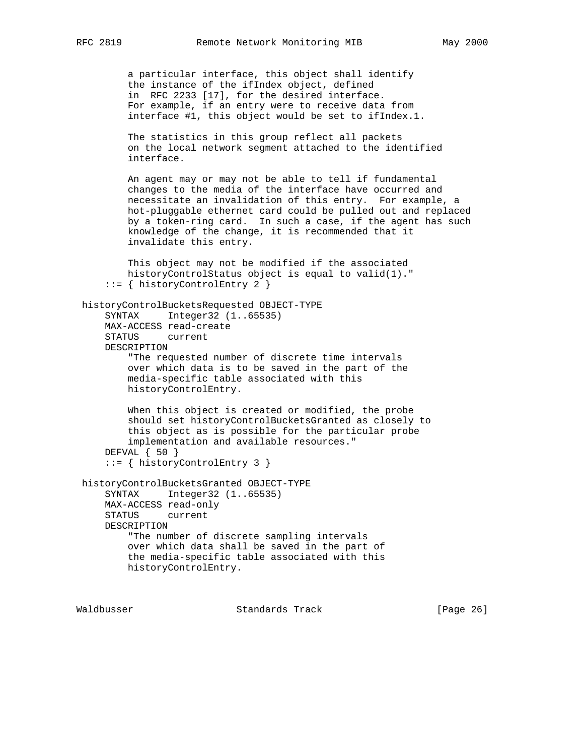a particular interface, this object shall identify the instance of the ifIndex object, defined in RFC 2233 [17], for the desired interface. For example, if an entry were to receive data from interface #1, this object would be set to ifIndex.1.

 The statistics in this group reflect all packets on the local network segment attached to the identified interface.

 An agent may or may not be able to tell if fundamental changes to the media of the interface have occurred and necessitate an invalidation of this entry. For example, a hot-pluggable ethernet card could be pulled out and replaced by a token-ring card. In such a case, if the agent has such knowledge of the change, it is recommended that it invalidate this entry.

```
 This object may not be modified if the associated
    historyControlStatus object is equal to valid(1)."
 ::= { historyControlEntry 2 }
```

```
 historyControlBucketsRequested OBJECT-TYPE
     SYNTAX Integer32 (1..65535)
     MAX-ACCESS read-create
     STATUS current
     DESCRIPTION
         "The requested number of discrete time intervals
         over which data is to be saved in the part of the
         media-specific table associated with this
         historyControlEntry.
         When this object is created or modified, the probe
         should set historyControlBucketsGranted as closely to
         this object as is possible for the particular probe
         implementation and available resources."
     DEFVAL { 50 }
     ::= { historyControlEntry 3 }
 historyControlBucketsGranted OBJECT-TYPE
     SYNTAX Integer32 (1..65535)
     MAX-ACCESS read-only
     STATUS current
     DESCRIPTION
         "The number of discrete sampling intervals
         over which data shall be saved in the part of
```

```
 the media-specific table associated with this
 historyControlEntry.
```
Waldbusser **Standards Track** [Page 26]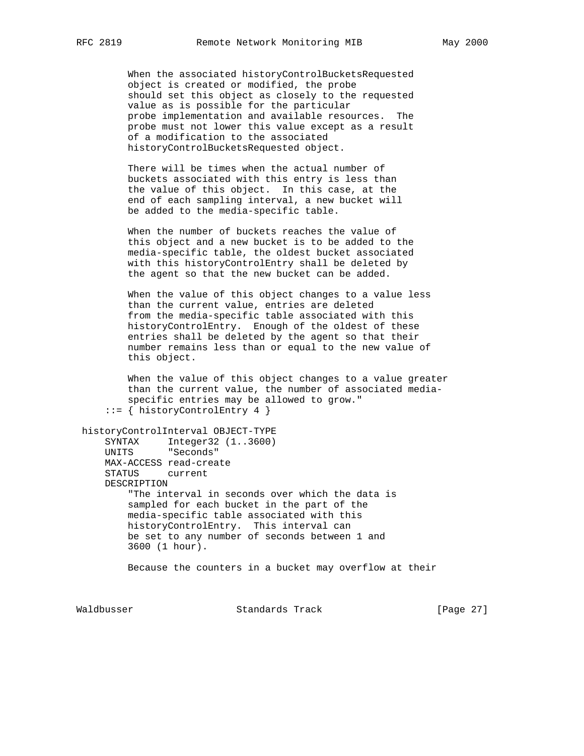When the associated historyControlBucketsRequested object is created or modified, the probe should set this object as closely to the requested value as is possible for the particular probe implementation and available resources. The probe must not lower this value except as a result of a modification to the associated historyControlBucketsRequested object.

 There will be times when the actual number of buckets associated with this entry is less than the value of this object. In this case, at the end of each sampling interval, a new bucket will be added to the media-specific table.

 When the number of buckets reaches the value of this object and a new bucket is to be added to the media-specific table, the oldest bucket associated with this historyControlEntry shall be deleted by the agent so that the new bucket can be added.

 When the value of this object changes to a value less than the current value, entries are deleted from the media-specific table associated with this historyControlEntry. Enough of the oldest of these entries shall be deleted by the agent so that their number remains less than or equal to the new value of this object.

When the value of this object changes to a value greater than the current value, the number of associated media specific entries may be allowed to grow." ::= { historyControlEntry 4 }

```
 historyControlInterval OBJECT-TYPE
 SYNTAX Integer32 (1..3600)
 UNITS "Seconds"
     MAX-ACCESS read-create
     STATUS current
     DESCRIPTION
         "The interval in seconds over which the data is
         sampled for each bucket in the part of the
         media-specific table associated with this
         historyControlEntry. This interval can
         be set to any number of seconds between 1 and
         3600 (1 hour).
```
Because the counters in a bucket may overflow at their

Waldbusser Standards Track [Page 27]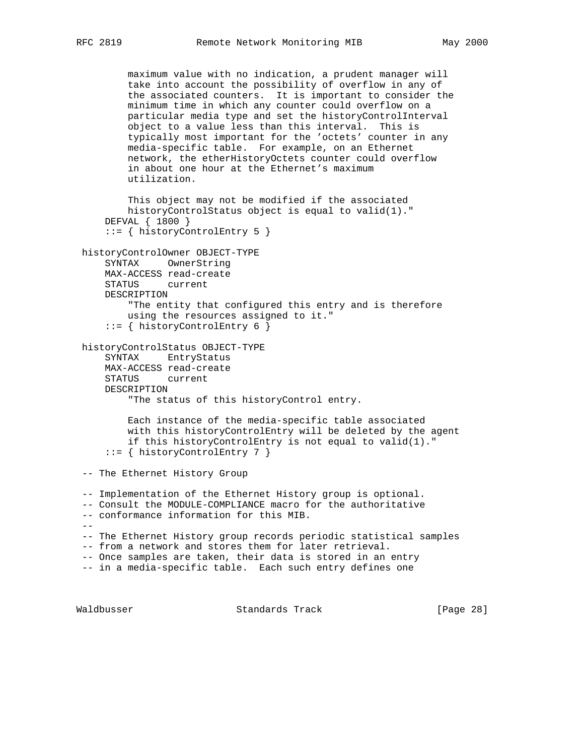maximum value with no indication, a prudent manager will take into account the possibility of overflow in any of the associated counters. It is important to consider the minimum time in which any counter could overflow on a particular media type and set the historyControlInterval object to a value less than this interval. This is typically most important for the 'octets' counter in any media-specific table. For example, on an Ethernet network, the etherHistoryOctets counter could overflow in about one hour at the Ethernet's maximum utilization. This object may not be modified if the associated historyControlStatus object is equal to valid(1)." DEFVAL { 1800 } ::= { historyControlEntry 5 } historyControlOwner OBJECT-TYPE SYNTAX OwnerString MAX-ACCESS read-create STATUS current DESCRIPTION "The entity that configured this entry and is therefore using the resources assigned to it." ::= { historyControlEntry 6 } historyControlStatus OBJECT-TYPE SYNTAX EntryStatus MAX-ACCESS read-create STATUS current DESCRIPTION "The status of this historyControl entry. Each instance of the media-specific table associated with this historyControlEntry will be deleted by the agent if this historyControlEntry is not equal to valid(1)." ::= { historyControlEntry 7 } -- The Ethernet History Group -- Implementation of the Ethernet History group is optional. -- Consult the MODULE-COMPLIANCE macro for the authoritative -- conformance information for this MIB.  $-$  -- The Ethernet History group records periodic statistical samples -- from a network and stores them for later retrieval. -- Once samples are taken, their data is stored in an entry -- in a media-specific table. Each such entry defines one

Waldbusser Standards Track [Page 28]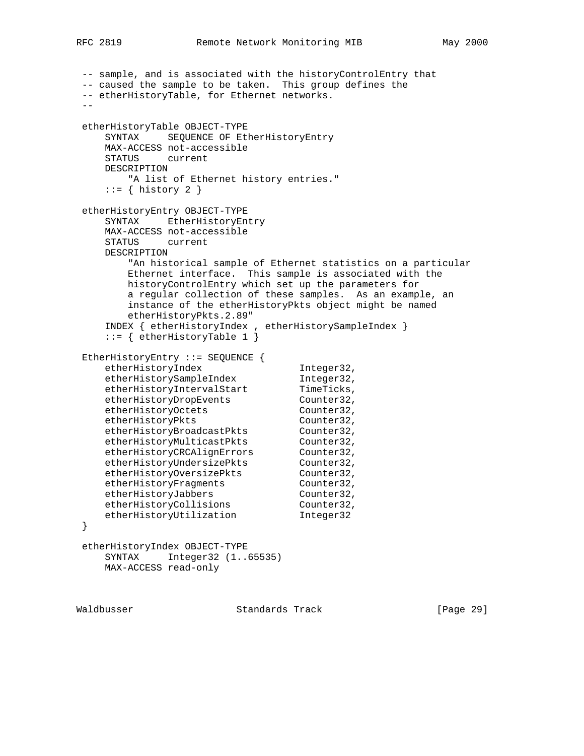```
 -- sample, and is associated with the historyControlEntry that
 -- caused the sample to be taken. This group defines the
-- etherHistoryTable, for Ethernet networks.
- etherHistoryTable OBJECT-TYPE
     SYNTAX SEQUENCE OF EtherHistoryEntry
    MAX-ACCESS not-accessible
    STATUS current
    DESCRIPTION
        "A list of Ethernet history entries."
    ::= { history 2 }
 etherHistoryEntry OBJECT-TYPE
     SYNTAX EtherHistoryEntry
    MAX-ACCESS not-accessible
     STATUS current
    DESCRIPTION
        "An historical sample of Ethernet statistics on a particular
        Ethernet interface. This sample is associated with the
        historyControlEntry which set up the parameters for
        a regular collection of these samples. As an example, an
        instance of the etherHistoryPkts object might be named
        etherHistoryPkts.2.89"
     INDEX { etherHistoryIndex , etherHistorySampleIndex }
    ::= { etherHistoryTable 1 }
 EtherHistoryEntry ::= SEQUENCE {
etherHistoryIndex 1nteger32,
 etherHistorySampleIndex Integer32,
etherHistoryIntervalStart TimeTicks,
etherHistoryDropEvents Counter32,
etherHistoryOctets Counter32,
etherHistoryPkts Counter32,
etherHistoryBroadcastPkts Counter32,
etherHistoryMulticastPkts Counter32,
etherHistoryCRCAlignErrors Counter32,
etherHistoryUndersizePkts Counter32,
etherHistoryOversizePkts Counter32,
etherHistoryFragments Counter32,
etherHistoryJabbers Counter32,
etherHistoryCollisions Counter32,
etherHistoryUtilization 1nteger32
 }
 etherHistoryIndex OBJECT-TYPE
    SYNTAX Integer32 (1..65535)
    MAX-ACCESS read-only
```
Waldbusser Standards Track [Page 29]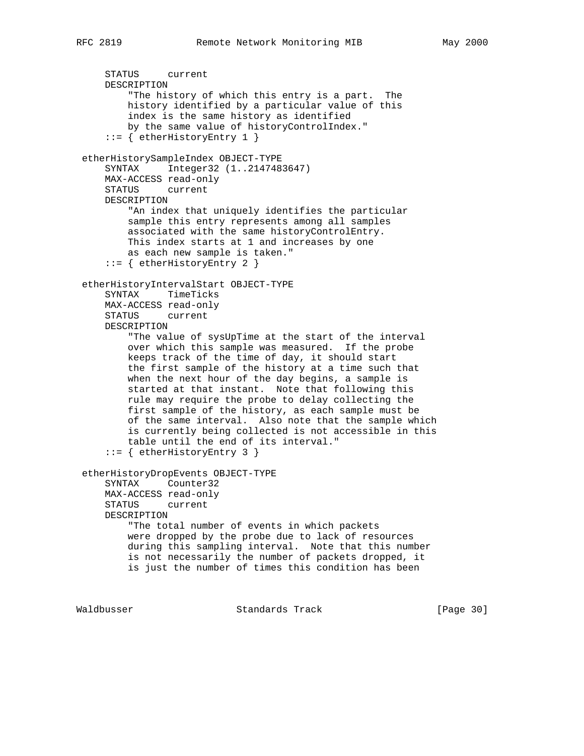```
 STATUS current
     DESCRIPTION
         "The history of which this entry is a part. The
        history identified by a particular value of this
         index is the same history as identified
        by the same value of historyControlIndex."
     ::= { etherHistoryEntry 1 }
 etherHistorySampleIndex OBJECT-TYPE
     SYNTAX Integer32 (1..2147483647)
    MAX-ACCESS read-only
    STATUS current
    DESCRIPTION
         "An index that uniquely identifies the particular
         sample this entry represents among all samples
         associated with the same historyControlEntry.
         This index starts at 1 and increases by one
        as each new sample is taken."
     ::= { etherHistoryEntry 2 }
 etherHistoryIntervalStart OBJECT-TYPE
     SYNTAX TimeTicks
    MAX-ACCESS read-only
    STATUS current
    DESCRIPTION
         "The value of sysUpTime at the start of the interval
         over which this sample was measured. If the probe
        keeps track of the time of day, it should start
         the first sample of the history at a time such that
        when the next hour of the day begins, a sample is
        started at that instant. Note that following this
         rule may require the probe to delay collecting the
        first sample of the history, as each sample must be
         of the same interval. Also note that the sample which
         is currently being collected is not accessible in this
         table until the end of its interval."
     ::= { etherHistoryEntry 3 }
 etherHistoryDropEvents OBJECT-TYPE
     SYNTAX Counter32
    MAX-ACCESS read-only
    STATUS current
    DESCRIPTION
         "The total number of events in which packets
         were dropped by the probe due to lack of resources
         during this sampling interval. Note that this number
         is not necessarily the number of packets dropped, it
         is just the number of times this condition has been
```
Waldbusser Standards Track [Page 30]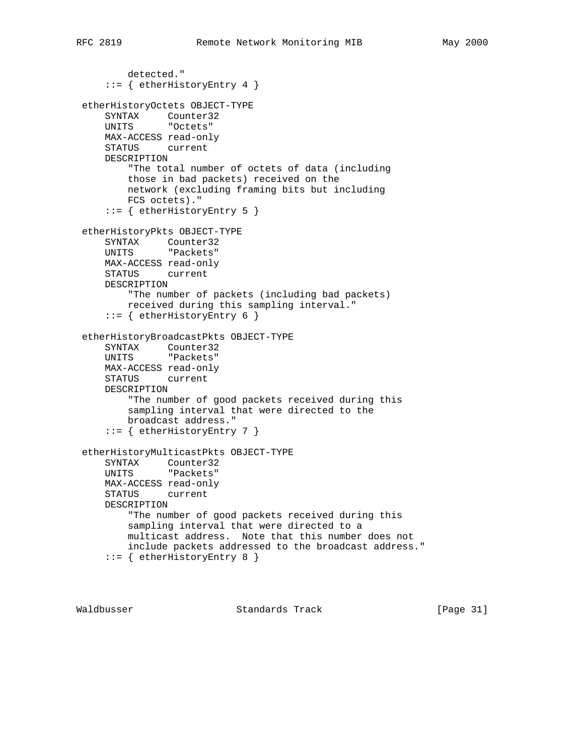```
 detected."
     ::= { etherHistoryEntry 4 }
 etherHistoryOctets OBJECT-TYPE
 SYNTAX Counter32
 UNITS "Octets"
     MAX-ACCESS read-only
     STATUS current
     DESCRIPTION
         "The total number of octets of data (including
         those in bad packets) received on the
         network (excluding framing bits but including
         FCS octets)."
     ::= { etherHistoryEntry 5 }
 etherHistoryPkts OBJECT-TYPE
     SYNTAX Counter32
     UNITS "Packets"
     MAX-ACCESS read-only
     STATUS current
     DESCRIPTION
         "The number of packets (including bad packets)
         received during this sampling interval."
     ::= { etherHistoryEntry 6 }
 etherHistoryBroadcastPkts OBJECT-TYPE
 SYNTAX Counter32
 UNITS "Packets"
     MAX-ACCESS read-only
     STATUS current
     DESCRIPTION
         "The number of good packets received during this
         sampling interval that were directed to the
         broadcast address."
     ::= { etherHistoryEntry 7 }
 etherHistoryMulticastPkts OBJECT-TYPE
     SYNTAX Counter32
     UNITS "Packets"
     MAX-ACCESS read-only
     STATUS current
     DESCRIPTION
         "The number of good packets received during this
         sampling interval that were directed to a
         multicast address. Note that this number does not
         include packets addressed to the broadcast address."
     ::= { etherHistoryEntry 8 }
```
Waldbusser Standards Track [Page 31]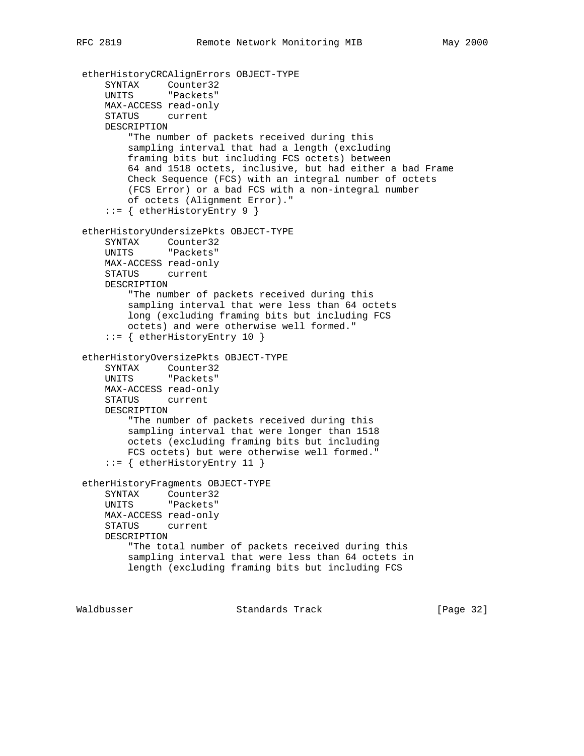```
 etherHistoryCRCAlignErrors OBJECT-TYPE
 SYNTAX Counter32
 UNITS "Packets"
     MAX-ACCESS read-only
     STATUS current
     DESCRIPTION
         "The number of packets received during this
         sampling interval that had a length (excluding
         framing bits but including FCS octets) between
         64 and 1518 octets, inclusive, but had either a bad Frame
         Check Sequence (FCS) with an integral number of octets
         (FCS Error) or a bad FCS with a non-integral number
         of octets (Alignment Error)."
     ::= { etherHistoryEntry 9 }
 etherHistoryUndersizePkts OBJECT-TYPE
     SYNTAX Counter32
     UNITS "Packets"
     MAX-ACCESS read-only
     STATUS current
     DESCRIPTION
         "The number of packets received during this
         sampling interval that were less than 64 octets
         long (excluding framing bits but including FCS
         octets) and were otherwise well formed."
     ::= { etherHistoryEntry 10 }
 etherHistoryOversizePkts OBJECT-TYPE
    SYNTAX Counter32
     UNITS "Packets"
     MAX-ACCESS read-only
     STATUS current
     DESCRIPTION
         "The number of packets received during this
         sampling interval that were longer than 1518
         octets (excluding framing bits but including
         FCS octets) but were otherwise well formed."
     ::= { etherHistoryEntry 11 }
 etherHistoryFragments OBJECT-TYPE
     SYNTAX Counter32
     UNITS "Packets"
     MAX-ACCESS read-only
     STATUS current
     DESCRIPTION
         "The total number of packets received during this
         sampling interval that were less than 64 octets in
         length (excluding framing bits but including FCS
```
Waldbusser Standards Track [Page 32]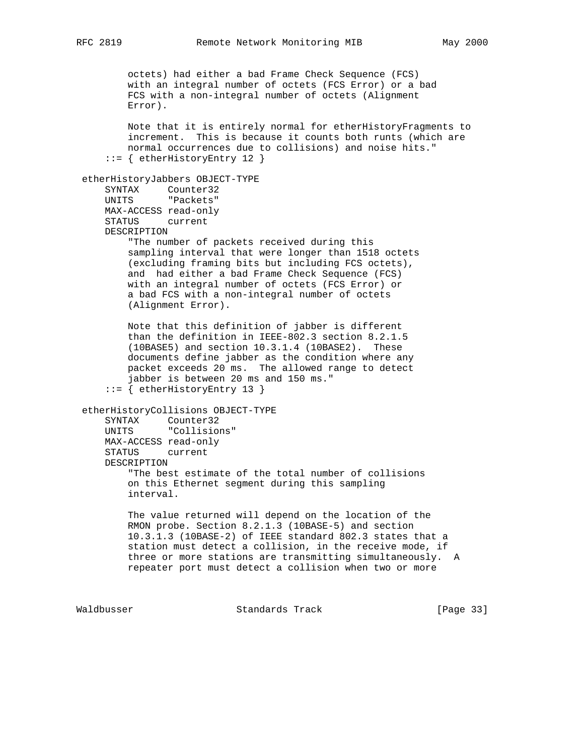octets) had either a bad Frame Check Sequence (FCS) with an integral number of octets (FCS Error) or a bad FCS with a non-integral number of octets (Alignment Error). Note that it is entirely normal for etherHistoryFragments to increment. This is because it counts both runts (which are normal occurrences due to collisions) and noise hits." ::= { etherHistoryEntry 12 } etherHistoryJabbers OBJECT-TYPE SYNTAX Counter32 UNITS "Packets" MAX-ACCESS read-only STATUS current DESCRIPTION "The number of packets received during this sampling interval that were longer than 1518 octets (excluding framing bits but including FCS octets), and had either a bad Frame Check Sequence (FCS) with an integral number of octets (FCS Error) or a bad FCS with a non-integral number of octets (Alignment Error). Note that this definition of jabber is different than the definition in IEEE-802.3 section 8.2.1.5 (10BASE5) and section 10.3.1.4 (10BASE2). These documents define jabber as the condition where any packet exceeds 20 ms. The allowed range to detect jabber is between 20 ms and 150 ms." ::= { etherHistoryEntry 13 } etherHistoryCollisions OBJECT-TYPE SYNTAX Counter32 UNITS "Collisions" MAX-ACCESS read-only STATUS current DESCRIPTION "The best estimate of the total number of collisions on this Ethernet segment during this sampling interval. The value returned will depend on the location of the RMON probe. Section 8.2.1.3 (10BASE-5) and section 10.3.1.3 (10BASE-2) of IEEE standard 802.3 states that a station must detect a collision, in the receive mode, if three or more stations are transmitting simultaneously. A repeater port must detect a collision when two or more

Waldbusser **Standards Track** [Page 33]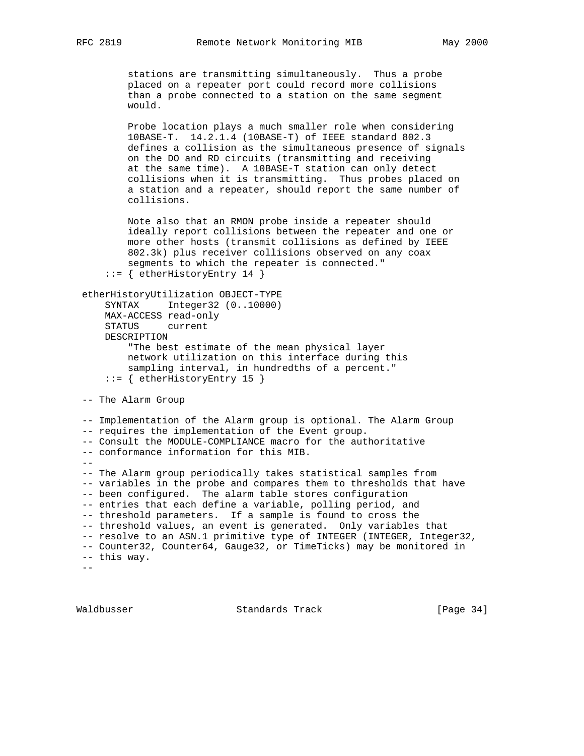stations are transmitting simultaneously. Thus a probe placed on a repeater port could record more collisions than a probe connected to a station on the same segment would.

 Probe location plays a much smaller role when considering 10BASE-T. 14.2.1.4 (10BASE-T) of IEEE standard 802.3 defines a collision as the simultaneous presence of signals on the DO and RD circuits (transmitting and receiving at the same time). A 10BASE-T station can only detect collisions when it is transmitting. Thus probes placed on a station and a repeater, should report the same number of collisions.

 Note also that an RMON probe inside a repeater should ideally report collisions between the repeater and one or more other hosts (transmit collisions as defined by IEEE 802.3k) plus receiver collisions observed on any coax segments to which the repeater is connected."

```
 ::= { etherHistoryEntry 14 }
```

```
 etherHistoryUtilization OBJECT-TYPE
```
 SYNTAX Integer32 (0..10000) MAX-ACCESS read-only STATUS current DESCRIPTION "The best estimate of the mean physical layer network utilization on this interface during this sampling interval, in hundredths of a percent." ::= { etherHistoryEntry 15 }

-- The Alarm Group

 -- Implementation of the Alarm group is optional. The Alarm Group -- requires the implementation of the Event group. -- Consult the MODULE-COMPLIANCE macro for the authoritative -- conformance information for this MIB. -- -- The Alarm group periodically takes statistical samples from -- variables in the probe and compares them to thresholds that have -- been configured. The alarm table stores configuration -- entries that each define a variable, polling period, and -- threshold parameters. If a sample is found to cross the -- threshold values, an event is generated. Only variables that -- resolve to an ASN.1 primitive type of INTEGER (INTEGER, Integer32, -- Counter32, Counter64, Gauge32, or TimeTicks) may be monitored in -- this way.  $-1$ 

Waldbusser Standards Track [Page 34]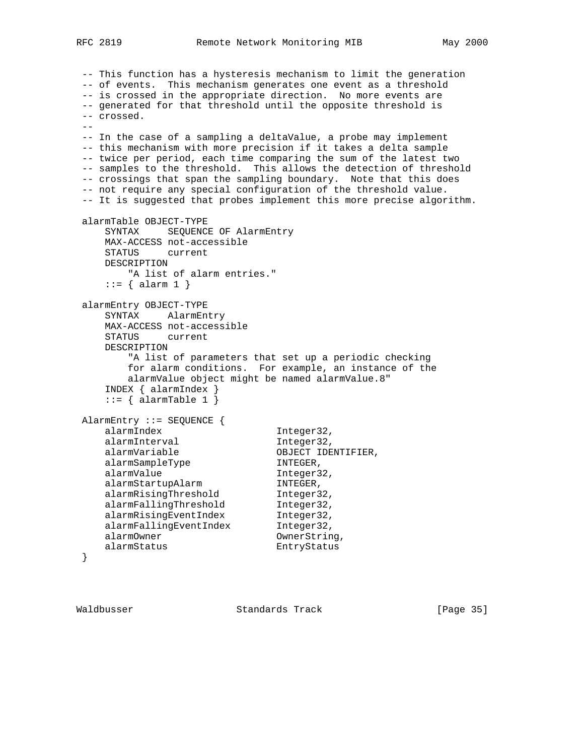```
 -- This function has a hysteresis mechanism to limit the generation
 -- of events. This mechanism generates one event as a threshold
-- is crossed in the appropriate direction. No more events are
 -- generated for that threshold until the opposite threshold is
 -- crossed.
- -- In the case of a sampling a deltaValue, a probe may implement
 -- this mechanism with more precision if it takes a delta sample
 -- twice per period, each time comparing the sum of the latest two
 -- samples to the threshold. This allows the detection of threshold
 -- crossings that span the sampling boundary. Note that this does
 -- not require any special configuration of the threshold value.
 -- It is suggested that probes implement this more precise algorithm.
 alarmTable OBJECT-TYPE
     SYNTAX SEQUENCE OF AlarmEntry
     MAX-ACCESS not-accessible
     STATUS current
     DESCRIPTION
        "A list of alarm entries."
    ::= { alarm 1 }
 alarmEntry OBJECT-TYPE
     SYNTAX AlarmEntry
     MAX-ACCESS not-accessible
     STATUS current
     DESCRIPTION
         "A list of parameters that set up a periodic checking
         for alarm conditions. For example, an instance of the
         alarmValue object might be named alarmValue.8"
     INDEX { alarmIndex }
    ::= { alarmTable 1 }
 AlarmEntry ::= SEQUENCE {
    alarmIndex Integer32,
    alarmInterval Integer32,<br>alarmVariable OBJECT IDE
                               OBJECT IDENTIFIER,<br>INTEGER,
    alarmSampleType INTEGER,<br>alarmValue Integer32,
alarmValue integer32,
alarmStartupAlarm INTEGER,
alarmRisingThreshold 1nteger32,
 alarmFallingThreshold Integer32,
 alarmRisingEventIndex Integer32,
 alarmFallingEventIndex Integer32,
alarmOwner OwnerString,
alarmStatus EntryStatus
 }
```
Waldbusser Standards Track [Page 35]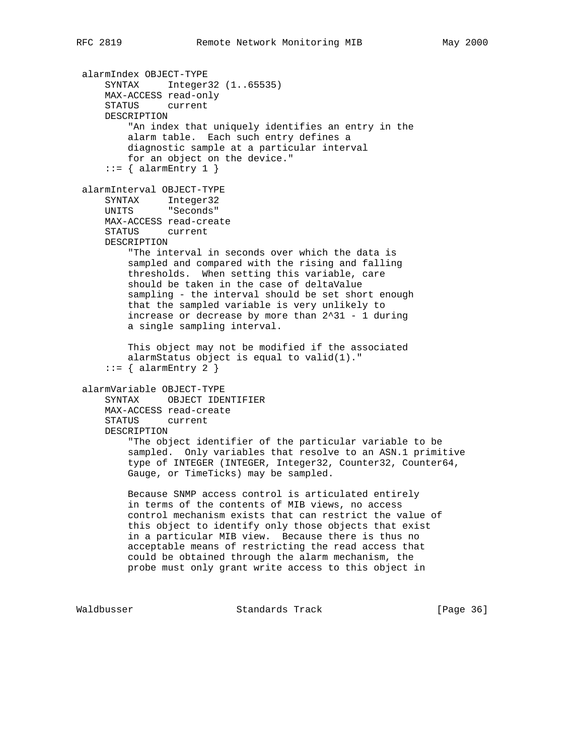```
 alarmIndex OBJECT-TYPE
     SYNTAX Integer32 (1..65535)
     MAX-ACCESS read-only
     STATUS current
     DESCRIPTION
          "An index that uniquely identifies an entry in the
         alarm table. Each such entry defines a
         diagnostic sample at a particular interval
         for an object on the device."
    ::= { alarmEntry 1 }
 alarmInterval OBJECT-TYPE
 SYNTAX Integer32
 UNITS "Seconds"
     MAX-ACCESS read-create
     STATUS current
     DESCRIPTION
         "The interval in seconds over which the data is
         sampled and compared with the rising and falling
         thresholds. When setting this variable, care
         should be taken in the case of deltaValue
         sampling - the interval should be set short enough
         that the sampled variable is very unlikely to
         increase or decrease by more than 2^31 - 1 during
         a single sampling interval.
         This object may not be modified if the associated
         alarmStatus object is equal to valid(1)."
    ::= { alarmEntry 2 }
 alarmVariable OBJECT-TYPE
     SYNTAX OBJECT IDENTIFIER
     MAX-ACCESS read-create
     STATUS current
     DESCRIPTION
          "The object identifier of the particular variable to be
         sampled. Only variables that resolve to an ASN.1 primitive
         type of INTEGER (INTEGER, Integer32, Counter32, Counter64,
         Gauge, or TimeTicks) may be sampled.
         Because SNMP access control is articulated entirely
         in terms of the contents of MIB views, no access
         control mechanism exists that can restrict the value of
         this object to identify only those objects that exist
         in a particular MIB view. Because there is thus no
         acceptable means of restricting the read access that
         could be obtained through the alarm mechanism, the
         probe must only grant write access to this object in
```
Waldbusser Standards Track [Page 36]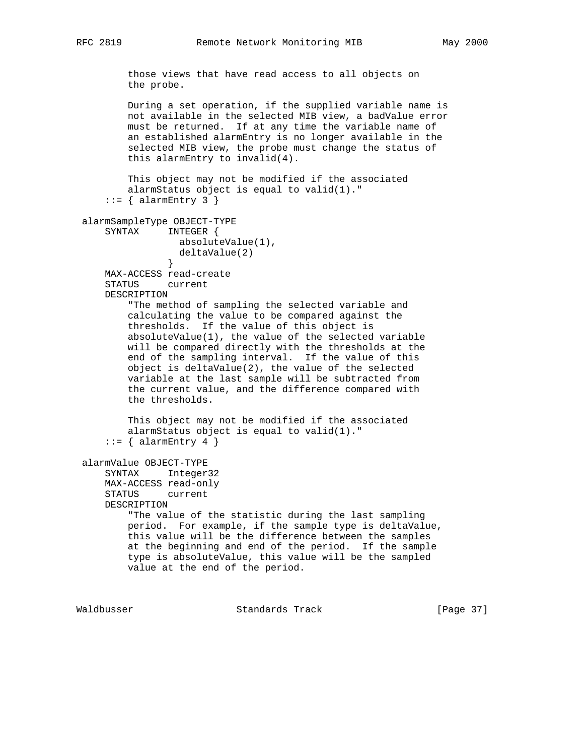those views that have read access to all objects on the probe. During a set operation, if the supplied variable name is not available in the selected MIB view, a badValue error must be returned. If at any time the variable name of an established alarmEntry is no longer available in the selected MIB view, the probe must change the status of this alarmEntry to invalid(4). This object may not be modified if the associated alarmStatus object is equal to valid(1)."  $::=$  { alarmEntry 3 } alarmSampleType OBJECT-TYPE SYNTAX INTEGER { absoluteValue(1), deltaValue(2) } MAX-ACCESS read-create STATUS current DESCRIPTION "The method of sampling the selected variable and calculating the value to be compared against the thresholds. If the value of this object is absoluteValue(1), the value of the selected variable will be compared directly with the thresholds at the end of the sampling interval. If the value of this object is deltaValue(2), the value of the selected variable at the last sample will be subtracted from the current value, and the difference compared with the thresholds. This object may not be modified if the associated alarmStatus object is equal to valid(1)."  $::=$  { alarmEntry 4 } alarmValue OBJECT-TYPE SYNTAX Integer32 MAX-ACCESS read-only STATUS current DESCRIPTION "The value of the statistic during the last sampling period. For example, if the sample type is deltaValue, this value will be the difference between the samples at the beginning and end of the period. If the sample type is absoluteValue, this value will be the sampled value at the end of the period.

Waldbusser Standards Track [Page 37]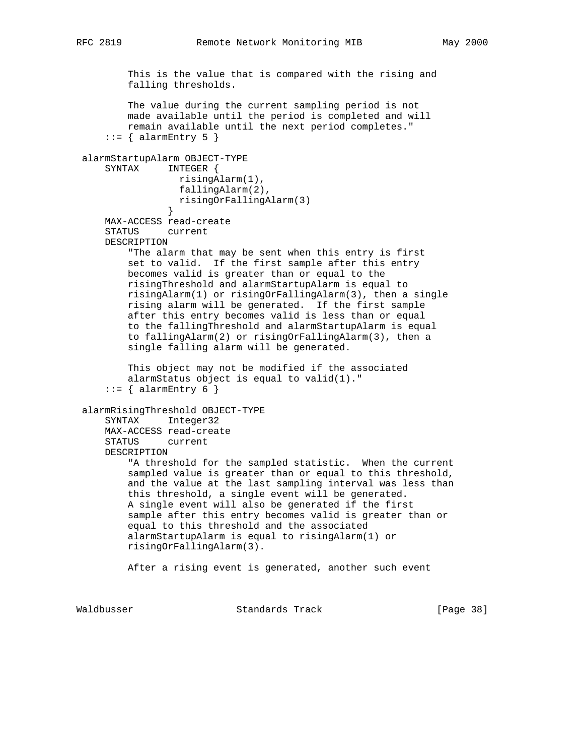```
 This is the value that is compared with the rising and
         falling thresholds.
         The value during the current sampling period is not
         made available until the period is completed and will
         remain available until the next period completes."
    ::= { alarmEntry 5 }
 alarmStartupAlarm OBJECT-TYPE
     SYNTAX INTEGER {
                  risingAlarm(1),
                  fallingAlarm(2),
                  risingOrFallingAlarm(3)
 }
     MAX-ACCESS read-create
     STATUS current
     DESCRIPTION
         "The alarm that may be sent when this entry is first
         set to valid. If the first sample after this entry
         becomes valid is greater than or equal to the
         risingThreshold and alarmStartupAlarm is equal to
         risingAlarm(1) or risingOrFallingAlarm(3), then a single
         rising alarm will be generated. If the first sample
         after this entry becomes valid is less than or equal
         to the fallingThreshold and alarmStartupAlarm is equal
         to fallingAlarm(2) or risingOrFallingAlarm(3), then a
         single falling alarm will be generated.
         This object may not be modified if the associated
         alarmStatus object is equal to valid(1)."
    ::= { alarmEntry 6 }
 alarmRisingThreshold OBJECT-TYPE
     SYNTAX Integer32
     MAX-ACCESS read-create
     STATUS current
     DESCRIPTION
          "A threshold for the sampled statistic. When the current
         sampled value is greater than or equal to this threshold,
         and the value at the last sampling interval was less than
         this threshold, a single event will be generated.
         A single event will also be generated if the first
         sample after this entry becomes valid is greater than or
         equal to this threshold and the associated
         alarmStartupAlarm is equal to risingAlarm(1) or
         risingOrFallingAlarm(3).
         After a rising event is generated, another such event
```
Waldbusser Standards Track [Page 38]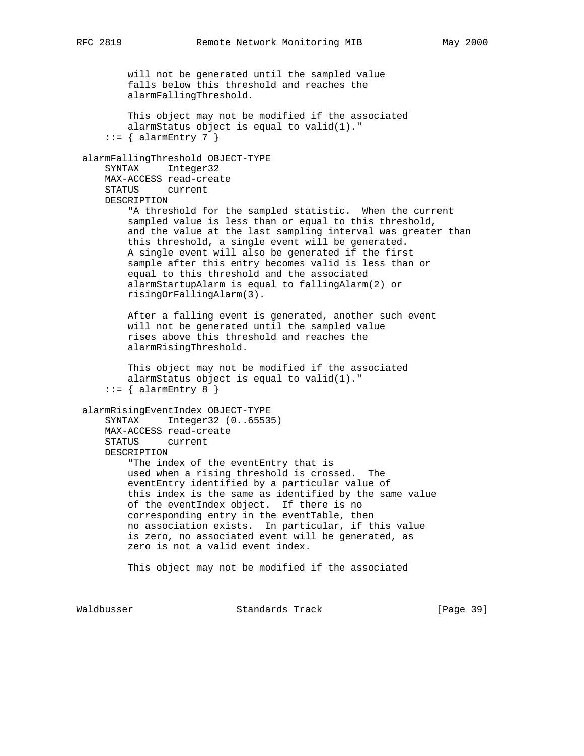```
 will not be generated until the sampled value
         falls below this threshold and reaches the
         alarmFallingThreshold.
         This object may not be modified if the associated
         alarmStatus object is equal to valid(1)."
    ::= { alarmEntry 7 }
 alarmFallingThreshold OBJECT-TYPE
     SYNTAX Integer32
    MAX-ACCESS read-create
    STATUS current
    DESCRIPTION
         "A threshold for the sampled statistic. When the current
         sampled value is less than or equal to this threshold,
         and the value at the last sampling interval was greater than
         this threshold, a single event will be generated.
         A single event will also be generated if the first
         sample after this entry becomes valid is less than or
         equal to this threshold and the associated
         alarmStartupAlarm is equal to fallingAlarm(2) or
         risingOrFallingAlarm(3).
        After a falling event is generated, another such event
         will not be generated until the sampled value
         rises above this threshold and reaches the
         alarmRisingThreshold.
         This object may not be modified if the associated
         alarmStatus object is equal to valid(1)."
    ::= { alarmEntry 8 }
 alarmRisingEventIndex OBJECT-TYPE
     SYNTAX Integer32 (0..65535)
    MAX-ACCESS read-create
    STATUS current
    DESCRIPTION
         "The index of the eventEntry that is
         used when a rising threshold is crossed. The
         eventEntry identified by a particular value of
         this index is the same as identified by the same value
         of the eventIndex object. If there is no
         corresponding entry in the eventTable, then
         no association exists. In particular, if this value
         is zero, no associated event will be generated, as
         zero is not a valid event index.
         This object may not be modified if the associated
```
Waldbusser Standards Track [Page 39]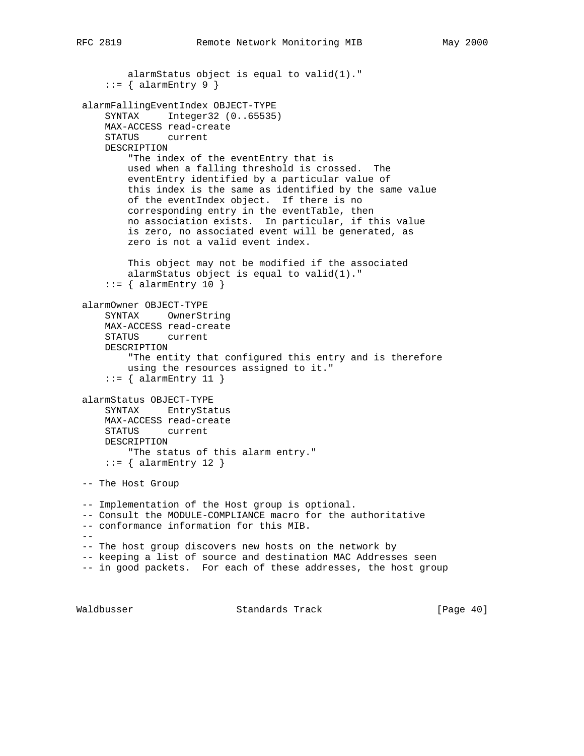```
 alarmStatus object is equal to valid(1)."
    ::= { alarmEntry 9 }
 alarmFallingEventIndex OBJECT-TYPE
     SYNTAX Integer32 (0..65535)
     MAX-ACCESS read-create
     STATUS current
     DESCRIPTION
         "The index of the eventEntry that is
         used when a falling threshold is crossed. The
         eventEntry identified by a particular value of
         this index is the same as identified by the same value
         of the eventIndex object. If there is no
         corresponding entry in the eventTable, then
         no association exists. In particular, if this value
         is zero, no associated event will be generated, as
         zero is not a valid event index.
         This object may not be modified if the associated
         alarmStatus object is equal to valid(1)."
    ::= { alarmEntry 10 }
 alarmOwner OBJECT-TYPE
     SYNTAX OwnerString
    MAX-ACCESS read-create
     STATUS current
     DESCRIPTION
         "The entity that configured this entry and is therefore
        using the resources assigned to it."
    ::= { alarmEntry 11 }
 alarmStatus OBJECT-TYPE
    SYNTAX EntryStatus
    MAX-ACCESS read-create
     STATUS current
    DESCRIPTION
        "The status of this alarm entry."
    ::= { alarmEntry 12 }
 -- The Host Group
 -- Implementation of the Host group is optional.
 -- Consult the MODULE-COMPLIANCE macro for the authoritative
 -- conformance information for this MIB.
- - -- The host group discovers new hosts on the network by
 -- keeping a list of source and destination MAC Addresses seen
-- in good packets. For each of these addresses, the host group
```
Waldbusser Standards Track [Page 40]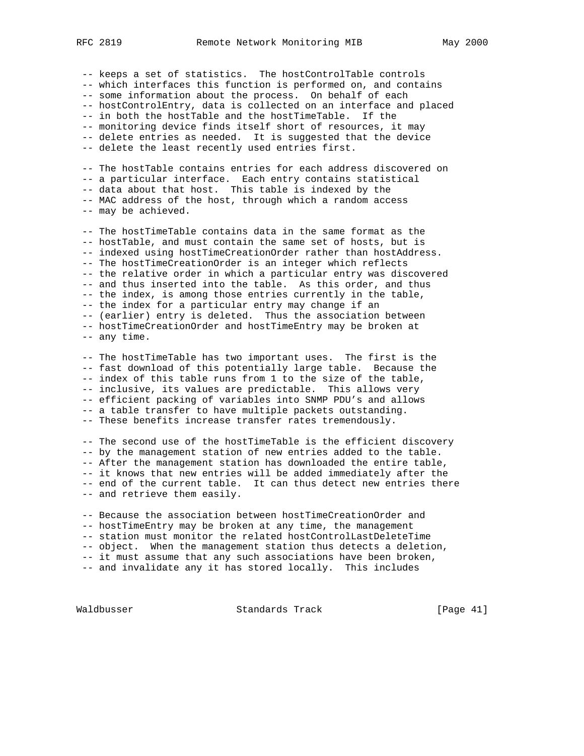-- keeps a set of statistics. The hostControlTable controls -- which interfaces this function is performed on, and contains -- some information about the process. On behalf of each -- hostControlEntry, data is collected on an interface and placed -- in both the hostTable and the hostTimeTable. If the -- monitoring device finds itself short of resources, it may -- delete entries as needed. It is suggested that the device -- delete the least recently used entries first.

 -- The hostTable contains entries for each address discovered on -- a particular interface. Each entry contains statistical -- data about that host. This table is indexed by the -- MAC address of the host, through which a random access -- may be achieved.

 -- The hostTimeTable contains data in the same format as the -- hostTable, and must contain the same set of hosts, but is -- indexed using hostTimeCreationOrder rather than hostAddress. -- The hostTimeCreationOrder is an integer which reflects -- the relative order in which a particular entry was discovered -- and thus inserted into the table. As this order, and thus -- the index, is among those entries currently in the table, -- the index for a particular entry may change if an -- (earlier) entry is deleted. Thus the association between -- hostTimeCreationOrder and hostTimeEntry may be broken at -- any time.

 -- The hostTimeTable has two important uses. The first is the -- fast download of this potentially large table. Because the -- index of this table runs from 1 to the size of the table, -- inclusive, its values are predictable. This allows very -- efficient packing of variables into SNMP PDU's and allows -- a table transfer to have multiple packets outstanding. -- These benefits increase transfer rates tremendously.

 -- The second use of the hostTimeTable is the efficient discovery -- by the management station of new entries added to the table. -- After the management station has downloaded the entire table, -- it knows that new entries will be added immediately after the -- end of the current table. It can thus detect new entries there -- and retrieve them easily.

 -- Because the association between hostTimeCreationOrder and -- hostTimeEntry may be broken at any time, the management -- station must monitor the related hostControlLastDeleteTime -- object. When the management station thus detects a deletion, -- it must assume that any such associations have been broken, -- and invalidate any it has stored locally. This includes

Waldbusser Standards Track [Page 41]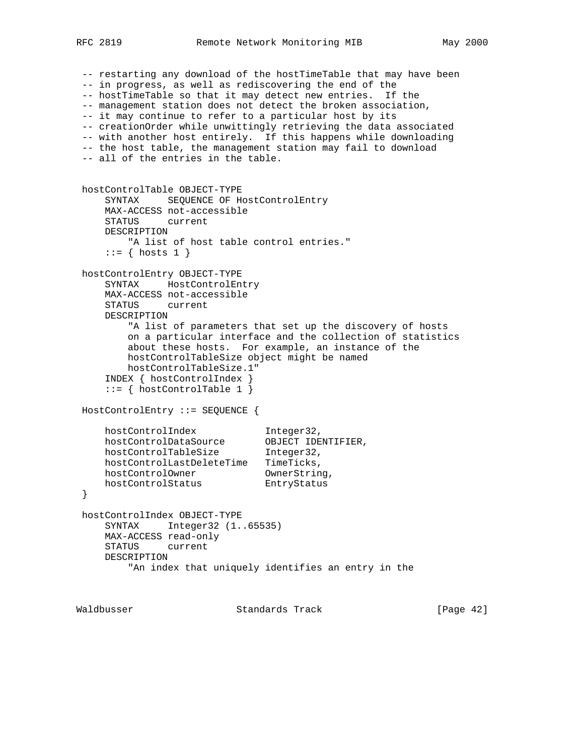-- restarting any download of the hostTimeTable that may have been -- in progress, as well as rediscovering the end of the -- hostTimeTable so that it may detect new entries. If the -- management station does not detect the broken association, -- it may continue to refer to a particular host by its -- creationOrder while unwittingly retrieving the data associated -- with another host entirely. If this happens while downloading -- the host table, the management station may fail to download -- all of the entries in the table. hostControlTable OBJECT-TYPE SYNTAX SEQUENCE OF HostControlEntry MAX-ACCESS not-accessible STATUS current DESCRIPTION "A list of host table control entries."  $::=$  { hosts 1 } hostControlEntry OBJECT-TYPE SYNTAX HostControlEntry MAX-ACCESS not-accessible STATUS current DESCRIPTION "A list of parameters that set up the discovery of hosts on a particular interface and the collection of statistics about these hosts. For example, an instance of the hostControlTableSize object might be named hostControlTableSize.1" INDEX { hostControlIndex }  $::=$  { hostControlTable 1 } HostControlEntry ::= SEQUENCE { hostControlIndex Integer32, hostControlDataSource OBJECT IDENTIFIER, hostControlTableSize Integer32, hostControlLastDeleteTime TimeTicks, hostControlOwner **OwnerString**, hostControlStatus EntryStatus } hostControlIndex OBJECT-TYPE SYNTAX Integer32 (1..65535) MAX-ACCESS read-only STATUS current DESCRIPTION "An index that uniquely identifies an entry in the

Waldbusser Standards Track [Page 42]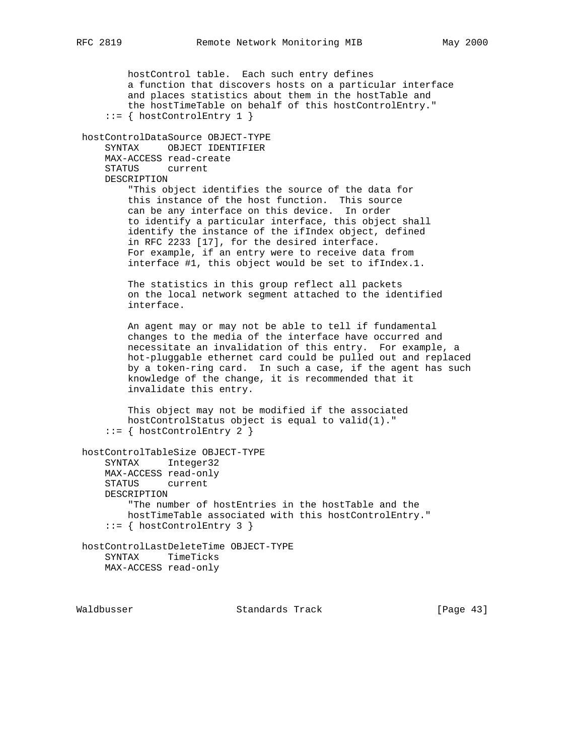hostControl table. Each such entry defines a function that discovers hosts on a particular interface and places statistics about them in the hostTable and the hostTimeTable on behalf of this hostControlEntry."  $::=$  { hostControlEntry 1 } hostControlDataSource OBJECT-TYPE SYNTAX OBJECT IDENTIFIER MAX-ACCESS read-create STATUS current DESCRIPTION "This object identifies the source of the data for this instance of the host function. This source can be any interface on this device. In order to identify a particular interface, this object shall identify the instance of the ifIndex object, defined in RFC 2233 [17], for the desired interface. For example, if an entry were to receive data from interface #1, this object would be set to ifIndex.1. The statistics in this group reflect all packets on the local network segment attached to the identified interface. An agent may or may not be able to tell if fundamental changes to the media of the interface have occurred and necessitate an invalidation of this entry. For example, a hot-pluggable ethernet card could be pulled out and replaced by a token-ring card. In such a case, if the agent has such knowledge of the change, it is recommended that it invalidate this entry. This object may not be modified if the associated hostControlStatus object is equal to valid(1)." ::= { hostControlEntry 2 } hostControlTableSize OBJECT-TYPE SYNTAX Integer32 MAX-ACCESS read-only STATUS current DESCRIPTION "The number of hostEntries in the hostTable and the hostTimeTable associated with this hostControlEntry."  $::= \{ hostController$  3  $\}$  hostControlLastDeleteTime OBJECT-TYPE SYNTAX TimeTicks MAX-ACCESS read-only Waldbusser Standards Track [Page 43]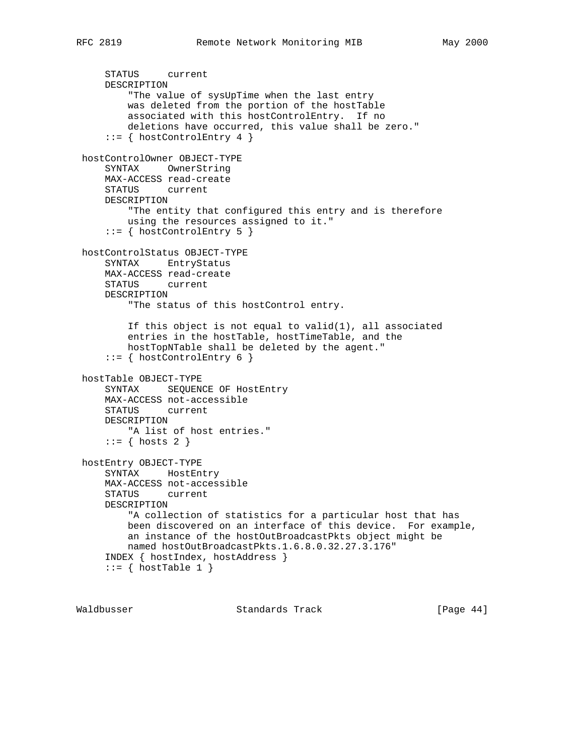```
 STATUS current
     DESCRIPTION
         "The value of sysUpTime when the last entry
         was deleted from the portion of the hostTable
         associated with this hostControlEntry. If no
         deletions have occurred, this value shall be zero."
     ::= { hostControlEntry 4 }
 hostControlOwner OBJECT-TYPE
     SYNTAX OwnerString
    MAX-ACCESS read-create
    STATUS current
     DESCRIPTION
         "The entity that configured this entry and is therefore
        using the resources assigned to it."
     ::= { hostControlEntry 5 }
 hostControlStatus OBJECT-TYPE
    SYNTAX EntryStatus
    MAX-ACCESS read-create
    STATUS current
     DESCRIPTION
         "The status of this hostControl entry.
         If this object is not equal to valid(1), all associated
         entries in the hostTable, hostTimeTable, and the
         hostTopNTable shall be deleted by the agent."
     ::= { hostControlEntry 6 }
 hostTable OBJECT-TYPE
    SYNTAX SEQUENCE OF HostEntry
    MAX-ACCESS not-accessible
    STATUS current
     DESCRIPTION
         "A list of host entries."
    ::= { hosts 2 }
 hostEntry OBJECT-TYPE
     SYNTAX HostEntry
     MAX-ACCESS not-accessible
     STATUS current
     DESCRIPTION
         "A collection of statistics for a particular host that has
         been discovered on an interface of this device. For example,
         an instance of the hostOutBroadcastPkts object might be
         named hostOutBroadcastPkts.1.6.8.0.32.27.3.176"
     INDEX { hostIndex, hostAddress }
    ::= { hostTable 1 }
```
Waldbusser Standards Track [Page 44]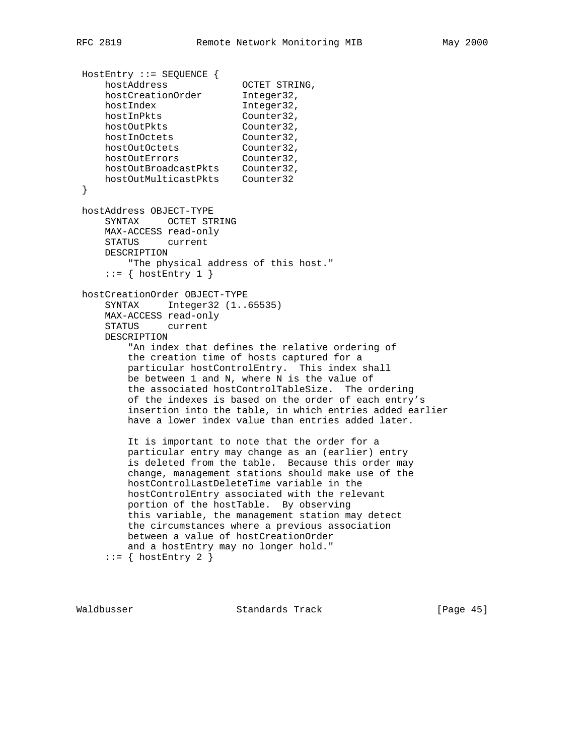```
 HostEntry ::= SEQUENCE {
hostAddress OCTET STRING,
hostCreationOrder Integer32,
hostIndex 1nteger32,
hostInPkts Counter32,
hostOutPkts Counter32,
hostInOctets Counter32,
hostOutOctets Counter32,
hostOutErrors Counter32,
   hostOutBroadcastPkts Counter32,
    hostOutMulticastPkts Counter32
 }
 hostAddress OBJECT-TYPE
     SYNTAX OCTET STRING
     MAX-ACCESS read-only
     STATUS current
     DESCRIPTION
        "The physical address of this host."
    ::= \{ hostEntry 1 \} hostCreationOrder OBJECT-TYPE
     SYNTAX Integer32 (1..65535)
     MAX-ACCESS read-only
     STATUS current
     DESCRIPTION
         "An index that defines the relative ordering of
         the creation time of hosts captured for a
         particular hostControlEntry. This index shall
         be between 1 and N, where N is the value of
        the associated hostControlTableSize. The ordering
         of the indexes is based on the order of each entry's
         insertion into the table, in which entries added earlier
         have a lower index value than entries added later.
         It is important to note that the order for a
         particular entry may change as an (earlier) entry
         is deleted from the table. Because this order may
         change, management stations should make use of the
         hostControlLastDeleteTime variable in the
         hostControlEntry associated with the relevant
         portion of the hostTable. By observing
         this variable, the management station may detect
         the circumstances where a previous association
         between a value of hostCreationOrder
         and a hostEntry may no longer hold."
    ::= { hostEntry 2 }
```
Waldbusser Standards Track [Page 45]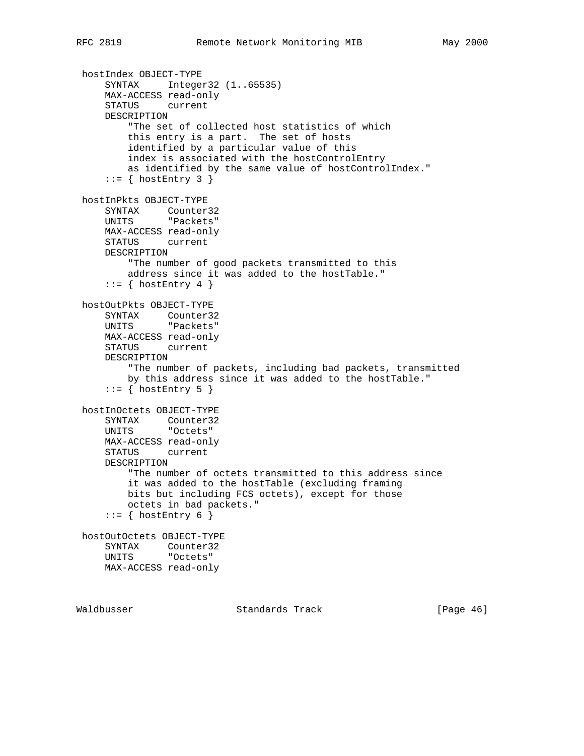hostIndex OBJECT-TYPE SYNTAX Integer32 (1..65535) MAX-ACCESS read-only STATUS current DESCRIPTION "The set of collected host statistics of which this entry is a part. The set of hosts identified by a particular value of this index is associated with the hostControlEntry as identified by the same value of hostControlIndex."  $::=$  { hostEntry 3 } hostInPkts OBJECT-TYPE SYNTAX Counter32 UNITS "Packets" MAX-ACCESS read-only STATUS current DESCRIPTION "The number of good packets transmitted to this address since it was added to the hostTable."  $::=$  { hostEntry 4 } hostOutPkts OBJECT-TYPE SYNTAX Counter32 UNITS "Packets" MAX-ACCESS read-only STATUS current DESCRIPTION "The number of packets, including bad packets, transmitted by this address since it was added to the hostTable."  $::=$  { hostEntry 5 } hostInOctets OBJECT-TYPE SYNTAX Counter32 UNITS "Octets" MAX-ACCESS read-only STATUS current DESCRIPTION "The number of octets transmitted to this address since it was added to the hostTable (excluding framing bits but including FCS octets), except for those octets in bad packets."  $::=$  { hostEntry 6 } hostOutOctets OBJECT-TYPE SYNTAX Counter32 UNITS "Octets" MAX-ACCESS read-only

Waldbusser Standards Track [Page 46]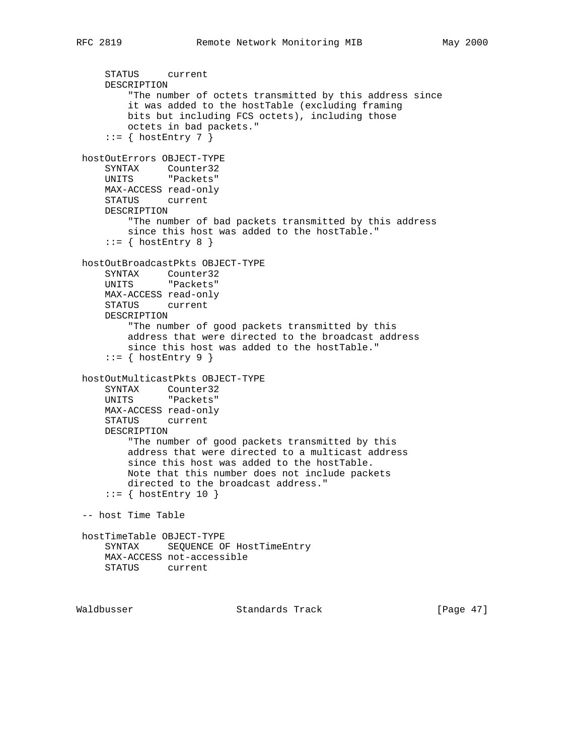```
 STATUS current
     DESCRIPTION
         "The number of octets transmitted by this address since
         it was added to the hostTable (excluding framing
         bits but including FCS octets), including those
         octets in bad packets."
    ::= { hostEntry 7 }
 hostOutErrors OBJECT-TYPE
 SYNTAX Counter32
 UNITS "Packets"
     MAX-ACCESS read-only
     STATUS current
     DESCRIPTION
         "The number of bad packets transmitted by this address
         since this host was added to the hostTable."
    ::= { hostEntry 8 }
 hostOutBroadcastPkts OBJECT-TYPE
     SYNTAX Counter32
     UNITS "Packets"
     MAX-ACCESS read-only
     STATUS current
     DESCRIPTION
         "The number of good packets transmitted by this
         address that were directed to the broadcast address
         since this host was added to the hostTable."
    ::= { hostEntry 9 }
 hostOutMulticastPkts OBJECT-TYPE
 SYNTAX Counter32
 UNITS "Packets"
     MAX-ACCESS read-only
     STATUS current
     DESCRIPTION
         "The number of good packets transmitted by this
         address that were directed to a multicast address
         since this host was added to the hostTable.
         Note that this number does not include packets
         directed to the broadcast address."
    ::= { hostEntry 10 }
 -- host Time Table
 hostTimeTable OBJECT-TYPE
     SYNTAX SEQUENCE OF HostTimeEntry
     MAX-ACCESS not-accessible
     STATUS current
```
Waldbusser Standards Track [Page 47]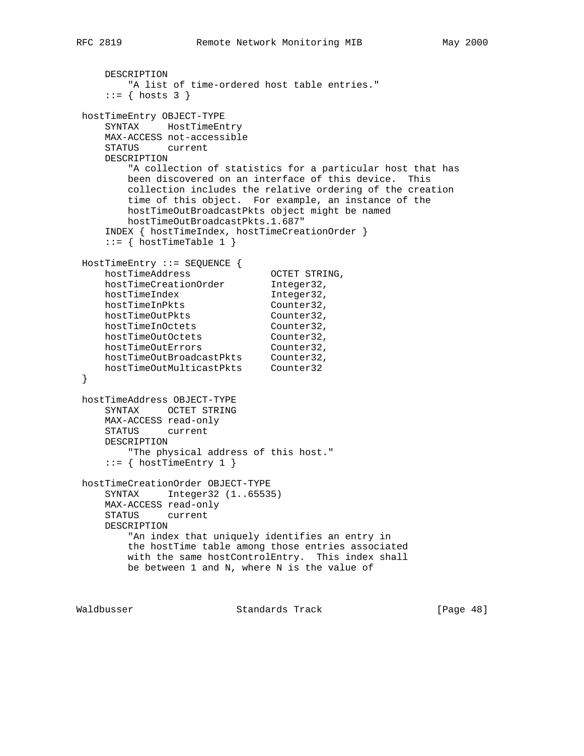```
 DESCRIPTION
        "A list of time-ordered host table entries."
    ::= { hosts 3 }
 hostTimeEntry OBJECT-TYPE
     SYNTAX HostTimeEntry
     MAX-ACCESS not-accessible
     STATUS current
     DESCRIPTION
        "A collection of statistics for a particular host that has
        been discovered on an interface of this device. This
        collection includes the relative ordering of the creation
        time of this object. For example, an instance of the
        hostTimeOutBroadcastPkts object might be named
        hostTimeOutBroadcastPkts.1.687"
     INDEX { hostTimeIndex, hostTimeCreationOrder }
    ::= { hostTimeTable 1 }
 HostTimeEntry ::= SEQUENCE {
hostTimeAddress OCTET STRING,
hostTimeCreationOrder 1nteger32,
hostTimeIndex 1nteger32,
hostTimeInPkts Counter32,
hostTimeOutPkts Counter32,
hostTimeInOctets Counter32,
hostTimeOutOctets Counter32,
hostTimeOutErrors Counter32,
 hostTimeOutBroadcastPkts Counter32,
 hostTimeOutMulticastPkts Counter32
 }
 hostTimeAddress OBJECT-TYPE
     SYNTAX OCTET STRING
     MAX-ACCESS read-only
     STATUS current
     DESCRIPTION
        "The physical address of this host."
    ::= { hostTimeEntry 1 }
 hostTimeCreationOrder OBJECT-TYPE
     SYNTAX Integer32 (1..65535)
     MAX-ACCESS read-only
     STATUS current
     DESCRIPTION
        "An index that uniquely identifies an entry in
        the hostTime table among those entries associated
        with the same hostControlEntry. This index shall
        be between 1 and N, where N is the value of
```
Waldbusser **Standards Track** [Page 48]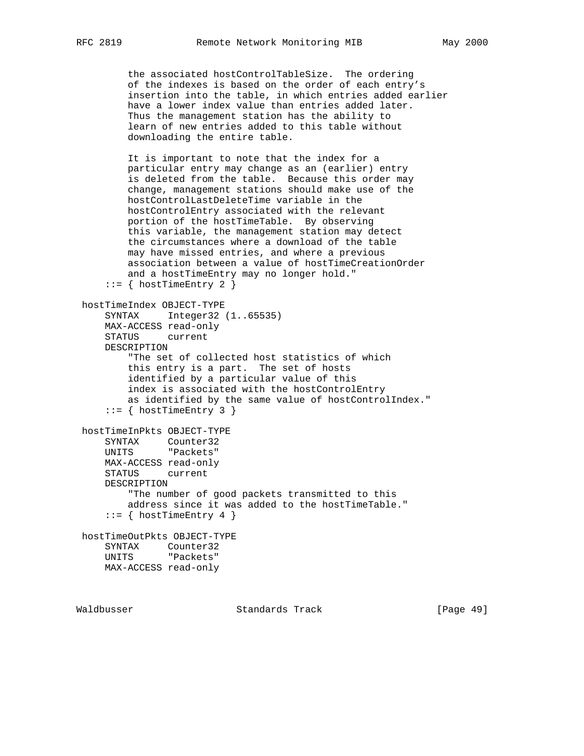the associated hostControlTableSize. The ordering of the indexes is based on the order of each entry's insertion into the table, in which entries added earlier have a lower index value than entries added later. Thus the management station has the ability to learn of new entries added to this table without downloading the entire table.

 It is important to note that the index for a particular entry may change as an (earlier) entry is deleted from the table. Because this order may change, management stations should make use of the hostControlLastDeleteTime variable in the hostControlEntry associated with the relevant portion of the hostTimeTable. By observing this variable, the management station may detect the circumstances where a download of the table may have missed entries, and where a previous association between a value of hostTimeCreationOrder and a hostTimeEntry may no longer hold."  $::=$  { hostTimeEntry 2 }

```
 hostTimeIndex OBJECT-TYPE
     SYNTAX Integer32 (1..65535)
     MAX-ACCESS read-only
     STATUS current
     DESCRIPTION
         "The set of collected host statistics of which
         this entry is a part. The set of hosts
         identified by a particular value of this
         index is associated with the hostControlEntry
         as identified by the same value of hostControlIndex."
    ::= { hostTimeEntry 3 }
 hostTimeInPkts OBJECT-TYPE
    SYNTAX Counter32
    UNITS "Packets"
     MAX-ACCESS read-only
     STATUS current
     DESCRIPTION
         "The number of good packets transmitted to this
        address since it was added to the hostTimeTable."
    ::= { hostTimeEntry 4 }
 hostTimeOutPkts OBJECT-TYPE
    SYNTAX Counter32
    UNITS "Packets"
    MAX-ACCESS read-only
```
Waldbusser Standards Track [Page 49]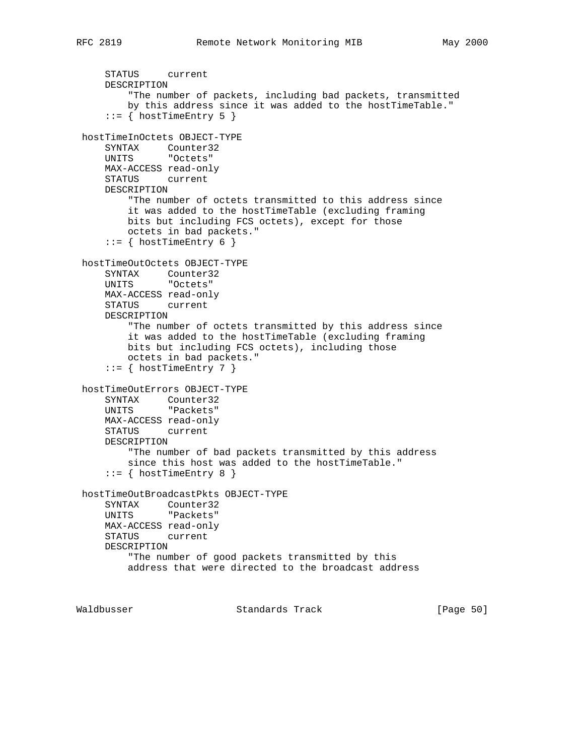```
 STATUS current
     DESCRIPTION
         "The number of packets, including bad packets, transmitted
         by this address since it was added to the hostTimeTable."
    ::= { hostTimeEntry 5 }
 hostTimeInOctets OBJECT-TYPE
     SYNTAX Counter32
     UNITS "Octets"
     MAX-ACCESS read-only
     STATUS current
     DESCRIPTION
         "The number of octets transmitted to this address since
         it was added to the hostTimeTable (excluding framing
         bits but including FCS octets), except for those
         octets in bad packets."
    ::= { hostTimeEntry 6 }
 hostTimeOutOctets OBJECT-TYPE
 SYNTAX Counter32
 UNITS "Octets"
     MAX-ACCESS read-only
     STATUS current
     DESCRIPTION
         "The number of octets transmitted by this address since
         it was added to the hostTimeTable (excluding framing
         bits but including FCS octets), including those
         octets in bad packets."
    ::= { hostTimeEntry 7 }
 hostTimeOutErrors OBJECT-TYPE
 SYNTAX Counter32
 UNITS "Packets"
     MAX-ACCESS read-only
     STATUS current
     DESCRIPTION
         "The number of bad packets transmitted by this address
         since this host was added to the hostTimeTable."
    ::= { hostTimeEntry 8 }
 hostTimeOutBroadcastPkts OBJECT-TYPE
     SYNTAX Counter32
     UNITS "Packets"
     MAX-ACCESS read-only
     STATUS current
     DESCRIPTION
         "The number of good packets transmitted by this
         address that were directed to the broadcast address
```
Waldbusser Standards Track [Page 50]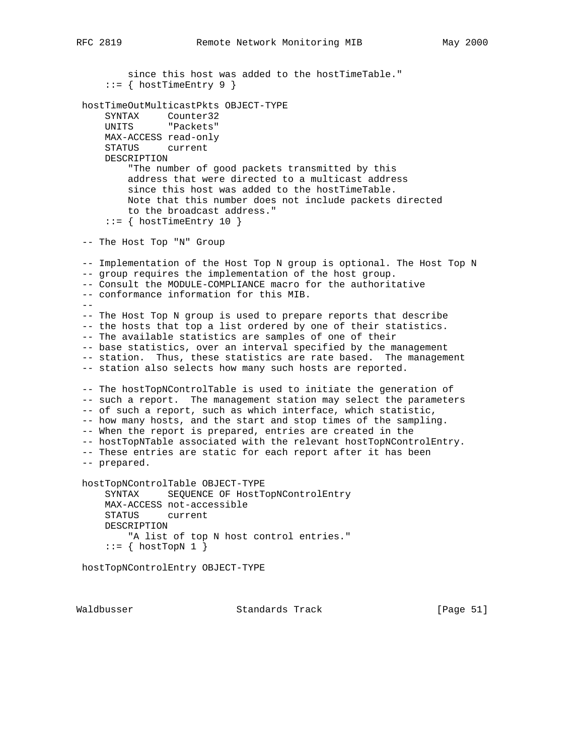```
 since this host was added to the hostTimeTable."
    ::= { hostTimeEntry 9 }
 hostTimeOutMulticastPkts OBJECT-TYPE
 SYNTAX Counter32
 UNITS "Packets"
     MAX-ACCESS read-only
     STATUS current
     DESCRIPTION
         "The number of good packets transmitted by this
         address that were directed to a multicast address
         since this host was added to the hostTimeTable.
         Note that this number does not include packets directed
         to the broadcast address."
    ::= { hostTimeEntry 10 }
 -- The Host Top "N" Group
 -- Implementation of the Host Top N group is optional. The Host Top N
 -- group requires the implementation of the host group.
 -- Consult the MODULE-COMPLIANCE macro for the authoritative
 -- conformance information for this MIB.
- -- The Host Top N group is used to prepare reports that describe
 -- the hosts that top a list ordered by one of their statistics.
 -- The available statistics are samples of one of their
 -- base statistics, over an interval specified by the management
 -- station. Thus, these statistics are rate based. The management
 -- station also selects how many such hosts are reported.
 -- The hostTopNControlTable is used to initiate the generation of
 -- such a report. The management station may select the parameters
 -- of such a report, such as which interface, which statistic,
 -- how many hosts, and the start and stop times of the sampling.
 -- When the report is prepared, entries are created in the
 -- hostTopNTable associated with the relevant hostTopNControlEntry.
 -- These entries are static for each report after it has been
 -- prepared.
 hostTopNControlTable OBJECT-TYPE
     SYNTAX SEQUENCE OF HostTopNControlEntry
     MAX-ACCESS not-accessible
     STATUS current
     DESCRIPTION
         "A list of top N host control entries."
    ::= { hostTopN 1 }
 hostTopNControlEntry OBJECT-TYPE
```
Waldbusser Standards Track [Page 51]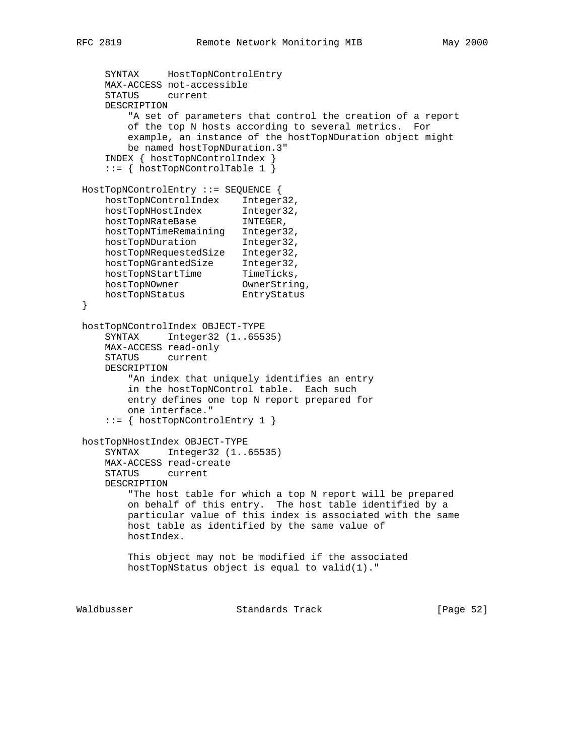```
 SYNTAX HostTopNControlEntry
     MAX-ACCESS not-accessible
     STATUS current
     DESCRIPTION
         "A set of parameters that control the creation of a report
         of the top N hosts according to several metrics. For
         example, an instance of the hostTopNDuration object might
         be named hostTopNDuration.3"
     INDEX { hostTopNControlIndex }
     ::= { hostTopNControlTable 1 }
 HostTopNControlEntry ::= SEQUENCE {
     hostTopNControlIndex Integer32,
 hostTopNHostIndex Integer32,
 hostTopNRateBase INTEGER,
 hostTopNTimeRemaining Integer32,
    hostTopNDuration Integer32,
     hostTopNRequestedSize Integer32,
 hostTopNGrantedSize Integer32,
hostTopNStartTime TimeTicks,
hostTopNOwner OwnerString,
 hostTopNStatus EntryStatus
 }
 hostTopNControlIndex OBJECT-TYPE
     SYNTAX Integer32 (1..65535)
     MAX-ACCESS read-only
     STATUS current
     DESCRIPTION
         "An index that uniquely identifies an entry
         in the hostTopNControl table. Each such
         entry defines one top N report prepared for
         one interface."
     ::= { hostTopNControlEntry 1 }
 hostTopNHostIndex OBJECT-TYPE
     SYNTAX Integer32 (1..65535)
     MAX-ACCESS read-create
     STATUS current
     DESCRIPTION
         "The host table for which a top N report will be prepared
         on behalf of this entry. The host table identified by a
         particular value of this index is associated with the same
         host table as identified by the same value of
         hostIndex.
         This object may not be modified if the associated
         hostTopNStatus object is equal to valid(1)."
```
Waldbusser Standards Track [Page 52]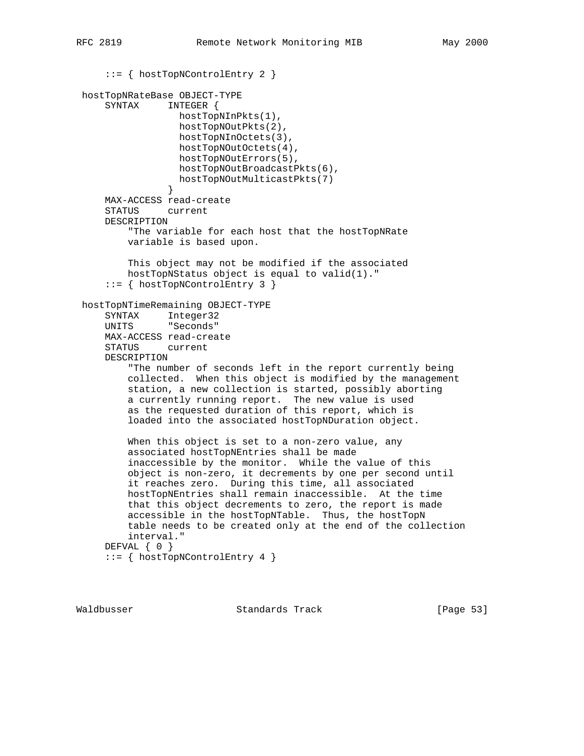```
 ::= { hostTopNControlEntry 2 }
 hostTopNRateBase OBJECT-TYPE
     SYNTAX INTEGER {
                  hostTopNInPkts(1),
                  hostTopNOutPkts(2),
                  hostTopNInOctets(3),
                  hostTopNOutOctets(4),
                  hostTopNOutErrors(5),
                  hostTopNOutBroadcastPkts(6),
                  hostTopNOutMulticastPkts(7)
 }
     MAX-ACCESS read-create
     STATUS current
     DESCRIPTION
         "The variable for each host that the hostTopNRate
         variable is based upon.
         This object may not be modified if the associated
         hostTopNStatus object is equal to valid(1)."
     ::= { hostTopNControlEntry 3 }
 hostTopNTimeRemaining OBJECT-TYPE
     SYNTAX Integer32
     UNITS "Seconds"
     MAX-ACCESS read-create
     STATUS current
     DESCRIPTION
          "The number of seconds left in the report currently being
         collected. When this object is modified by the management
         station, a new collection is started, possibly aborting
         a currently running report. The new value is used
         as the requested duration of this report, which is
         loaded into the associated hostTopNDuration object.
        When this object is set to a non-zero value, any
         associated hostTopNEntries shall be made
         inaccessible by the monitor. While the value of this
         object is non-zero, it decrements by one per second until
         it reaches zero. During this time, all associated
         hostTopNEntries shall remain inaccessible. At the time
         that this object decrements to zero, the report is made
         accessible in the hostTopNTable. Thus, the hostTopN
         table needs to be created only at the end of the collection
         interval."
     DEFVAL { 0 }
     ::= { hostTopNControlEntry 4 }
```
Waldbusser Standards Track [Page 53]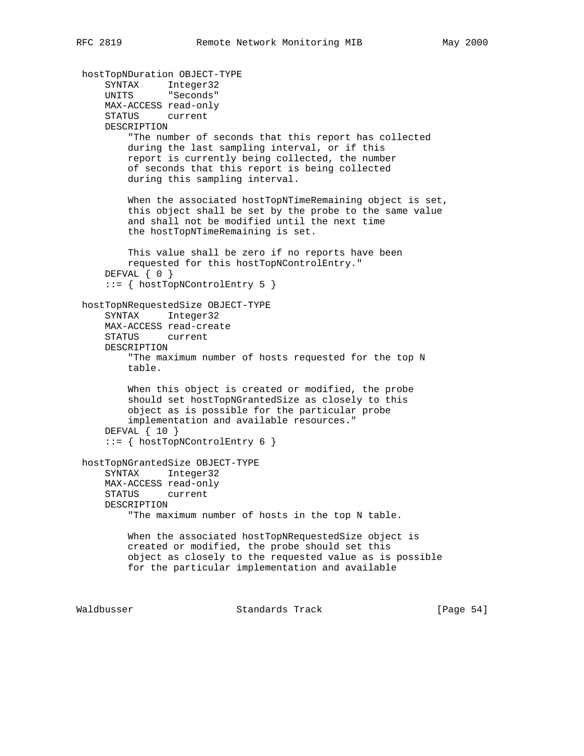```
 hostTopNDuration OBJECT-TYPE
 SYNTAX Integer32
 UNITS "Seconds"
     MAX-ACCESS read-only
     STATUS current
     DESCRIPTION
         "The number of seconds that this report has collected
         during the last sampling interval, or if this
         report is currently being collected, the number
         of seconds that this report is being collected
         during this sampling interval.
         When the associated hostTopNTimeRemaining object is set,
         this object shall be set by the probe to the same value
         and shall not be modified until the next time
         the hostTopNTimeRemaining is set.
         This value shall be zero if no reports have been
         requested for this hostTopNControlEntry."
     DEFVAL { 0 }
      ::= { hostTopNControlEntry 5 }
 hostTopNRequestedSize OBJECT-TYPE
     SYNTAX Integer32
     MAX-ACCESS read-create
     STATUS current
     DESCRIPTION
          "The maximum number of hosts requested for the top N
         table.
         When this object is created or modified, the probe
         should set hostTopNGrantedSize as closely to this
         object as is possible for the particular probe
         implementation and available resources."
     DEFVAL { 10 }
     ::= { hostTopNControlEntry 6 }
 hostTopNGrantedSize OBJECT-TYPE
     SYNTAX Integer32
     MAX-ACCESS read-only
     STATUS current
     DESCRIPTION
         "The maximum number of hosts in the top N table.
         When the associated hostTopNRequestedSize object is
         created or modified, the probe should set this
         object as closely to the requested value as is possible
         for the particular implementation and available
```
Waldbusser Standards Track [Page 54]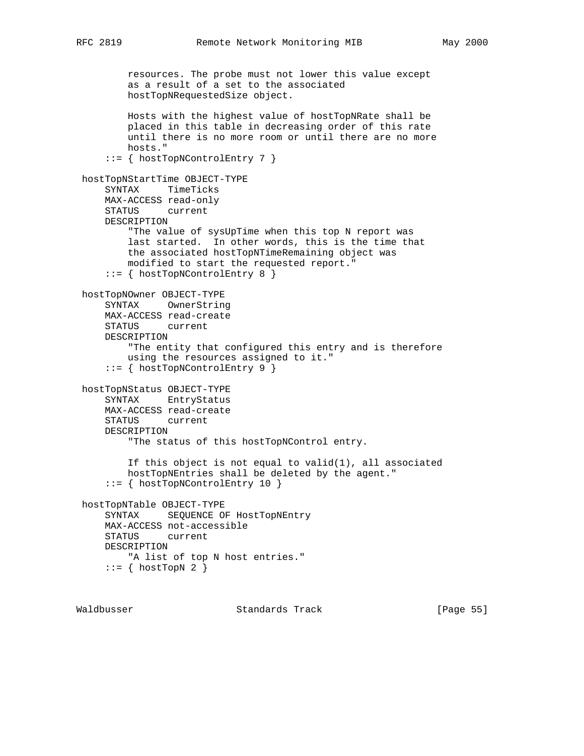```
 resources. The probe must not lower this value except
         as a result of a set to the associated
         hostTopNRequestedSize object.
         Hosts with the highest value of hostTopNRate shall be
         placed in this table in decreasing order of this rate
         until there is no more room or until there are no more
         hosts."
     ::= { hostTopNControlEntry 7 }
 hostTopNStartTime OBJECT-TYPE
     SYNTAX TimeTicks
    MAX-ACCESS read-only
     STATUS current
     DESCRIPTION
         "The value of sysUpTime when this top N report was
         last started. In other words, this is the time that
         the associated hostTopNTimeRemaining object was
         modified to start the requested report."
     ::= { hostTopNControlEntry 8 }
 hostTopNOwner OBJECT-TYPE
     SYNTAX OwnerString
    MAX-ACCESS read-create
    STATUS current
     DESCRIPTION
         "The entity that configured this entry and is therefore
         using the resources assigned to it."
     ::= { hostTopNControlEntry 9 }
 hostTopNStatus OBJECT-TYPE
     SYNTAX EntryStatus
    MAX-ACCESS read-create
     STATUS current
    DESCRIPTION
         "The status of this hostTopNControl entry.
         If this object is not equal to valid(1), all associated
         hostTopNEntries shall be deleted by the agent."
     ::= { hostTopNControlEntry 10 }
 hostTopNTable OBJECT-TYPE
     SYNTAX SEQUENCE OF HostTopNEntry
     MAX-ACCESS not-accessible
     STATUS current
     DESCRIPTION
        "A list of top N host entries."
    ::= { hostTopN 2 }
```
Waldbusser Standards Track [Page 55]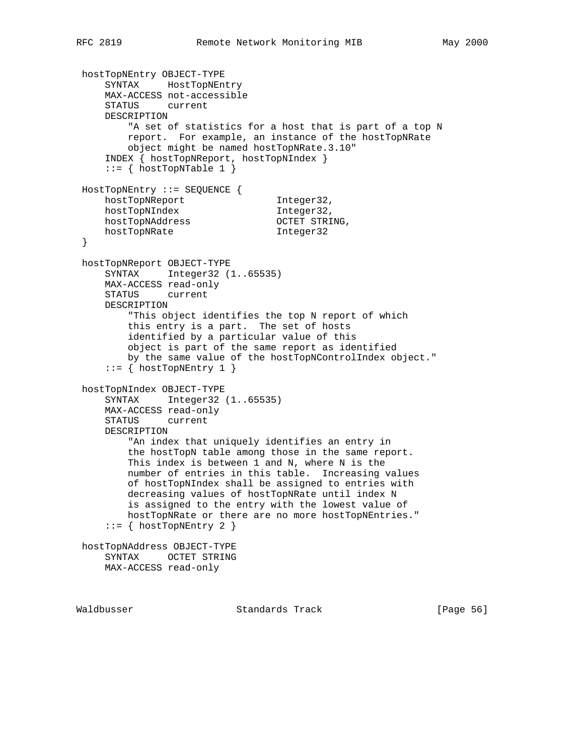```
 hostTopNEntry OBJECT-TYPE
     SYNTAX HostTopNEntry
     MAX-ACCESS not-accessible
     STATUS current
     DESCRIPTION
         "A set of statistics for a host that is part of a top N
         report. For example, an instance of the hostTopNRate
         object might be named hostTopNRate.3.10"
     INDEX { hostTopNReport, hostTopNIndex }
    ::= { hostTopNTable 1 }
 HostTopNEntry ::= SEQUENCE {
    hostTopNReport Integer32,
    hostTopNIndex Integer32,
hostTopNAddress OCTET STRING,
hostTopNRate Integer32
 }
 hostTopNReport OBJECT-TYPE
     SYNTAX Integer32 (1..65535)
     MAX-ACCESS read-only
     STATUS current
     DESCRIPTION
         "This object identifies the top N report of which
         this entry is a part. The set of hosts
         identified by a particular value of this
         object is part of the same report as identified
         by the same value of the hostTopNControlIndex object."
    ::= { hostTopNEntry 1 }
 hostTopNIndex OBJECT-TYPE
     SYNTAX Integer32 (1..65535)
     MAX-ACCESS read-only
     STATUS current
     DESCRIPTION
         "An index that uniquely identifies an entry in
         the hostTopN table among those in the same report.
         This index is between 1 and N, where N is the
         number of entries in this table. Increasing values
         of hostTopNIndex shall be assigned to entries with
         decreasing values of hostTopNRate until index N
         is assigned to the entry with the lowest value of
         hostTopNRate or there are no more hostTopNEntries."
    ::= { hostTopNEntry 2 }
 hostTopNAddress OBJECT-TYPE
     SYNTAX OCTET STRING
     MAX-ACCESS read-only
```
Waldbusser Standards Track [Page 56]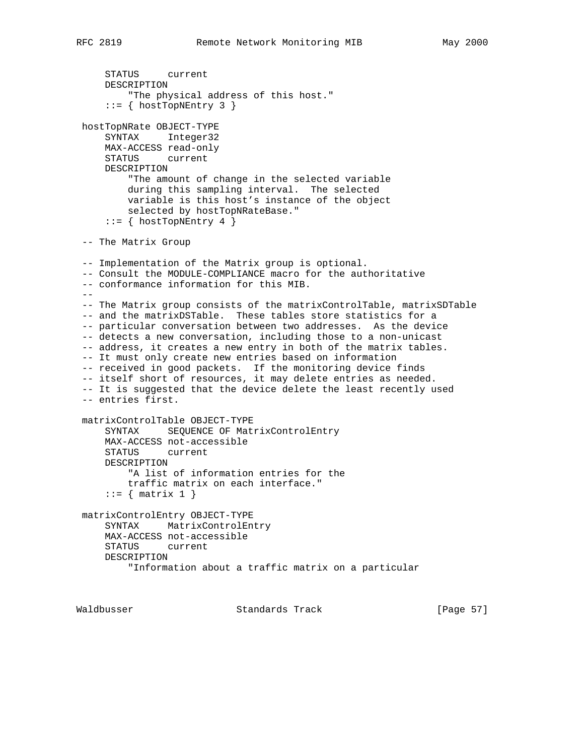STATUS current DESCRIPTION "The physical address of this host."  $::=$  { hostTopNEntry 3 } hostTopNRate OBJECT-TYPE SYNTAX Integer32 MAX-ACCESS read-only STATUS current DESCRIPTION "The amount of change in the selected variable during this sampling interval. The selected variable is this host's instance of the object selected by hostTopNRateBase."  $::=$  { hostTopNEntry 4 } -- The Matrix Group -- Implementation of the Matrix group is optional. -- Consult the MODULE-COMPLIANCE macro for the authoritative -- conformance information for this MIB.  $-$  -- The Matrix group consists of the matrixControlTable, matrixSDTable -- and the matrixDSTable. These tables store statistics for a -- particular conversation between two addresses. As the device -- detects a new conversation, including those to a non-unicast -- address, it creates a new entry in both of the matrix tables. -- It must only create new entries based on information -- received in good packets. If the monitoring device finds -- itself short of resources, it may delete entries as needed. -- It is suggested that the device delete the least recently used -- entries first. matrixControlTable OBJECT-TYPE SYNTAX SEQUENCE OF MatrixControlEntry MAX-ACCESS not-accessible STATUS current DESCRIPTION "A list of information entries for the traffic matrix on each interface."  $::=$  { matrix 1 } matrixControlEntry OBJECT-TYPE SYNTAX MatrixControlEntry MAX-ACCESS not-accessible STATUS current DESCRIPTION "Information about a traffic matrix on a particular

Waldbusser Standards Track [Page 57]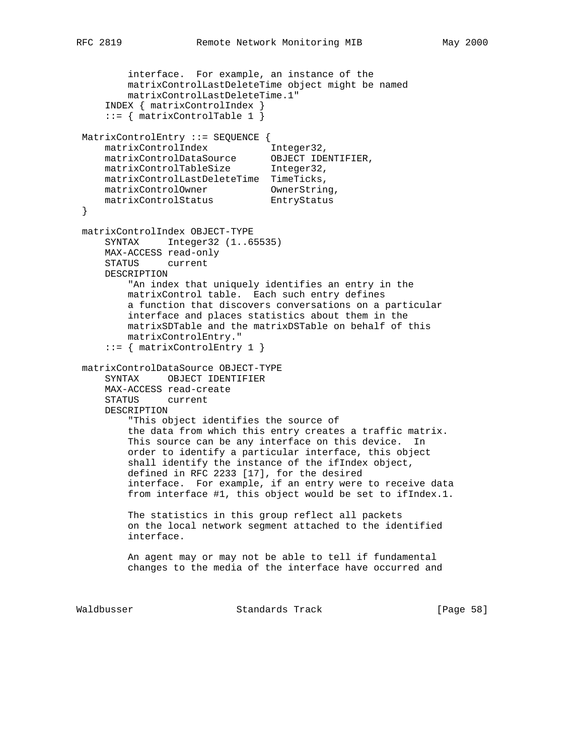```
 interface. For example, an instance of the
         matrixControlLastDeleteTime object might be named
         matrixControlLastDeleteTime.1"
     INDEX { matrixControlIndex }
     ::= { matrixControlTable 1 }
 MatrixControlEntry ::= SEQUENCE {
matrixControlIndex 1nteger32,
 matrixControlDataSource OBJECT IDENTIFIER,
matrixControlTableSize Integer32,
     matrixControlLastDeleteTime TimeTicks,
matrixControlOwner CwnerString,
matrixControlStatus EntryStatus
 }
 matrixControlIndex OBJECT-TYPE
     SYNTAX Integer32 (1..65535)
     MAX-ACCESS read-only
     STATUS current
     DESCRIPTION
         "An index that uniquely identifies an entry in the
         matrixControl table. Each such entry defines
         a function that discovers conversations on a particular
         interface and places statistics about them in the
         matrixSDTable and the matrixDSTable on behalf of this
         matrixControlEntry."
     ::= { matrixControlEntry 1 }
 matrixControlDataSource OBJECT-TYPE
     SYNTAX OBJECT IDENTIFIER
     MAX-ACCESS read-create
     STATUS current
     DESCRIPTION
         "This object identifies the source of
         the data from which this entry creates a traffic matrix.
         This source can be any interface on this device. In
         order to identify a particular interface, this object
         shall identify the instance of the ifIndex object,
         defined in RFC 2233 [17], for the desired
         interface. For example, if an entry were to receive data
         from interface #1, this object would be set to ifIndex.1.
         The statistics in this group reflect all packets
         on the local network segment attached to the identified
         interface.
         An agent may or may not be able to tell if fundamental
         changes to the media of the interface have occurred and
Waldbusser Standards Track [Page 58]
```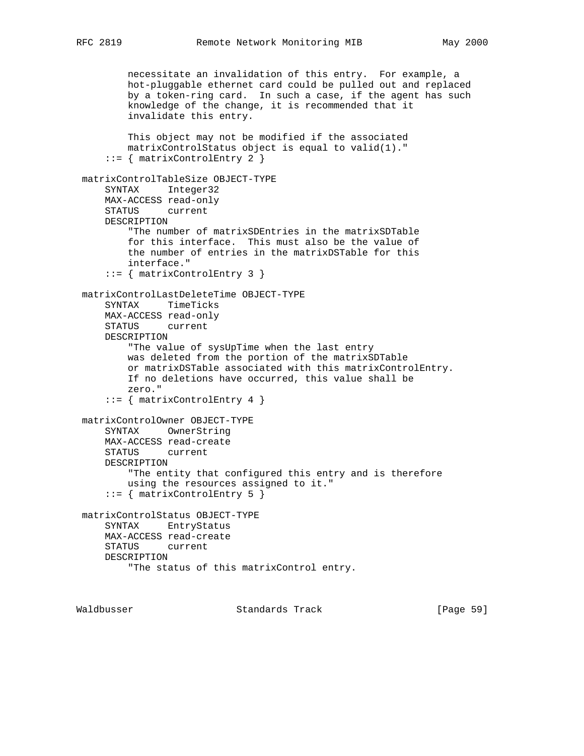necessitate an invalidation of this entry. For example, a hot-pluggable ethernet card could be pulled out and replaced by a token-ring card. In such a case, if the agent has such knowledge of the change, it is recommended that it invalidate this entry. This object may not be modified if the associated matrixControlStatus object is equal to valid(1)." ::= { matrixControlEntry 2 } matrixControlTableSize OBJECT-TYPE SYNTAX Integer32 MAX-ACCESS read-only STATUS current DESCRIPTION "The number of matrixSDEntries in the matrixSDTable for this interface. This must also be the value of the number of entries in the matrixDSTable for this interface." ::= { matrixControlEntry 3 } matrixControlLastDeleteTime OBJECT-TYPE SYNTAX TimeTicks MAX-ACCESS read-only STATUS current DESCRIPTION "The value of sysUpTime when the last entry was deleted from the portion of the matrixSDTable or matrixDSTable associated with this matrixControlEntry. If no deletions have occurred, this value shall be zero." ::= { matrixControlEntry 4 } matrixControlOwner OBJECT-TYPE SYNTAX OwnerString MAX-ACCESS read-create STATUS current DESCRIPTION "The entity that configured this entry and is therefore using the resources assigned to it."  $::=$  { matrixControlEntry 5 } matrixControlStatus OBJECT-TYPE SYNTAX EntryStatus MAX-ACCESS read-create STATUS current DESCRIPTION "The status of this matrixControl entry.

Waldbusser Standards Track [Page 59]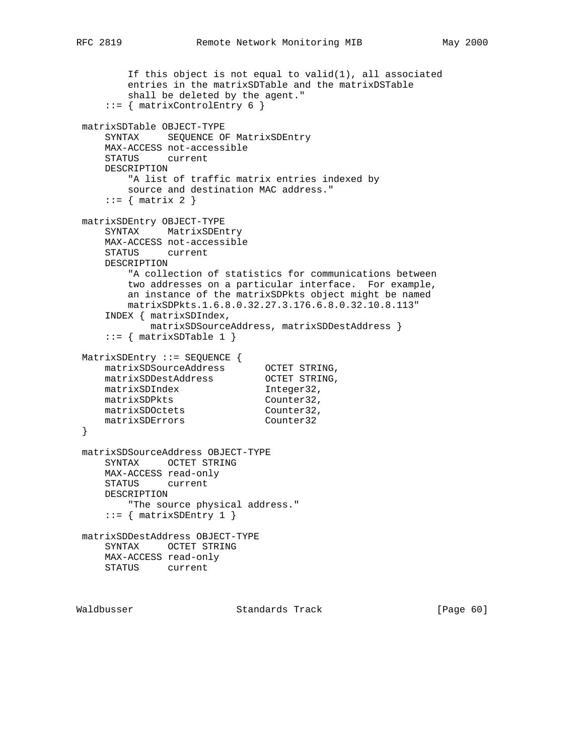```
 If this object is not equal to valid(1), all associated
         entries in the matrixSDTable and the matrixDSTable
         shall be deleted by the agent."
     ::= { matrixControlEntry 6 }
 matrixSDTable OBJECT-TYPE
     SYNTAX SEQUENCE OF MatrixSDEntry
     MAX-ACCESS not-accessible
     STATUS current
     DESCRIPTION
         "A list of traffic matrix entries indexed by
         source and destination MAC address."
    ::= { matrix 2 }
 matrixSDEntry OBJECT-TYPE
     SYNTAX MatrixSDEntry
     MAX-ACCESS not-accessible
     STATUS current
     DESCRIPTION
        "A collection of statistics for communications between
        two addresses on a particular interface. For example,
        an instance of the matrixSDPkts object might be named
        matrixSDPkts.1.6.8.0.32.27.3.176.6.8.0.32.10.8.113"
     INDEX { matrixSDIndex,
            matrixSDSourceAddress, matrixSDDestAddress }
    ::= { matrixSDTable 1 }
 MatrixSDEntry ::= SEQUENCE {
matrixSDSourceAddress OCTET STRING,
matrixSDDestAddress OCTET STRING,
matrixSDIndex 1nteger32,
matrixSDPkts Counter32,
matrixSDOctets Counter32,
matrixSDErrors Counter32
 }
 matrixSDSourceAddress OBJECT-TYPE
     SYNTAX OCTET STRING
     MAX-ACCESS read-only
     STATUS current
     DESCRIPTION
       "The source physical address."
    ::= { matrixSDEntry 1 }
 matrixSDDestAddress OBJECT-TYPE
     SYNTAX OCTET STRING
     MAX-ACCESS read-only
     STATUS current
```
Waldbusser **Standards Track** [Page 60]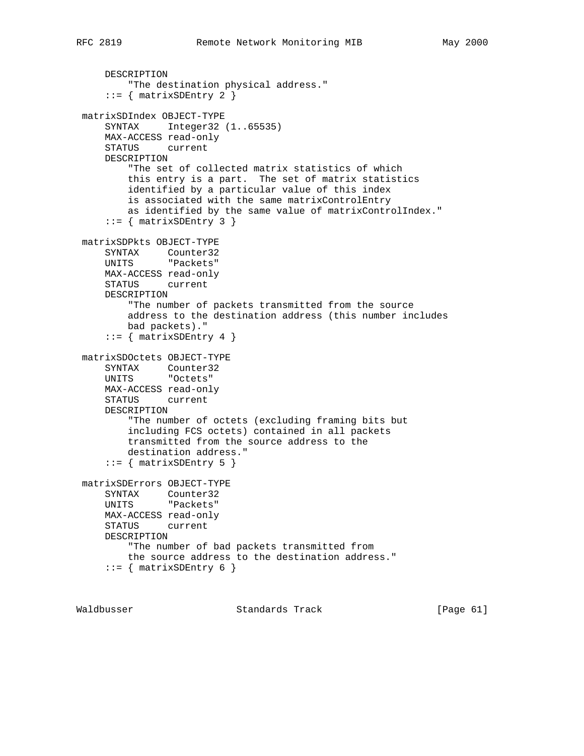```
 DESCRIPTION
         "The destination physical address."
    ::= { matrixSDEntry 2 }
 matrixSDIndex OBJECT-TYPE
     SYNTAX Integer32 (1..65535)
     MAX-ACCESS read-only
     STATUS current
     DESCRIPTION
         "The set of collected matrix statistics of which
         this entry is a part. The set of matrix statistics
         identified by a particular value of this index
         is associated with the same matrixControlEntry
         as identified by the same value of matrixControlIndex."
    ::= { matrixSDEntry 3 }
 matrixSDPkts OBJECT-TYPE
     SYNTAX Counter32
     UNITS "Packets"
     MAX-ACCESS read-only
     STATUS current
     DESCRIPTION
         "The number of packets transmitted from the source
         address to the destination address (this number includes
         bad packets)."
    ::= { matrixSDEntry 4 }
 matrixSDOctets OBJECT-TYPE
 SYNTAX Counter32
 UNITS "Octets"
     MAX-ACCESS read-only
     STATUS current
     DESCRIPTION
         "The number of octets (excluding framing bits but
         including FCS octets) contained in all packets
         transmitted from the source address to the
         destination address."
    ::= { matrixSDEntry 5 }
 matrixSDErrors OBJECT-TYPE
 SYNTAX Counter32
 UNITS "Packets"
     MAX-ACCESS read-only
     STATUS current
     DESCRIPTION
         "The number of bad packets transmitted from
         the source address to the destination address."
    ::= { matrixSDEntry 6 }
```
Waldbusser Standards Track [Page 61]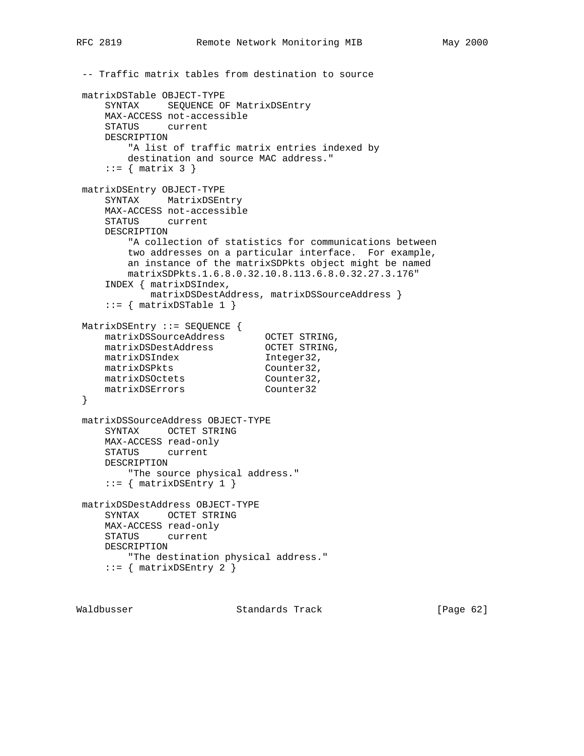```
 -- Traffic matrix tables from destination to source
 matrixDSTable OBJECT-TYPE
     SYNTAX SEQUENCE OF MatrixDSEntry
     MAX-ACCESS not-accessible
     STATUS current
     DESCRIPTION
         "A list of traffic matrix entries indexed by
         destination and source MAC address."
     ::= { matrix 3 }
 matrixDSEntry OBJECT-TYPE
     SYNTAX MatrixDSEntry
     MAX-ACCESS not-accessible
     STATUS current
     DESCRIPTION
          "A collection of statistics for communications between
         two addresses on a particular interface. For example,
         an instance of the matrixSDPkts object might be named
         matrixSDPkts.1.6.8.0.32.10.8.113.6.8.0.32.27.3.176"
      INDEX { matrixDSIndex,
             matrixDSDestAddress, matrixDSSourceAddress }
     ::= { matrixDSTable 1 }
 MatrixDSEntry ::= SEQUENCE {
matrixDSSourceAddress OCTET STRING,
matrixDSDestAddress OCTET STRING,
matrixDSIndex 1nteger32,
    matrixDSIndex Integer32,<br>
matrixDSPkts Counter32,<br>
matrixDSOctets Counter32.
    matrixDSOctets Counter32<br>
matrixDSErrors Counter32
    matrixDSErrors
 }
 matrixDSSourceAddress OBJECT-TYPE
     SYNTAX OCTET STRING
     MAX-ACCESS read-only
     STATUS current
     DESCRIPTION
         "The source physical address."
     ::= { matrixDSEntry 1 }
 matrixDSDestAddress OBJECT-TYPE
     SYNTAX OCTET STRING
     MAX-ACCESS read-only
     STATUS current
     DESCRIPTION
         "The destination physical address."
    ::= { matrixDSEntry 2 }
```
Waldbusser **Standards Track** [Page 62]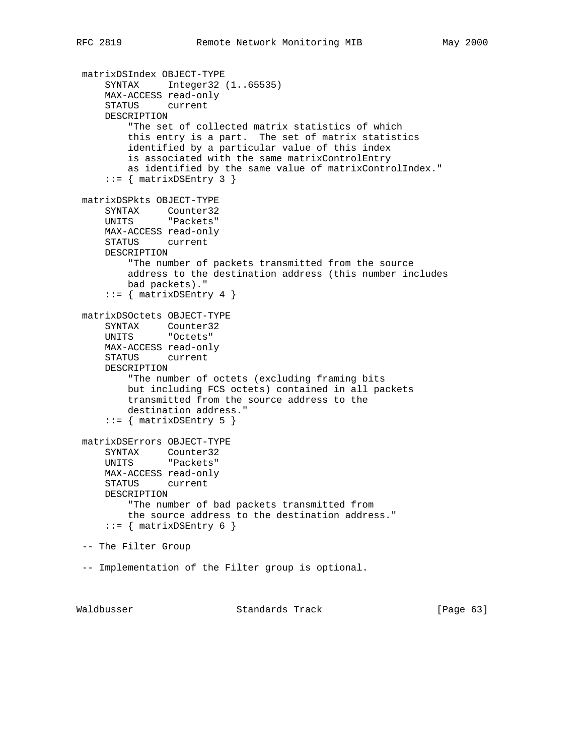```
 matrixDSIndex OBJECT-TYPE
     SYNTAX Integer32 (1..65535)
     MAX-ACCESS read-only
     STATUS current
     DESCRIPTION
         "The set of collected matrix statistics of which
         this entry is a part. The set of matrix statistics
         identified by a particular value of this index
         is associated with the same matrixControlEntry
         as identified by the same value of matrixControlIndex."
    ::= { matrixDSEntry 3 }
 matrixDSPkts OBJECT-TYPE
 SYNTAX Counter32
 UNITS "Packets"
     MAX-ACCESS read-only
     STATUS current
     DESCRIPTION
         "The number of packets transmitted from the source
         address to the destination address (this number includes
         bad packets)."
    ::= { matrixDSEntry 4 }
 matrixDSOctets OBJECT-TYPE
 SYNTAX Counter32
 UNITS "Octets"
     MAX-ACCESS read-only
     STATUS current
     DESCRIPTION
         "The number of octets (excluding framing bits
         but including FCS octets) contained in all packets
         transmitted from the source address to the
         destination address."
    ::= { matrixDSEntry 5 }
 matrixDSErrors OBJECT-TYPE
 SYNTAX Counter32
 UNITS "Packets"
     MAX-ACCESS read-only
     STATUS current
     DESCRIPTION
         "The number of bad packets transmitted from
         the source address to the destination address."
    ::= { matrixDSEntry 6 }
 -- The Filter Group
 -- Implementation of the Filter group is optional.
```
Waldbusser Standards Track [Page 63]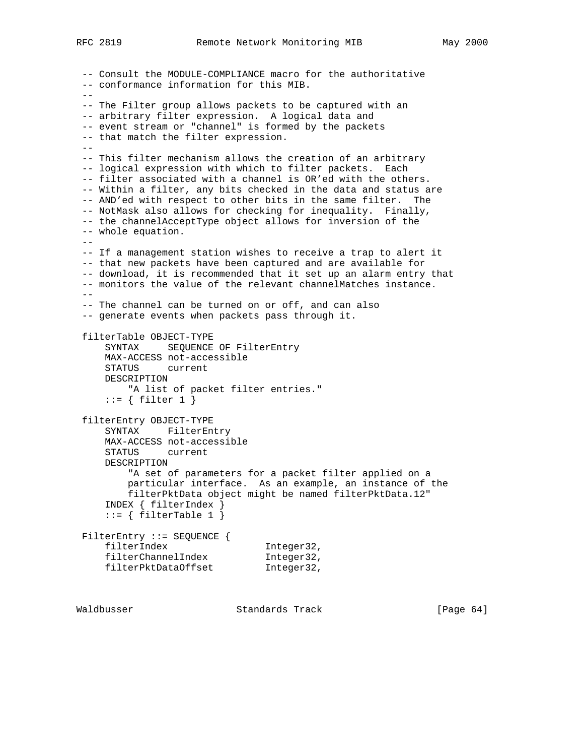-- Consult the MODULE-COMPLIANCE macro for the authoritative -- conformance information for this MIB. -- -- The Filter group allows packets to be captured with an -- arbitrary filter expression. A logical data and -- event stream or "channel" is formed by the packets -- that match the filter expression. -- -- This filter mechanism allows the creation of an arbitrary -- logical expression with which to filter packets. Each -- filter associated with a channel is OR'ed with the others. -- Within a filter, any bits checked in the data and status are -- AND'ed with respect to other bits in the same filter. The -- NotMask also allows for checking for inequality. Finally, -- the channelAcceptType object allows for inversion of the -- whole equation. -- -- If a management station wishes to receive a trap to alert it -- that new packets have been captured and are available for -- download, it is recommended that it set up an alarm entry that -- monitors the value of the relevant channelMatches instance. -- -- The channel can be turned on or off, and can also -- generate events when packets pass through it. filterTable OBJECT-TYPE SYNTAX SEQUENCE OF FilterEntry MAX-ACCESS not-accessible STATUS current DESCRIPTION "A list of packet filter entries."  $::=$  { filter 1 } filterEntry OBJECT-TYPE SYNTAX FilterEntry MAX-ACCESS not-accessible STATUS current DESCRIPTION "A set of parameters for a packet filter applied on a particular interface. As an example, an instance of the filterPktData object might be named filterPktData.12" INDEX { filterIndex }  $::=$  { filterTable 1 } FilterEntry ::= SEQUENCE { filterIndex 1nteger32, filterChannelIndex Integer32, filterPktDataOffset 1nteger32,

Waldbusser Standards Track [Page 64]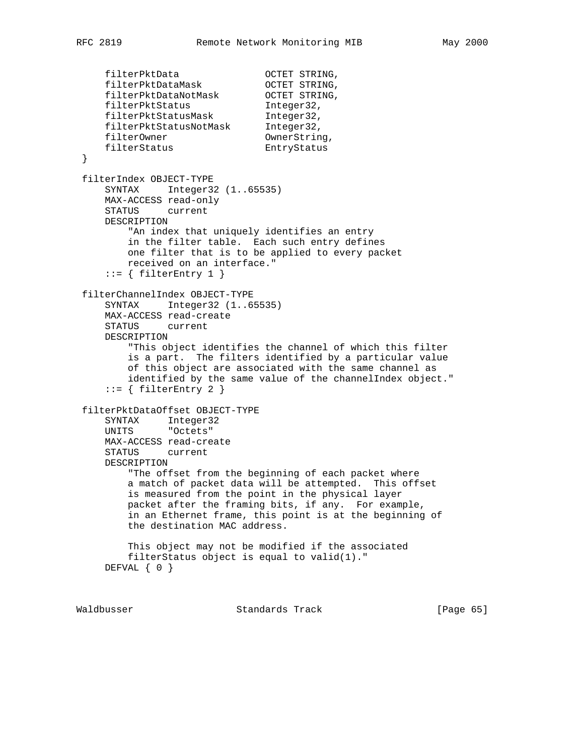```
filterPktData OCTET STRING,
 filterPktDataMask OCTET STRING,
 filterPktDataNotMask OCTET STRING,
filterPktStatus 1nteger32,
 filterPktStatusMask Integer32,
 filterPktStatusNotMask Integer32,
    filterOwner CwnerString,
    filterStatus EntryStatus
 }
 filterIndex OBJECT-TYPE
     SYNTAX Integer32 (1..65535)
     MAX-ACCESS read-only
     STATUS current
     DESCRIPTION
         "An index that uniquely identifies an entry
         in the filter table. Each such entry defines
         one filter that is to be applied to every packet
        received on an interface."
    ::= { filterEntry 1 }
 filterChannelIndex OBJECT-TYPE
     SYNTAX Integer32 (1..65535)
     MAX-ACCESS read-create
     STATUS current
     DESCRIPTION
         "This object identifies the channel of which this filter
         is a part. The filters identified by a particular value
         of this object are associated with the same channel as
         identified by the same value of the channelIndex object."
    ::= { filterEntry 2 }
 filterPktDataOffset OBJECT-TYPE
     SYNTAX Integer32
     UNITS "Octets"
     MAX-ACCESS read-create
     STATUS current
     DESCRIPTION
         "The offset from the beginning of each packet where
         a match of packet data will be attempted. This offset
         is measured from the point in the physical layer
         packet after the framing bits, if any. For example,
         in an Ethernet frame, this point is at the beginning of
         the destination MAC address.
         This object may not be modified if the associated
         filterStatus object is equal to valid(1)."
    DEFVAL { 0 }
```
Waldbusser Standards Track [Page 65]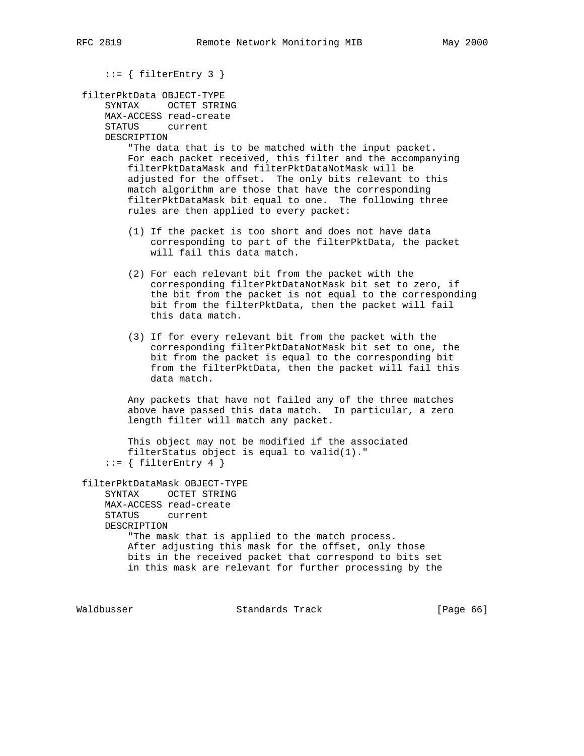```
 ::= { filterEntry 3 }
```

```
 filterPktData OBJECT-TYPE
    SYNTAX OCTET STRING
    MAX-ACCESS read-create
    STATUS current
    DESCRIPTION
```
 "The data that is to be matched with the input packet. For each packet received, this filter and the accompanying filterPktDataMask and filterPktDataNotMask will be adjusted for the offset. The only bits relevant to this match algorithm are those that have the corresponding filterPktDataMask bit equal to one. The following three rules are then applied to every packet:

- (1) If the packet is too short and does not have data corresponding to part of the filterPktData, the packet will fail this data match.
- (2) For each relevant bit from the packet with the corresponding filterPktDataNotMask bit set to zero, if the bit from the packet is not equal to the corresponding bit from the filterPktData, then the packet will fail this data match.
- (3) If for every relevant bit from the packet with the corresponding filterPktDataNotMask bit set to one, the bit from the packet is equal to the corresponding bit from the filterPktData, then the packet will fail this data match.

 Any packets that have not failed any of the three matches above have passed this data match. In particular, a zero length filter will match any packet.

 This object may not be modified if the associated filterStatus object is equal to valid(1)."  $::=$  { filterEntry 4 }

 filterPktDataMask OBJECT-TYPE SYNTAX OCTET STRING MAX-ACCESS read-create STATUS current DESCRIPTION "The mask that is applied to the match process. After adjusting this mask for the offset, only those bits in the received packet that correspond to bits set in this mask are relevant for further processing by the

Waldbusser **Standards Track** [Page 66]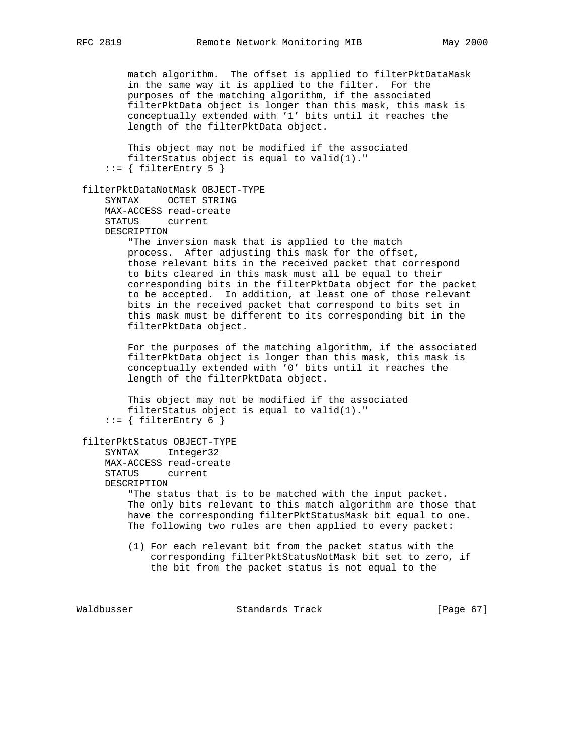match algorithm. The offset is applied to filterPktDataMask in the same way it is applied to the filter. For the purposes of the matching algorithm, if the associated filterPktData object is longer than this mask, this mask is conceptually extended with '1' bits until it reaches the length of the filterPktData object. This object may not be modified if the associated filterStatus object is equal to valid(1)."  $::=$  { filterEntry 5 } filterPktDataNotMask OBJECT-TYPE SYNTAX OCTET STRING MAX-ACCESS read-create STATUS current DESCRIPTION "The inversion mask that is applied to the match process. After adjusting this mask for the offset, those relevant bits in the received packet that correspond to bits cleared in this mask must all be equal to their corresponding bits in the filterPktData object for the packet to be accepted. In addition, at least one of those relevant bits in the received packet that correspond to bits set in this mask must be different to its corresponding bit in the filterPktData object. For the purposes of the matching algorithm, if the associated filterPktData object is longer than this mask, this mask is conceptually extended with '0' bits until it reaches the length of the filterPktData object. This object may not be modified if the associated filterStatus object is equal to valid(1)."  $::=$  { filterEntry 6 } filterPktStatus OBJECT-TYPE SYNTAX Integer32 MAX-ACCESS read-create STATUS current DESCRIPTION "The status that is to be matched with the input packet. The only bits relevant to this match algorithm are those that have the corresponding filterPktStatusMask bit equal to one. The following two rules are then applied to every packet: (1) For each relevant bit from the packet status with the corresponding filterPktStatusNotMask bit set to zero, if the bit from the packet status is not equal to the

Waldbusser Standards Track [Page 67]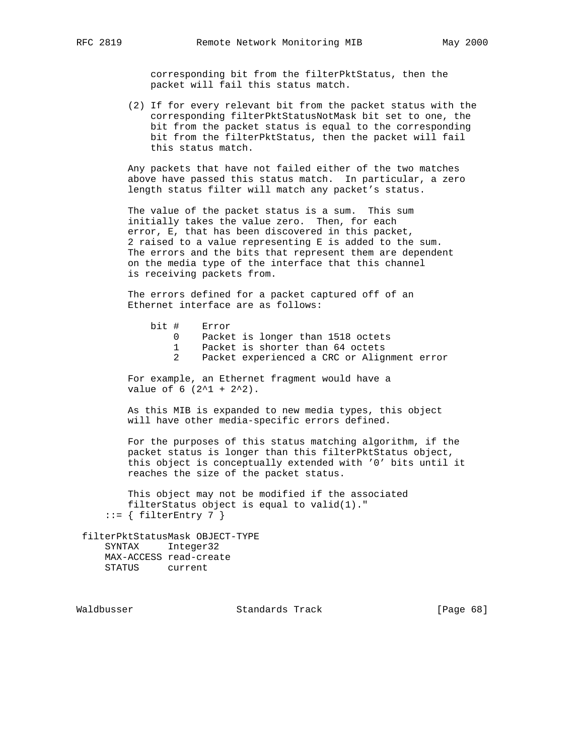corresponding bit from the filterPktStatus, then the packet will fail this status match.

 (2) If for every relevant bit from the packet status with the corresponding filterPktStatusNotMask bit set to one, the bit from the packet status is equal to the corresponding bit from the filterPktStatus, then the packet will fail this status match.

 Any packets that have not failed either of the two matches above have passed this status match. In particular, a zero length status filter will match any packet's status.

 The value of the packet status is a sum. This sum initially takes the value zero. Then, for each error, E, that has been discovered in this packet, 2 raised to a value representing E is added to the sum. The errors and the bits that represent them are dependent on the media type of the interface that this channel is receiving packets from.

 The errors defined for a packet captured off of an Ethernet interface are as follows:

- bit # Error
	- 0 Packet is longer than 1518 octets<br>1 Packet is shorter than 64 octets
	- Packet is shorter than 64 octets
	- 2 Packet experienced a CRC or Alignment error

 For example, an Ethernet fragment would have a value of  $6$   $(2^1 + 2^2)$ .

 As this MIB is expanded to new media types, this object will have other media-specific errors defined.

 For the purposes of this status matching algorithm, if the packet status is longer than this filterPktStatus object, this object is conceptually extended with '0' bits until it reaches the size of the packet status.

 This object may not be modified if the associated filterStatus object is equal to valid(1)."  $::=$  { filterEntry 7 }

 filterPktStatusMask OBJECT-TYPE SYNTAX Integer32 MAX-ACCESS read-create STATUS current

Waldbusser Standards Track [Page 68]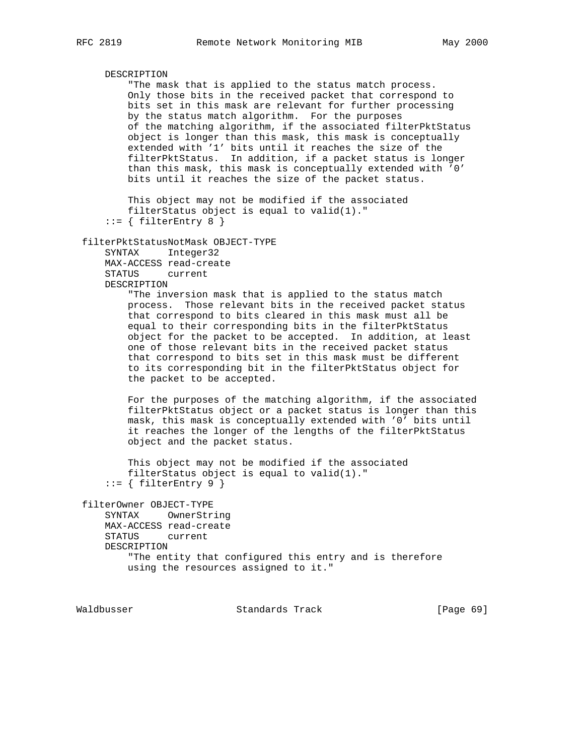| DESCRIPTION |  |  |
|-------------|--|--|
|             |  |  |

 "The mask that is applied to the status match process. Only those bits in the received packet that correspond to bits set in this mask are relevant for further processing by the status match algorithm. For the purposes of the matching algorithm, if the associated filterPktStatus object is longer than this mask, this mask is conceptually extended with '1' bits until it reaches the size of the filterPktStatus. In addition, if a packet status is longer than this mask, this mask is conceptually extended with '0' bits until it reaches the size of the packet status.

 This object may not be modified if the associated filterStatus object is equal to valid(1)."  $::=$  { filterEntry 8 }

filterPktStatusNotMask OBJECT-TYPE

 SYNTAX Integer32 MAX-ACCESS read-create STATUS current

DESCRIPTION

 "The inversion mask that is applied to the status match process. Those relevant bits in the received packet status that correspond to bits cleared in this mask must all be equal to their corresponding bits in the filterPktStatus object for the packet to be accepted. In addition, at least one of those relevant bits in the received packet status that correspond to bits set in this mask must be different to its corresponding bit in the filterPktStatus object for the packet to be accepted.

 For the purposes of the matching algorithm, if the associated filterPktStatus object or a packet status is longer than this mask, this mask is conceptually extended with '0' bits until it reaches the longer of the lengths of the filterPktStatus object and the packet status.

```
 This object may not be modified if the associated
    filterStatus object is equal to valid(1)."
::= { filterEntry 9 }
```
 filterOwner OBJECT-TYPE SYNTAX OwnerString MAX-ACCESS read-create STATUS current DESCRIPTION "The entity that configured this entry and is therefore using the resources assigned to it."

Waldbusser Standards Track [Page 69]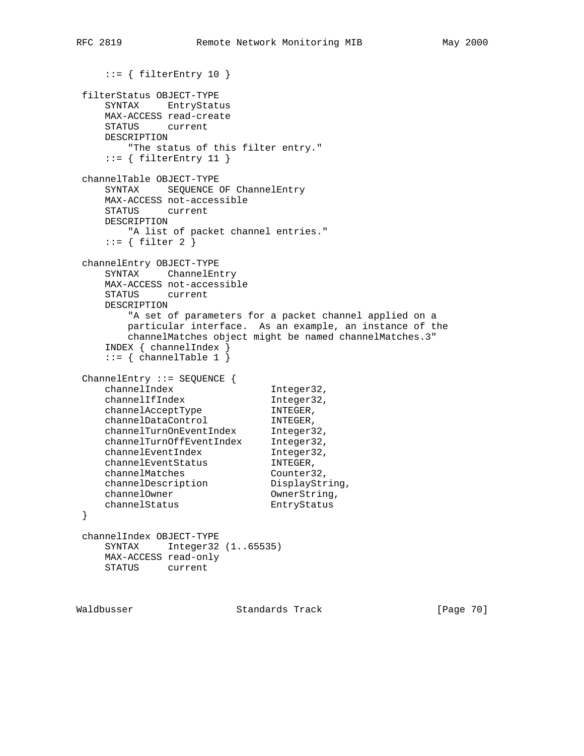```
 ::= { filterEntry 10 }
 filterStatus OBJECT-TYPE
     SYNTAX EntryStatus
     MAX-ACCESS read-create
     STATUS current
     DESCRIPTION
        "The status of this filter entry."
    ::= { filterEntry 11 }
 channelTable OBJECT-TYPE
    SYNTAX SEQUENCE OF ChannelEntry
     MAX-ACCESS not-accessible
     STATUS current
     DESCRIPTION
        "A list of packet channel entries."
    ::= { filter 2 }
 channelEntry OBJECT-TYPE
     SYNTAX ChannelEntry
     MAX-ACCESS not-accessible
     STATUS current
    DESCRIPTION
        "A set of parameters for a packet channel applied on a
        particular interface. As an example, an instance of the
        channelMatches object might be named channelMatches.3"
     INDEX { channelIndex }
    ::= { channelTable 1 }
 ChannelEntry ::= SEQUENCE {
channelIndex 1nteger32,
channelIfIndex Integer32,
 channelAcceptType INTEGER,
 channelDataControl INTEGER,
 channelTurnOnEventIndex Integer32,
 channelTurnOffEventIndex Integer32,
 channelEventIndex Integer32,
 channelEventStatus INTEGER,
channelMatches Counter32,
channelDescription DisplayString,
channelOwner CownerString,
channelStatus EntryStatus
 }
 channelIndex OBJECT-TYPE
    SYNTAX Integer32 (1..65535)
    MAX-ACCESS read-only
    STATUS current
Waldbusser Standards Track [Page 70]
```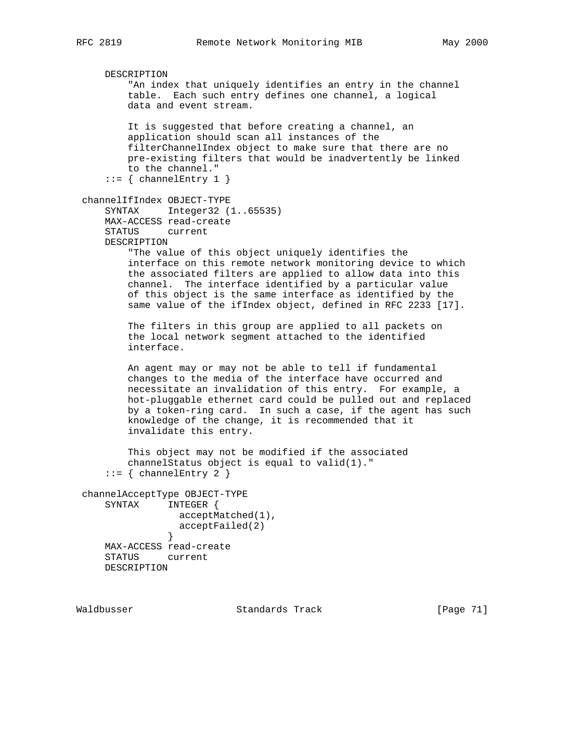DESCRIPTION "An index that uniquely identifies an entry in the channel table. Each such entry defines one channel, a logical data and event stream. It is suggested that before creating a channel, an application should scan all instances of the filterChannelIndex object to make sure that there are no pre-existing filters that would be inadvertently be linked to the channel."  $::=$  { channelEntry 1 } channelIfIndex OBJECT-TYPE SYNTAX Integer32 (1..65535) MAX-ACCESS read-create STATUS current DESCRIPTION "The value of this object uniquely identifies the interface on this remote network monitoring device to which the associated filters are applied to allow data into this channel. The interface identified by a particular value of this object is the same interface as identified by the same value of the ifIndex object, defined in RFC 2233 [17]. The filters in this group are applied to all packets on the local network segment attached to the identified interface. An agent may or may not be able to tell if fundamental changes to the media of the interface have occurred and necessitate an invalidation of this entry. For example, a hot-pluggable ethernet card could be pulled out and replaced by a token-ring card. In such a case, if the agent has such knowledge of the change, it is recommended that it invalidate this entry. This object may not be modified if the associated channelStatus object is equal to valid(1)."  $::=$  { channelEntry 2 } channelAcceptType OBJECT-TYPE SYNTAX INTEGER { acceptMatched(1), acceptFailed(2) } MAX-ACCESS read-create STATUS current DESCRIPTION

Waldbusser **Standards Track** [Page 71]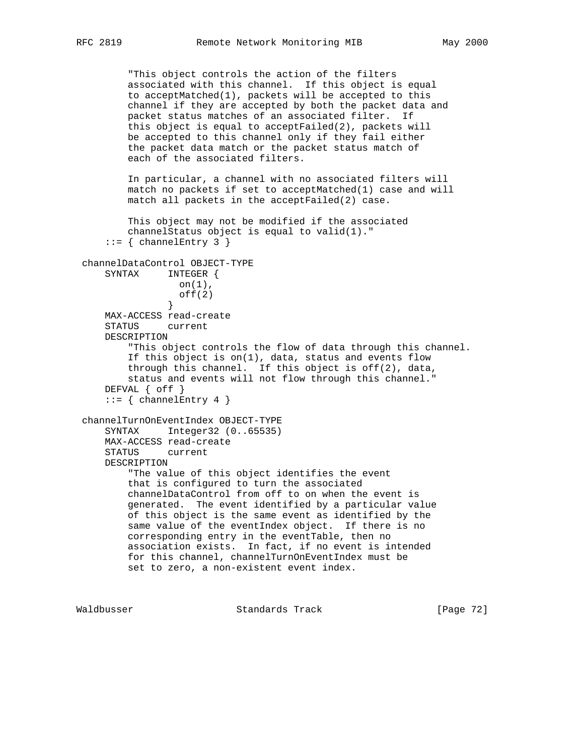```
 "This object controls the action of the filters
         associated with this channel. If this object is equal
         to acceptMatched(1), packets will be accepted to this
         channel if they are accepted by both the packet data and
         packet status matches of an associated filter. If
         this object is equal to acceptFailed(2), packets will
         be accepted to this channel only if they fail either
         the packet data match or the packet status match of
         each of the associated filters.
         In particular, a channel with no associated filters will
         match no packets if set to acceptMatched(1) case and will
         match all packets in the acceptFailed(2) case.
         This object may not be modified if the associated
         channelStatus object is equal to valid(1)."
    ::= { channelEntry 3 }
 channelDataControl OBJECT-TYPE
    SYNTAX INTEGER {
                 on(1),
                 off(2)
               }
    MAX-ACCESS read-create
    STATUS current
    DESCRIPTION
         "This object controls the flow of data through this channel.
         If this object is on(1), data, status and events flow
         through this channel. If this object is off(2), data,
         status and events will not flow through this channel."
    DEFVAL { off }
    ::= { channelEntry 4 }
 channelTurnOnEventIndex OBJECT-TYPE
    SYNTAX Integer32 (0..65535)
    MAX-ACCESS read-create
    STATUS current
    DESCRIPTION
         "The value of this object identifies the event
         that is configured to turn the associated
         channelDataControl from off to on when the event is
         generated. The event identified by a particular value
         of this object is the same event as identified by the
         same value of the eventIndex object. If there is no
         corresponding entry in the eventTable, then no
         association exists. In fact, if no event is intended
        for this channel, channelTurnOnEventIndex must be
        set to zero, a non-existent event index.
```
Waldbusser Standards Track [Page 72]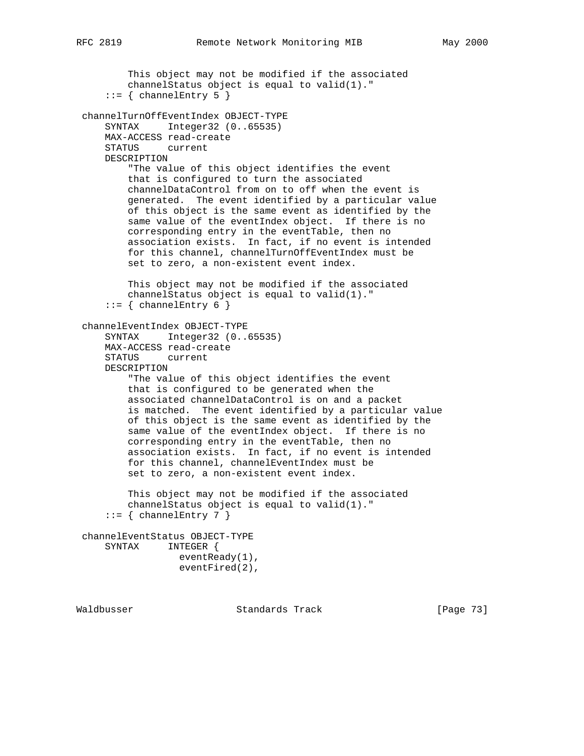This object may not be modified if the associated channelStatus object is equal to valid(1)."  $::=$  { channelEntry 5 } channelTurnOffEventIndex OBJECT-TYPE SYNTAX Integer32 (0..65535) MAX-ACCESS read-create STATUS current DESCRIPTION "The value of this object identifies the event that is configured to turn the associated channelDataControl from on to off when the event is generated. The event identified by a particular value of this object is the same event as identified by the same value of the eventIndex object. If there is no corresponding entry in the eventTable, then no association exists. In fact, if no event is intended for this channel, channelTurnOffEventIndex must be set to zero, a non-existent event index. This object may not be modified if the associated channelStatus object is equal to valid(1)."  $::=$  { channelEntry 6 } channelEventIndex OBJECT-TYPE SYNTAX Integer32 (0..65535) MAX-ACCESS read-create STATUS current DESCRIPTION "The value of this object identifies the event that is configured to be generated when the associated channelDataControl is on and a packet is matched. The event identified by a particular value of this object is the same event as identified by the same value of the eventIndex object. If there is no corresponding entry in the eventTable, then no association exists. In fact, if no event is intended for this channel, channelEventIndex must be set to zero, a non-existent event index. This object may not be modified if the associated channelStatus object is equal to valid(1)."  $::=$  { channelEntry 7 } channelEventStatus OBJECT-TYPE SYNTAX INTEGER { eventReady(1), eventFired(2),

Waldbusser Standards Track [Page 73]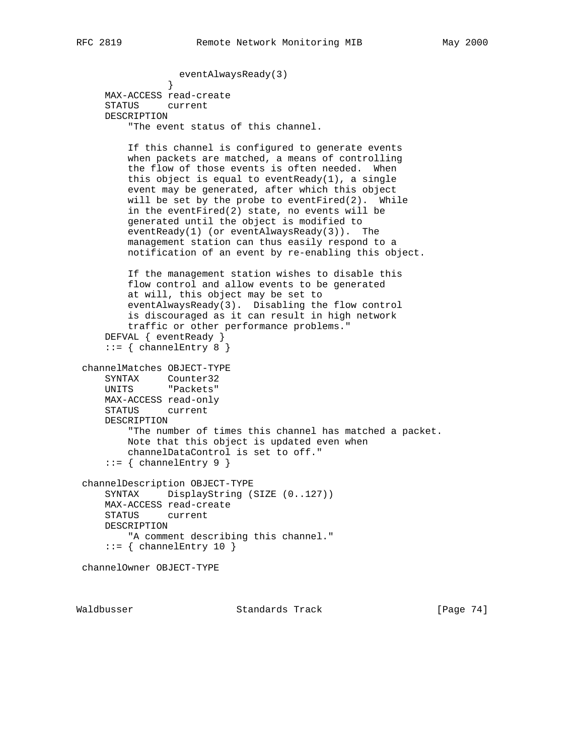```
eventAlwaysReady(3)<br>}
 }
     MAX-ACCESS read-create
     STATUS current
     DESCRIPTION
          "The event status of this channel.
         If this channel is configured to generate events
         when packets are matched, a means of controlling
         the flow of those events is often needed. When
         this object is equal to eventReady(1), a single
         event may be generated, after which this object
         will be set by the probe to eventFired(2). While
         in the eventFired(2) state, no events will be
         generated until the object is modified to
         eventReady(1) (or eventAlwaysReady(3)). The
         management station can thus easily respond to a
         notification of an event by re-enabling this object.
         If the management station wishes to disable this
         flow control and allow events to be generated
         at will, this object may be set to
         eventAlwaysReady(3). Disabling the flow control
         is discouraged as it can result in high network
         traffic or other performance problems."
     DEFVAL { eventReady }
    ::= { channelEntry 8 }
 channelMatches OBJECT-TYPE
     SYNTAX Counter32
     UNITS "Packets"
     MAX-ACCESS read-only
     STATUS current
     DESCRIPTION
          "The number of times this channel has matched a packet.
         Note that this object is updated even when
         channelDataControl is set to off."
    ::= { channelEntry 9 }
 channelDescription OBJECT-TYPE
     SYNTAX DisplayString (SIZE (0..127))
     MAX-ACCESS read-create
     STATUS current
     DESCRIPTION
         "A comment describing this channel."
    ::= { channelEntry 10 }
 channelOwner OBJECT-TYPE
```
Waldbusser Standards Track [Page 74]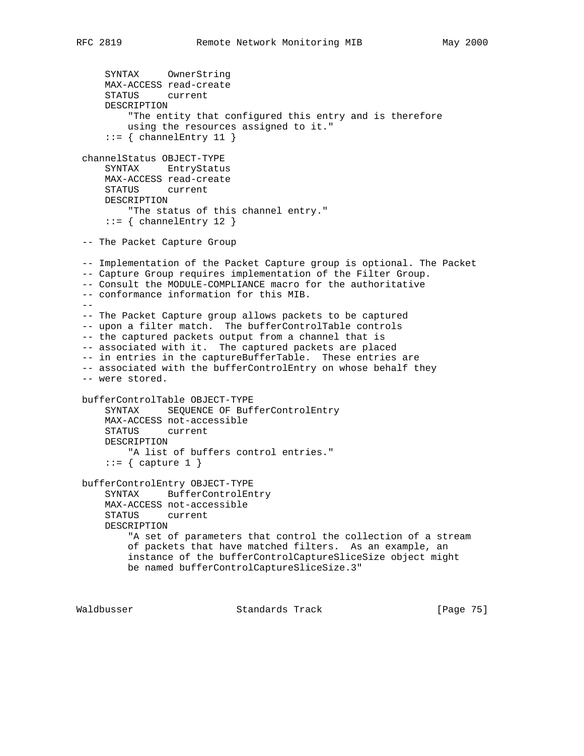```
 SYNTAX OwnerString
     MAX-ACCESS read-create
     STATUS current
     DESCRIPTION
         "The entity that configured this entry and is therefore
        using the resources assigned to it."
    ::= { channelEntry 11 }
 channelStatus OBJECT-TYPE
     SYNTAX EntryStatus
    MAX-ACCESS read-create
    STATUS current
    DESCRIPTION
        "The status of this channel entry."
    ::= { channelEntry 12 }
 -- The Packet Capture Group
 -- Implementation of the Packet Capture group is optional. The Packet
 -- Capture Group requires implementation of the Filter Group.
 -- Consult the MODULE-COMPLIANCE macro for the authoritative
 -- conformance information for this MIB.
- -- The Packet Capture group allows packets to be captured
 -- upon a filter match. The bufferControlTable controls
 -- the captured packets output from a channel that is
-- associated with it. The captured packets are placed
 -- in entries in the captureBufferTable. These entries are
 -- associated with the bufferControlEntry on whose behalf they
 -- were stored.
 bufferControlTable OBJECT-TYPE
     SYNTAX SEQUENCE OF BufferControlEntry
    MAX-ACCESS not-accessible
     STATUS current
    DESCRIPTION
         "A list of buffers control entries."
    ::= { capture 1 }
 bufferControlEntry OBJECT-TYPE
     SYNTAX BufferControlEntry
     MAX-ACCESS not-accessible
     STATUS current
     DESCRIPTION
         "A set of parameters that control the collection of a stream
         of packets that have matched filters. As an example, an
        instance of the bufferControlCaptureSliceSize object might
        be named bufferControlCaptureSliceSize.3"
```
Waldbusser Standards Track [Page 75]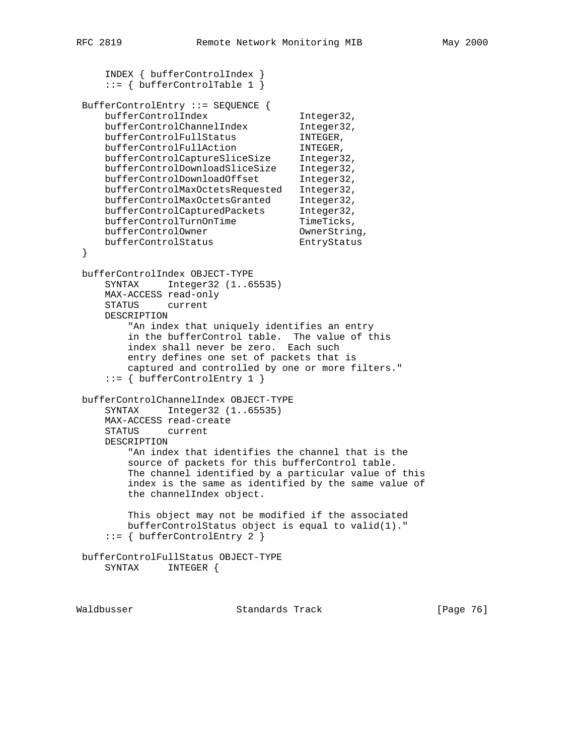```
 INDEX { bufferControlIndex }
     ::= { bufferControlTable 1 }
 BufferControlEntry ::= SEQUENCE {
 bufferControlIndex Integer32,
 bufferControlChannelIndex Integer32,
 bufferControlFullStatus INTEGER,
bufferControlFullAction INTEGER,
 bufferControlCaptureSliceSize Integer32,
 bufferControlDownloadSliceSize Integer32,
 bufferControlDownloadOffset Integer32,
     bufferControlMaxOctetsRequested Integer32,
 bufferControlMaxOctetsGranted Integer32,
 bufferControlCapturedPackets Integer32,
bufferControlTurnOnTime TimeTicks,
bufferControlOwner CownerString,
bufferControlStatus EntryStatus
 }
 bufferControlIndex OBJECT-TYPE
     SYNTAX Integer32 (1..65535)
     MAX-ACCESS read-only
     STATUS current
     DESCRIPTION
         "An index that uniquely identifies an entry
         in the bufferControl table. The value of this
         index shall never be zero. Each such
        entry defines one set of packets that is
        captured and controlled by one or more filters."
     ::= { bufferControlEntry 1 }
 bufferControlChannelIndex OBJECT-TYPE
     SYNTAX Integer32 (1..65535)
     MAX-ACCESS read-create
     STATUS current
     DESCRIPTION
         "An index that identifies the channel that is the
         source of packets for this bufferControl table.
         The channel identified by a particular value of this
         index is the same as identified by the same value of
         the channelIndex object.
         This object may not be modified if the associated
        bufferControlStatus object is equal to valid(1)."
     ::= { bufferControlEntry 2 }
 bufferControlFullStatus OBJECT-TYPE
     SYNTAX INTEGER {
```
Waldbusser Standards Track [Page 76]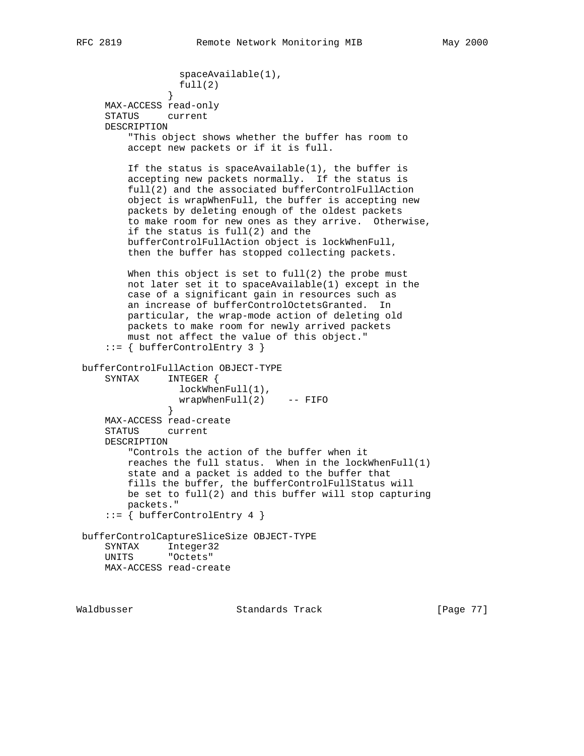```
 spaceAvailable(1),
               full(2) }
     MAX-ACCESS read-only
     STATUS current
     DESCRIPTION
         "This object shows whether the buffer has room to
         accept new packets or if it is full.
         If the status is spaceAvailable(1), the buffer is
         accepting new packets normally. If the status is
         full(2) and the associated bufferControlFullAction
         object is wrapWhenFull, the buffer is accepting new
         packets by deleting enough of the oldest packets
         to make room for new ones as they arrive. Otherwise,
         if the status is full(2) and the
         bufferControlFullAction object is lockWhenFull,
         then the buffer has stopped collecting packets.
        When this object is set to full(2) the probe must
         not later set it to spaceAvailable(1) except in the
         case of a significant gain in resources such as
         an increase of bufferControlOctetsGranted. In
         particular, the wrap-mode action of deleting old
         packets to make room for newly arrived packets
         must not affect the value of this object."
     ::= { bufferControlEntry 3 }
 bufferControlFullAction OBJECT-TYPE
     SYNTAX INTEGER {
                 lockWhenFull(1),
                 wrapWhenFull(2) -- FIFO
 }
     MAX-ACCESS read-create
     STATUS current
     DESCRIPTION
         "Controls the action of the buffer when it
         reaches the full status. When in the lockWhenFull(1)
         state and a packet is added to the buffer that
         fills the buffer, the bufferControlFullStatus will
         be set to full(2) and this buffer will stop capturing
         packets."
     ::= { bufferControlEntry 4 }
 bufferControlCaptureSliceSize OBJECT-TYPE
     SYNTAX Integer32
     UNITS "Octets"
     MAX-ACCESS read-create
```
Waldbusser Standards Track [Page 77]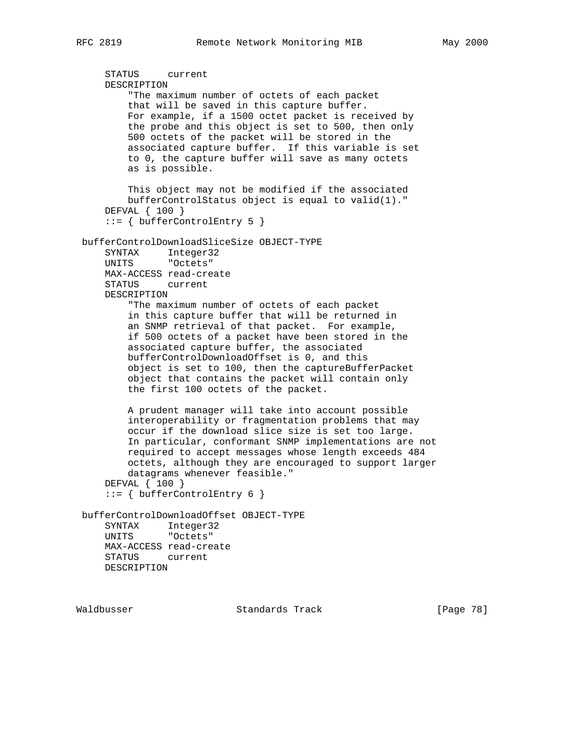```
 STATUS current
     DESCRIPTION
         "The maximum number of octets of each packet
         that will be saved in this capture buffer.
         For example, if a 1500 octet packet is received by
         the probe and this object is set to 500, then only
         500 octets of the packet will be stored in the
         associated capture buffer. If this variable is set
         to 0, the capture buffer will save as many octets
         as is possible.
         This object may not be modified if the associated
         bufferControlStatus object is equal to valid(1)."
     DEFVAL { 100 }
     ::= { bufferControlEntry 5 }
 bufferControlDownloadSliceSize OBJECT-TYPE
     SYNTAX Integer32
     UNITS "Octets"
    MAX-ACCESS read-create
     STATUS current
     DESCRIPTION
         "The maximum number of octets of each packet
         in this capture buffer that will be returned in
         an SNMP retrieval of that packet. For example,
         if 500 octets of a packet have been stored in the
         associated capture buffer, the associated
         bufferControlDownloadOffset is 0, and this
         object is set to 100, then the captureBufferPacket
         object that contains the packet will contain only
         the first 100 octets of the packet.
         A prudent manager will take into account possible
         interoperability or fragmentation problems that may
         occur if the download slice size is set too large.
         In particular, conformant SNMP implementations are not
         required to accept messages whose length exceeds 484
         octets, although they are encouraged to support larger
         datagrams whenever feasible."
     DEFVAL { 100 }
     ::= { bufferControlEntry 6 }
 bufferControlDownloadOffset OBJECT-TYPE
     SYNTAX Integer32
     UNITS "Octets"
    MAX-ACCESS read-create
     STATUS current
    DESCRIPTION
```
Waldbusser **Standards Track** [Page 78]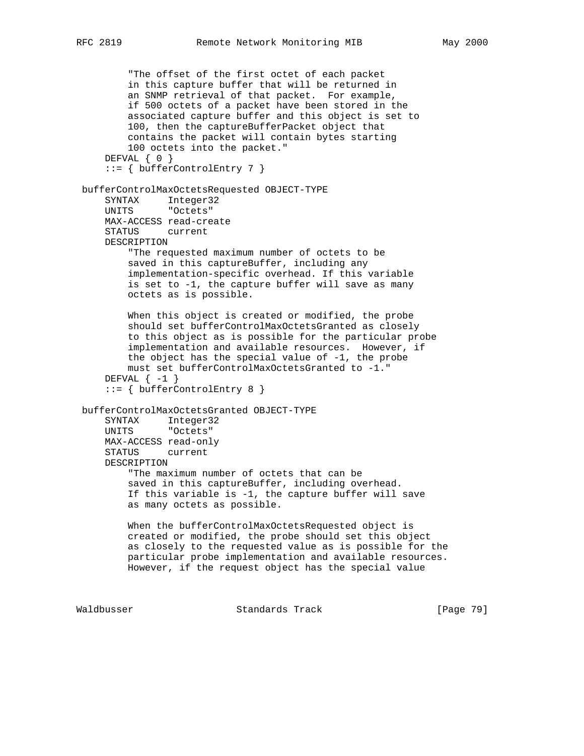```
"The offset of the first octet of each packet
         in this capture buffer that will be returned in
         an SNMP retrieval of that packet. For example,
         if 500 octets of a packet have been stored in the
         associated capture buffer and this object is set to
         100, then the captureBufferPacket object that
         contains the packet will contain bytes starting
         100 octets into the packet."
     DEFVAL { 0 }
     ::= { bufferControlEntry 7 }
 bufferControlMaxOctetsRequested OBJECT-TYPE
     SYNTAX Integer32
     UNITS "Octets"
     MAX-ACCESS read-create
     STATUS current
     DESCRIPTION
         "The requested maximum number of octets to be
         saved in this captureBuffer, including any
         implementation-specific overhead. If this variable
         is set to -1, the capture buffer will save as many
         octets as is possible.
         When this object is created or modified, the probe
         should set bufferControlMaxOctetsGranted as closely
         to this object as is possible for the particular probe
         implementation and available resources. However, if
        the object has the special value of -1, the probe
         must set bufferControlMaxOctetsGranted to -1."
    DEFVAL \{-1\} ::= { bufferControlEntry 8 }
 bufferControlMaxOctetsGranted OBJECT-TYPE
     SYNTAX Integer32
     UNITS "Octets"
    MAX-ACCESS read-only
     STATUS current
     DESCRIPTION
         "The maximum number of octets that can be
         saved in this captureBuffer, including overhead.
         If this variable is -1, the capture buffer will save
         as many octets as possible.
         When the bufferControlMaxOctetsRequested object is
         created or modified, the probe should set this object
         as closely to the requested value as is possible for the
         particular probe implementation and available resources.
         However, if the request object has the special value
```
Waldbusser **Standards Track** [Page 79]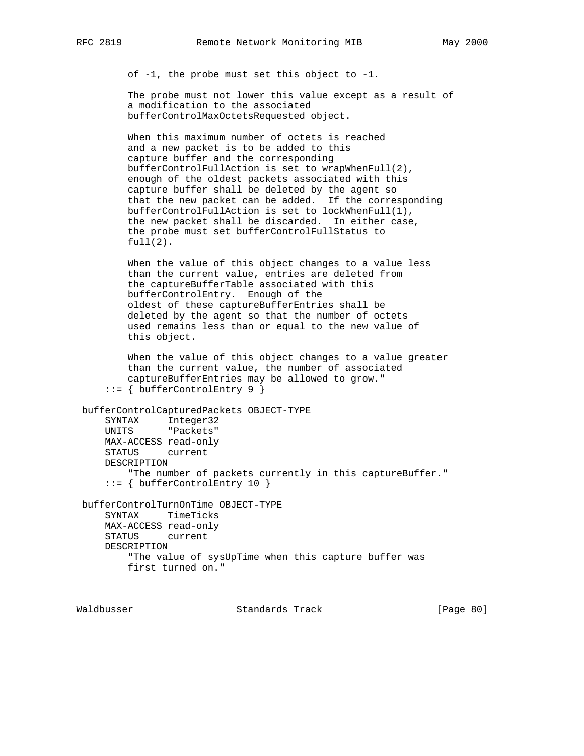of -1, the probe must set this object to -1.

 The probe must not lower this value except as a result of a modification to the associated bufferControlMaxOctetsRequested object.

 When this maximum number of octets is reached and a new packet is to be added to this capture buffer and the corresponding bufferControlFullAction is set to wrapWhenFull(2), enough of the oldest packets associated with this capture buffer shall be deleted by the agent so that the new packet can be added. If the corresponding bufferControlFullAction is set to lockWhenFull(1), the new packet shall be discarded. In either case, the probe must set bufferControlFullStatus to  $full(2)$ .

 When the value of this object changes to a value less than the current value, entries are deleted from the captureBufferTable associated with this bufferControlEntry. Enough of the oldest of these captureBufferEntries shall be deleted by the agent so that the number of octets used remains less than or equal to the new value of this object.

 When the value of this object changes to a value greater than the current value, the number of associated captureBufferEntries may be allowed to grow." ::= { bufferControlEntry 9 }

```
 bufferControlCapturedPackets OBJECT-TYPE
     SYNTAX Integer32
     UNITS "Packets"
    MAX-ACCESS read-only
     STATUS current
     DESCRIPTION
        "The number of packets currently in this captureBuffer."
     ::= { bufferControlEntry 10 }
 bufferControlTurnOnTime OBJECT-TYPE
```
 SYNTAX TimeTicks MAX-ACCESS read-only STATUS current DESCRIPTION "The value of sysUpTime when this capture buffer was first turned on."

Waldbusser Standards Track [Page 80]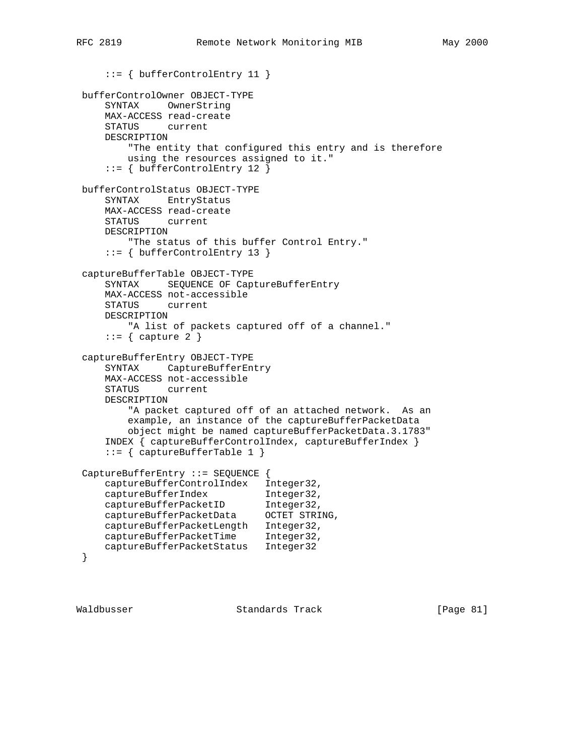```
 ::= { bufferControlEntry 11 }
 bufferControlOwner OBJECT-TYPE
     SYNTAX OwnerString
     MAX-ACCESS read-create
     STATUS current
     DESCRIPTION
         "The entity that configured this entry and is therefore
         using the resources assigned to it."
     ::= { bufferControlEntry 12 }
 bufferControlStatus OBJECT-TYPE
     SYNTAX EntryStatus
     MAX-ACCESS read-create
     STATUS current
     DESCRIPTION
         "The status of this buffer Control Entry."
     ::= { bufferControlEntry 13 }
 captureBufferTable OBJECT-TYPE
     SYNTAX SEQUENCE OF CaptureBufferEntry
     MAX-ACCESS not-accessible
     STATUS current
     DESCRIPTION
         "A list of packets captured off of a channel."
    ::= { capture 2 }
 captureBufferEntry OBJECT-TYPE
     SYNTAX CaptureBufferEntry
     MAX-ACCESS not-accessible
     STATUS current
     DESCRIPTION
         "A packet captured off of an attached network. As an
         example, an instance of the captureBufferPacketData
         object might be named captureBufferPacketData.3.1783"
     INDEX { captureBufferControlIndex, captureBufferIndex }
     ::= { captureBufferTable 1 }
 CaptureBufferEntry ::= SEQUENCE {
     captureBufferControlIndex Integer32,
 captureBufferIndex Integer32,
 captureBufferPacketID Integer32,
 captureBufferPacketData OCTET STRING,
     captureBufferPacketLength Integer32,
     captureBufferPacketTime Integer32,
     captureBufferPacketStatus Integer32
 }
```
Waldbusser Standards Track [Page 81]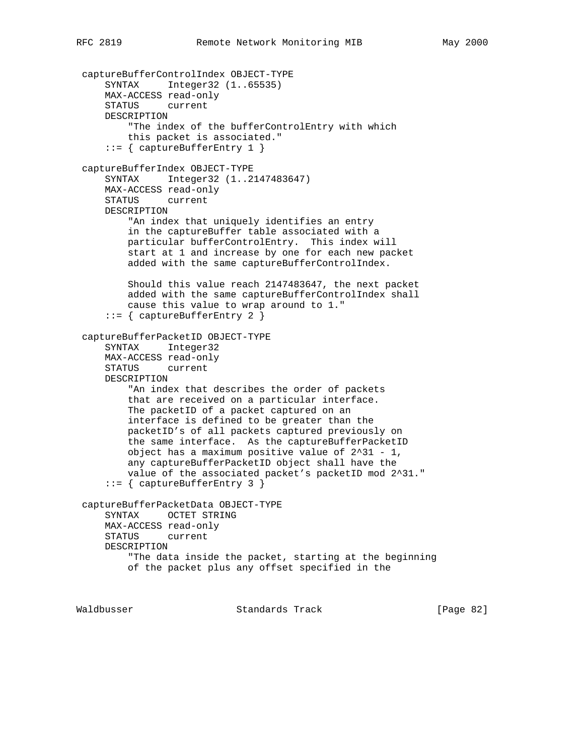```
 captureBufferControlIndex OBJECT-TYPE
     SYNTAX Integer32 (1..65535)
    MAX-ACCESS read-only
     STATUS current
    DESCRIPTION
         "The index of the bufferControlEntry with which
         this packet is associated."
     ::= { captureBufferEntry 1 }
 captureBufferIndex OBJECT-TYPE
    SYNTAX Integer32 (1..2147483647)
    MAX-ACCESS read-only
    STATUS current
    DESCRIPTION
         "An index that uniquely identifies an entry
         in the captureBuffer table associated with a
         particular bufferControlEntry. This index will
         start at 1 and increase by one for each new packet
         added with the same captureBufferControlIndex.
         Should this value reach 2147483647, the next packet
         added with the same captureBufferControlIndex shall
        cause this value to wrap around to 1."
     ::= { captureBufferEntry 2 }
 captureBufferPacketID OBJECT-TYPE
    SYNTAX Integer32
    MAX-ACCESS read-only
    STATUS current
    DESCRIPTION
         "An index that describes the order of packets
         that are received on a particular interface.
         The packetID of a packet captured on an
        interface is defined to be greater than the
         packetID's of all packets captured previously on
         the same interface. As the captureBufferPacketID
         object has a maximum positive value of 2^31 - 1,
         any captureBufferPacketID object shall have the
         value of the associated packet's packetID mod 2^31."
     ::= { captureBufferEntry 3 }
 captureBufferPacketData OBJECT-TYPE
    SYNTAX OCTET STRING
    MAX-ACCESS read-only
    STATUS current
    DESCRIPTION
         "The data inside the packet, starting at the beginning
         of the packet plus any offset specified in the
```
Waldbusser Standards Track [Page 82]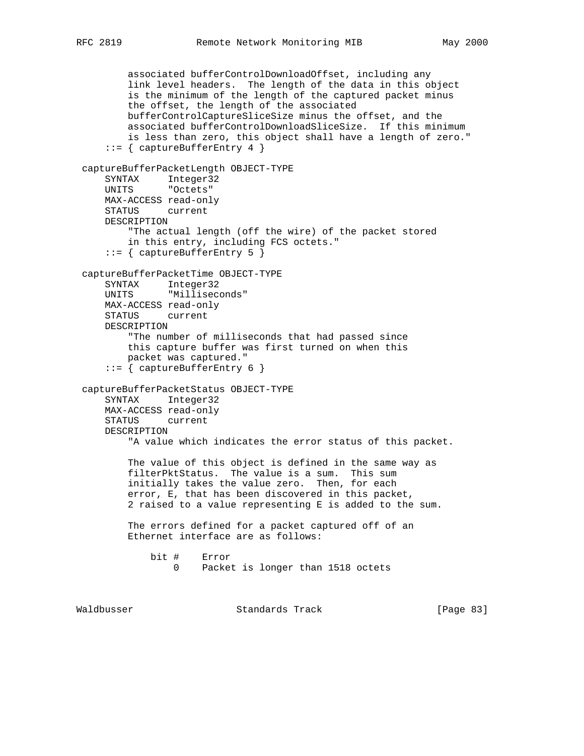associated bufferControlDownloadOffset, including any link level headers. The length of the data in this object is the minimum of the length of the captured packet minus the offset, the length of the associated bufferControlCaptureSliceSize minus the offset, and the associated bufferControlDownloadSliceSize. If this minimum is less than zero, this object shall have a length of zero."  $::=$  { captureBufferEntry 4 } captureBufferPacketLength OBJECT-TYPE SYNTAX Integer32 UNITS "Octets" MAX-ACCESS read-only STATUS current DESCRIPTION "The actual length (off the wire) of the packet stored in this entry, including FCS octets." ::= { captureBufferEntry 5 } captureBufferPacketTime OBJECT-TYPE SYNTAX Integer32 UNITS "Milliseconds" MAX-ACCESS read-only STATUS current DESCRIPTION "The number of milliseconds that had passed since this capture buffer was first turned on when this packet was captured." ::= { captureBufferEntry 6 } captureBufferPacketStatus OBJECT-TYPE SYNTAX Integer32 MAX-ACCESS read-only STATUS current DESCRIPTION "A value which indicates the error status of this packet. The value of this object is defined in the same way as filterPktStatus. The value is a sum. This sum initially takes the value zero. Then, for each error, E, that has been discovered in this packet, 2 raised to a value representing E is added to the sum. The errors defined for a packet captured off of an Ethernet interface are as follows: bit # Error 0 Packet is longer than 1518 octets Waldbusser Standards Track [Page 83]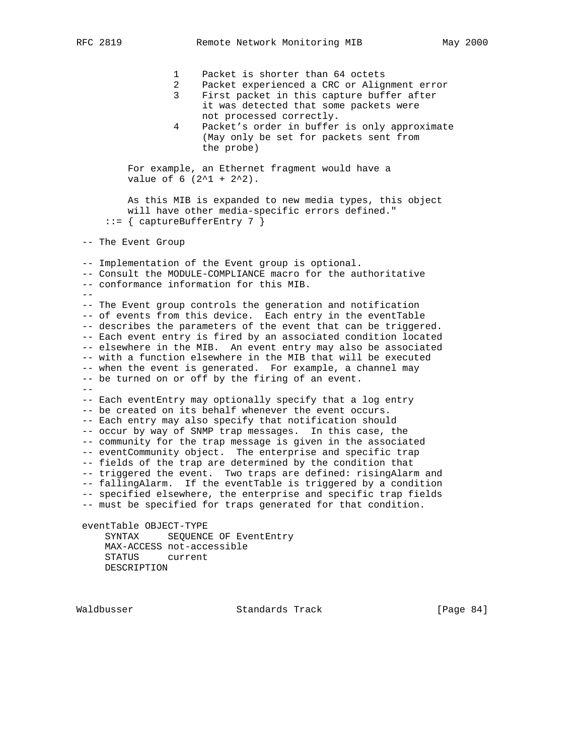1 Packet is shorter than 64 octets 2 Packet experienced a CRC or Alignment error 3 First packet in this capture buffer after it was detected that some packets were not processed correctly. 4 Packet's order in buffer is only approximate (May only be set for packets sent from the probe) For example, an Ethernet fragment would have a value of  $6 (2^1 + 2^2)$ . As this MIB is expanded to new media types, this object will have other media-specific errors defined." ::= { captureBufferEntry 7 } -- The Event Group -- Implementation of the Event group is optional. -- Consult the MODULE-COMPLIANCE macro for the authoritative -- conformance information for this MIB.  $-$  -- The Event group controls the generation and notification -- of events from this device. Each entry in the eventTable -- describes the parameters of the event that can be triggered. -- Each event entry is fired by an associated condition located -- elsewhere in the MIB. An event entry may also be associated -- with a function elsewhere in the MIB that will be executed -- when the event is generated. For example, a channel may -- be turned on or off by the firing of an event.  $-$  -- Each eventEntry may optionally specify that a log entry -- be created on its behalf whenever the event occurs. -- Each entry may also specify that notification should -- occur by way of SNMP trap messages. In this case, the -- community for the trap message is given in the associated -- eventCommunity object. The enterprise and specific trap -- fields of the trap are determined by the condition that -- triggered the event. Two traps are defined: risingAlarm and -- fallingAlarm. If the eventTable is triggered by a condition -- specified elsewhere, the enterprise and specific trap fields -- must be specified for traps generated for that condition. eventTable OBJECT-TYPE SYNTAX SEQUENCE OF EventEntry

 MAX-ACCESS not-accessible STATUS current DESCRIPTION

Waldbusser Standards Track [Page 84]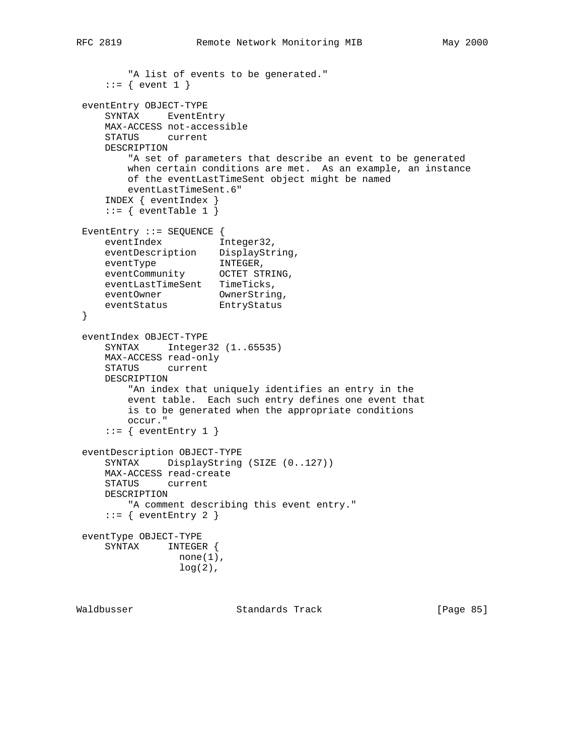```
 "A list of events to be generated."
```

```
::= { event 1 }
 eventEntry OBJECT-TYPE
     SYNTAX EventEntry
     MAX-ACCESS not-accessible
     STATUS current
     DESCRIPTION
         "A set of parameters that describe an event to be generated
         when certain conditions are met. As an example, an instance
         of the eventLastTimeSent object might be named
         eventLastTimeSent.6"
     INDEX { eventIndex }
    ::= { eventTable 1 }
 EventEntry ::= SEQUENCE {
     eventIndex Integer32,
     eventDescription DisplayString,
eventType INTEGER,
 eventCommunity OCTET STRING,
    eventLastTimeSent TimeTicks,
eventOwner OwnerString,
 eventStatus EntryStatus
 }
 eventIndex OBJECT-TYPE
     SYNTAX Integer32 (1..65535)
     MAX-ACCESS read-only
     STATUS current
     DESCRIPTION
         "An index that uniquely identifies an entry in the
         event table. Each such entry defines one event that
         is to be generated when the appropriate conditions
         occur."
    ::= { eventEntry 1 }
 eventDescription OBJECT-TYPE
     SYNTAX DisplayString (SIZE (0..127))
     MAX-ACCESS read-create
     STATUS current
     DESCRIPTION
        "A comment describing this event entry."
    ::= { eventEntry 2 }
 eventType OBJECT-TYPE
     SYNTAX INTEGER {
                none(1),
                log(2),
```
Waldbusser Standards Track [Page 85]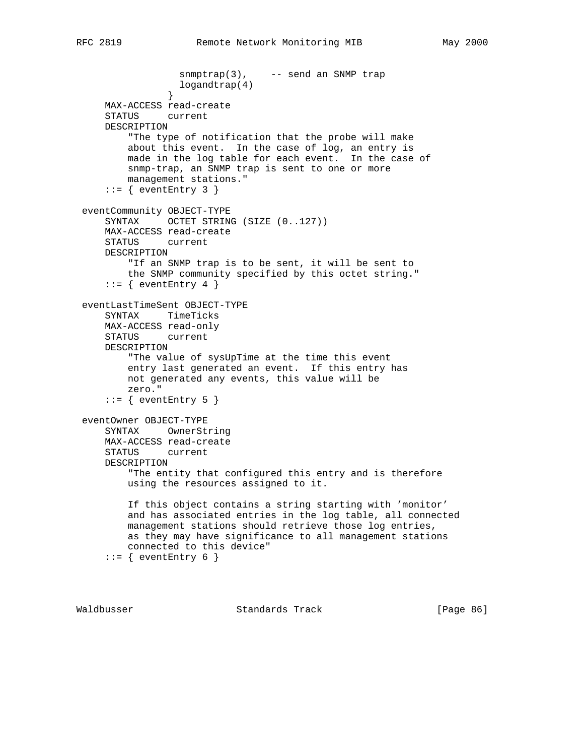```
snmptrap(3), -- send an SNMP trap
               logandtrap(4)<br>}
 }
     MAX-ACCESS read-create
     STATUS current
     DESCRIPTION
         "The type of notification that the probe will make
         about this event. In the case of log, an entry is
         made in the log table for each event. In the case of
         snmp-trap, an SNMP trap is sent to one or more
         management stations."
    ::= { eventEntry 3 }
 eventCommunity OBJECT-TYPE
     SYNTAX OCTET STRING (SIZE (0..127))
     MAX-ACCESS read-create
     STATUS current
     DESCRIPTION
         "If an SNMP trap is to be sent, it will be sent to
         the SNMP community specified by this octet string."
    ::= { eventEntry 4 }
 eventLastTimeSent OBJECT-TYPE
     SYNTAX TimeTicks
     MAX-ACCESS read-only
     STATUS current
     DESCRIPTION
         "The value of sysUpTime at the time this event
         entry last generated an event. If this entry has
         not generated any events, this value will be
         zero."
    ::= { eventEntry 5 }
 eventOwner OBJECT-TYPE
     SYNTAX OwnerString
     MAX-ACCESS read-create
     STATUS current
     DESCRIPTION
         "The entity that configured this entry and is therefore
         using the resources assigned to it.
         If this object contains a string starting with 'monitor'
         and has associated entries in the log table, all connected
         management stations should retrieve those log entries,
         as they may have significance to all management stations
         connected to this device"
    ::= { eventEntry 6 }
```
Waldbusser Standards Track [Page 86]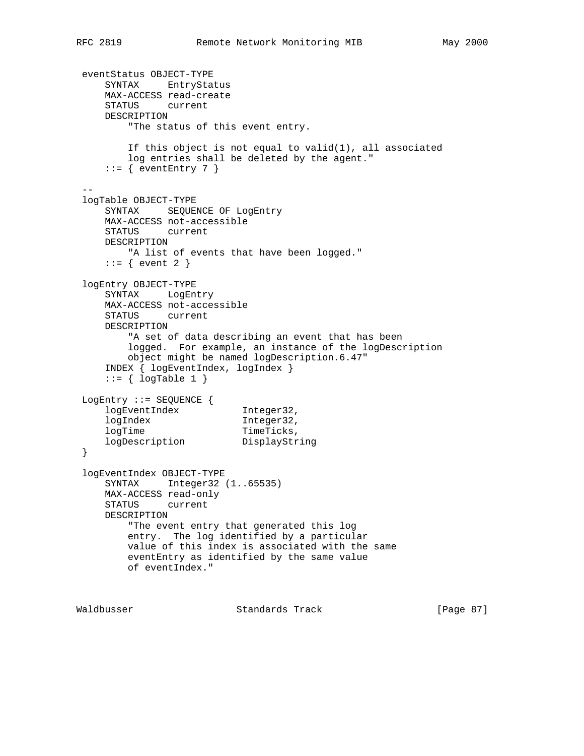```
 eventStatus OBJECT-TYPE
     SYNTAX EntryStatus
     MAX-ACCESS read-create
     STATUS current
     DESCRIPTION
         "The status of this event entry.
         If this object is not equal to valid(1), all associated
         log entries shall be deleted by the agent."
    ::= { eventEntry 7 }
 --
 logTable OBJECT-TYPE
     SYNTAX SEQUENCE OF LogEntry
     MAX-ACCESS not-accessible
     STATUS current
     DESCRIPTION
        "A list of events that have been logged."
    ::= { event 2 }
 logEntry OBJECT-TYPE
     SYNTAX LogEntry
     MAX-ACCESS not-accessible
     STATUS current
     DESCRIPTION
         "A set of data describing an event that has been
         logged. For example, an instance of the logDescription
         object might be named logDescription.6.47"
     INDEX { logEventIndex, logIndex }
    ::= { logTable 1 }
 LogEntry ::= SEQUENCE {
     logEventIndex Integer32,
     logIndex Integer32,
    logTime TimeTicks,
     logDescription DisplayString
 }
 logEventIndex OBJECT-TYPE
     SYNTAX Integer32 (1..65535)
     MAX-ACCESS read-only
     STATUS current
     DESCRIPTION
         "The event entry that generated this log
         entry. The log identified by a particular
         value of this index is associated with the same
         eventEntry as identified by the same value
         of eventIndex."
```
Waldbusser **Standards Track** [Page 87]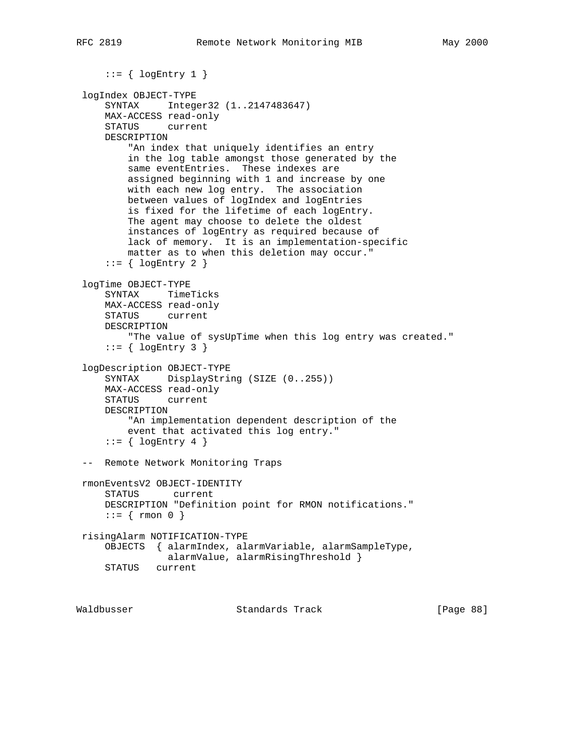```
::= \{ logEntry 1 \} logIndex OBJECT-TYPE
     SYNTAX Integer32 (1..2147483647)
     MAX-ACCESS read-only
     STATUS current
     DESCRIPTION
         "An index that uniquely identifies an entry
         in the log table amongst those generated by the
         same eventEntries. These indexes are
         assigned beginning with 1 and increase by one
         with each new log entry. The association
         between values of logIndex and logEntries
         is fixed for the lifetime of each logEntry.
         The agent may choose to delete the oldest
         instances of logEntry as required because of
         lack of memory. It is an implementation-specific
         matter as to when this deletion may occur."
    ::= \{ \text{logEntry 2 } \} logTime OBJECT-TYPE
     SYNTAX TimeTicks
    MAX-ACCESS read-only
     STATUS current
    DESCRIPTION
         "The value of sysUpTime when this log entry was created."
    ::= \{ logEntry 3 \} logDescription OBJECT-TYPE
     SYNTAX DisplayString (SIZE (0..255))
    MAX-ACCESS read-only
     STATUS current
    DESCRIPTION
         "An implementation dependent description of the
         event that activated this log entry."
    ::= \{ logEntry 4 }
 -- Remote Network Monitoring Traps
 rmonEventsV2 OBJECT-IDENTITY
     STATUS current
     DESCRIPTION "Definition point for RMON notifications."
    ::= { rmon 0 }
 risingAlarm NOTIFICATION-TYPE
     OBJECTS { alarmIndex, alarmVariable, alarmSampleType,
               alarmValue, alarmRisingThreshold }
     STATUS current
```
Waldbusser Standards Track [Page 88]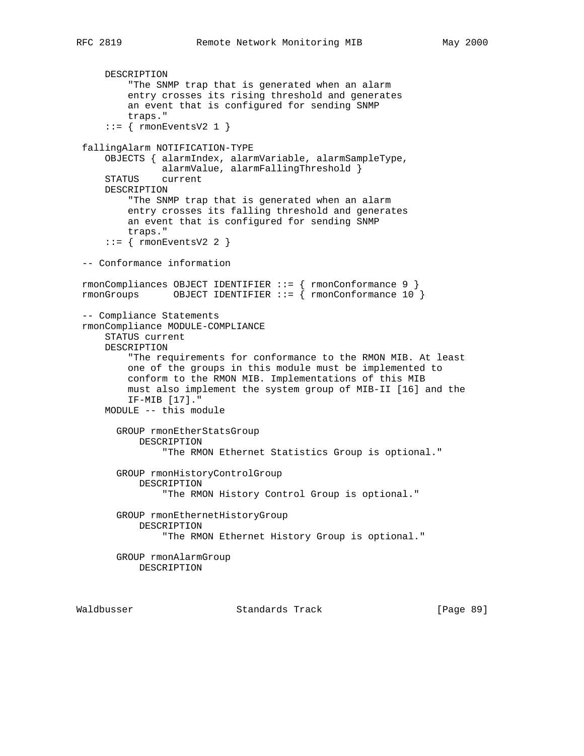```
 DESCRIPTION
         "The SNMP trap that is generated when an alarm
         entry crosses its rising threshold and generates
         an event that is configured for sending SNMP
         traps."
    ::= { rmonEventsV2 1 }
 fallingAlarm NOTIFICATION-TYPE
     OBJECTS { alarmIndex, alarmVariable, alarmSampleType,
               alarmValue, alarmFallingThreshold }
     STATUS current
     DESCRIPTION
         "The SNMP trap that is generated when an alarm
         entry crosses its falling threshold and generates
         an event that is configured for sending SNMP
         traps."
    ::= { rmonEventsV2 2 }
 -- Conformance information
 rmonCompliances OBJECT IDENTIFIER ::= { rmonConformance 9 }
 rmonGroups OBJECT IDENTIFIER ::= { rmonConformance 10 }
 -- Compliance Statements
 rmonCompliance MODULE-COMPLIANCE
     STATUS current
     DESCRIPTION
         "The requirements for conformance to the RMON MIB. At least
         one of the groups in this module must be implemented to
         conform to the RMON MIB. Implementations of this MIB
         must also implement the system group of MIB-II [16] and the
         IF-MIB [17]."
     MODULE -- this module
       GROUP rmonEtherStatsGroup
           DESCRIPTION
               "The RMON Ethernet Statistics Group is optional."
       GROUP rmonHistoryControlGroup
           DESCRIPTION
               "The RMON History Control Group is optional."
       GROUP rmonEthernetHistoryGroup
           DESCRIPTION
               "The RMON Ethernet History Group is optional."
       GROUP rmonAlarmGroup
           DESCRIPTION
```
Waldbusser Standards Track [Page 89]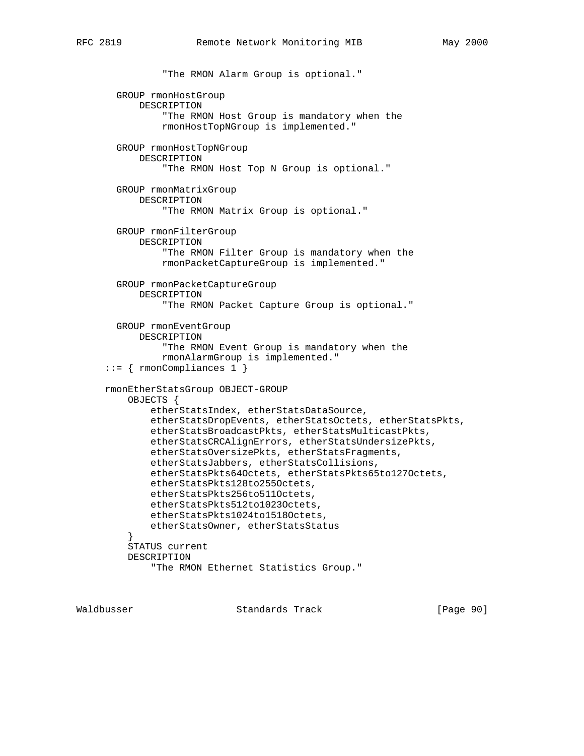"The RMON Alarm Group is optional." GROUP rmonHostGroup DESCRIPTION "The RMON Host Group is mandatory when the rmonHostTopNGroup is implemented." GROUP rmonHostTopNGroup DESCRIPTION "The RMON Host Top N Group is optional." GROUP rmonMatrixGroup DESCRIPTION "The RMON Matrix Group is optional." GROUP rmonFilterGroup DESCRIPTION "The RMON Filter Group is mandatory when the rmonPacketCaptureGroup is implemented." GROUP rmonPacketCaptureGroup DESCRIPTION "The RMON Packet Capture Group is optional." GROUP rmonEventGroup DESCRIPTION "The RMON Event Group is mandatory when the rmonAlarmGroup is implemented." ::= { rmonCompliances 1 } rmonEtherStatsGroup OBJECT-GROUP OBJECTS { etherStatsIndex, etherStatsDataSource, etherStatsDropEvents, etherStatsOctets, etherStatsPkts, etherStatsBroadcastPkts, etherStatsMulticastPkts, etherStatsCRCAlignErrors, etherStatsUndersizePkts, etherStatsOversizePkts, etherStatsFragments, etherStatsJabbers, etherStatsCollisions, etherStatsPkts64Octets, etherStatsPkts65to127Octets, etherStatsPkts128to255Octets, etherStatsPkts256to511Octets, etherStatsPkts512to1023Octets, etherStatsPkts1024to1518Octets, etherStatsOwner, etherStatsStatus } STATUS current DESCRIPTION "The RMON Ethernet Statistics Group."

Waldbusser Standards Track [Page 90]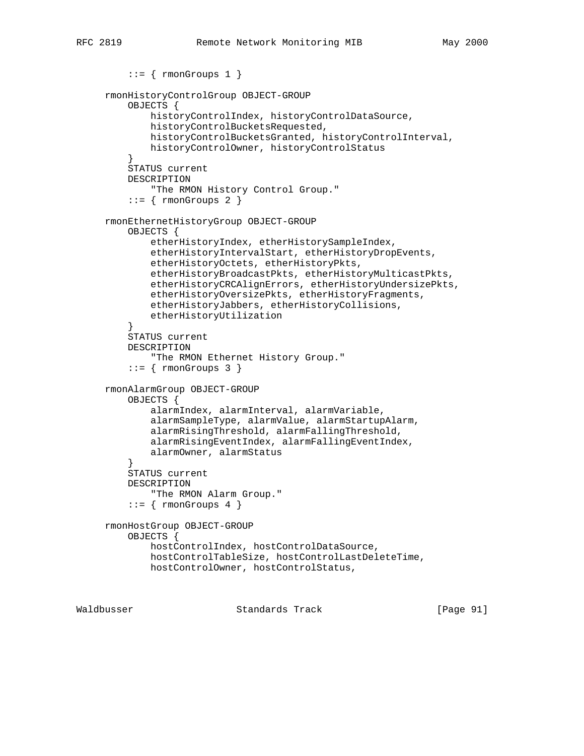```
::= { rmonGroups 1 }
     rmonHistoryControlGroup OBJECT-GROUP
         OBJECTS {
              historyControlIndex, historyControlDataSource,
              historyControlBucketsRequested,
              historyControlBucketsGranted, historyControlInterval,
          historyControlOwner, historyControlStatus
 }
         STATUS current
         DESCRIPTION
              "The RMON History Control Group."
         ::= { rmonGroups 2 }
     rmonEthernetHistoryGroup OBJECT-GROUP
         OBJECTS {
              etherHistoryIndex, etherHistorySampleIndex,
              etherHistoryIntervalStart, etherHistoryDropEvents,
              etherHistoryOctets, etherHistoryPkts,
              etherHistoryBroadcastPkts, etherHistoryMulticastPkts,
              etherHistoryCRCAlignErrors, etherHistoryUndersizePkts,
              etherHistoryOversizePkts, etherHistoryFragments,
              etherHistoryJabbers, etherHistoryCollisions,
              etherHistoryUtilization
 }
         STATUS current
         DESCRIPTION
              "The RMON Ethernet History Group."
         ::= { rmonGroups 3 }
     rmonAlarmGroup OBJECT-GROUP
         OBJECTS {
              alarmIndex, alarmInterval, alarmVariable,
              alarmSampleType, alarmValue, alarmStartupAlarm,
              alarmRisingThreshold, alarmFallingThreshold,
              alarmRisingEventIndex, alarmFallingEventIndex,
              alarmOwner, alarmStatus
 }
          STATUS current
         DESCRIPTION
             "The RMON Alarm Group."
         ::= { rmonGroups 4 }
     rmonHostGroup OBJECT-GROUP
         OBJECTS {
              hostControlIndex, hostControlDataSource,
              hostControlTableSize, hostControlLastDeleteTime,
             hostControlOwner, hostControlStatus,
```
Waldbusser **Standards Track** [Page 91]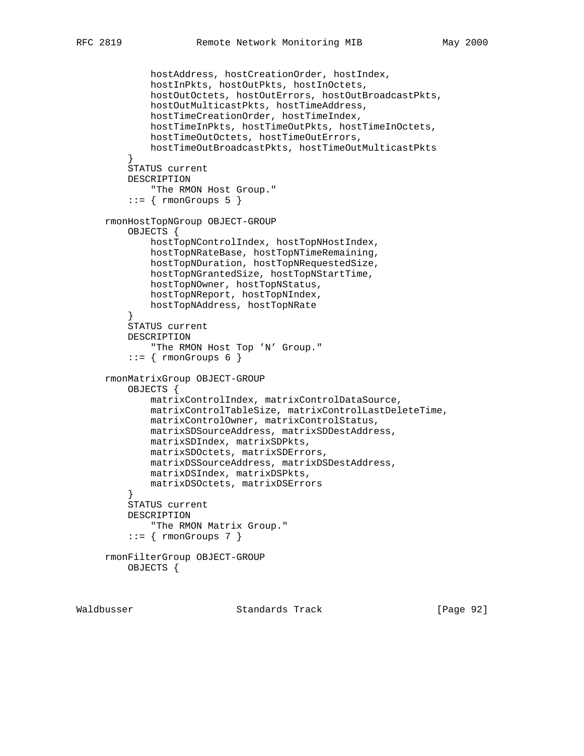```
 hostAddress, hostCreationOrder, hostIndex,
              hostInPkts, hostOutPkts, hostInOctets,
              hostOutOctets, hostOutErrors, hostOutBroadcastPkts,
              hostOutMulticastPkts, hostTimeAddress,
              hostTimeCreationOrder, hostTimeIndex,
              hostTimeInPkts, hostTimeOutPkts, hostTimeInOctets,
              hostTimeOutOctets, hostTimeOutErrors,
              hostTimeOutBroadcastPkts, hostTimeOutMulticastPkts
          }
          STATUS current
          DESCRIPTION
              "The RMON Host Group."
         ::= { rmonGroups 5 }
     rmonHostTopNGroup OBJECT-GROUP
          OBJECTS {
              hostTopNControlIndex, hostTopNHostIndex,
              hostTopNRateBase, hostTopNTimeRemaining,
              hostTopNDuration, hostTopNRequestedSize,
              hostTopNGrantedSize, hostTopNStartTime,
              hostTopNOwner, hostTopNStatus,
              hostTopNReport, hostTopNIndex,
             hostTopNAddress, hostTopNRate
 }
          STATUS current
          DESCRIPTION
              "The RMON Host Top 'N' Group."
         ::= { rmonGroups 6 }
     rmonMatrixGroup OBJECT-GROUP
         OBJECTS {
              matrixControlIndex, matrixControlDataSource,
              matrixControlTableSize, matrixControlLastDeleteTime,
              matrixControlOwner, matrixControlStatus,
             matrixSDSourceAddress, matrixSDDestAddress,
             matrixSDIndex, matrixSDPkts,
             matrixSDOctets, matrixSDErrors,
             matrixDSSourceAddress, matrixDSDestAddress,
             matrixDSIndex, matrixDSPkts,
             matrixDSOctets, matrixDSErrors
 }
          STATUS current
          DESCRIPTION
             "The RMON Matrix Group."
         ::= { rmonGroups 7 }
     rmonFilterGroup OBJECT-GROUP
         OBJECTS {
```
Waldbusser Standards Track [Page 92]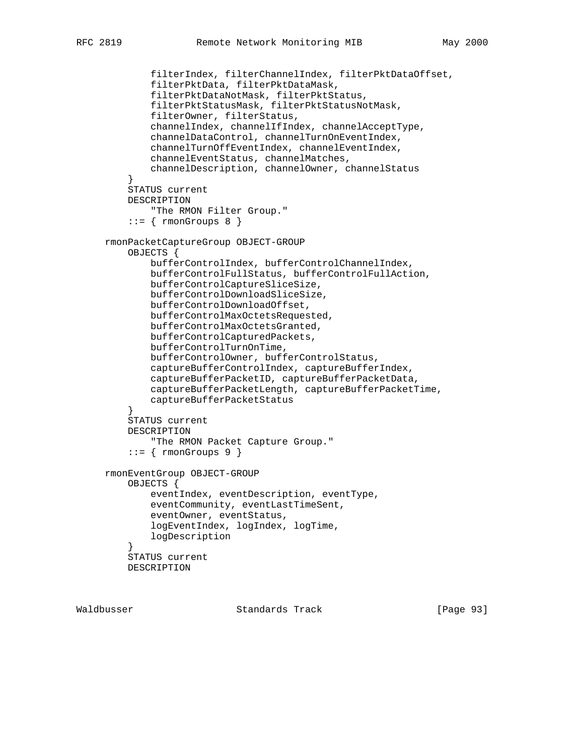```
 filterIndex, filterChannelIndex, filterPktDataOffset,
              filterPktData, filterPktDataMask,
              filterPktDataNotMask, filterPktStatus,
              filterPktStatusMask, filterPktStatusNotMask,
              filterOwner, filterStatus,
              channelIndex, channelIfIndex, channelAcceptType,
              channelDataControl, channelTurnOnEventIndex,
              channelTurnOffEventIndex, channelEventIndex,
              channelEventStatus, channelMatches,
              channelDescription, channelOwner, channelStatus
 }
         STATUS current
         DESCRIPTION
             "The RMON Filter Group."
         ::= { rmonGroups 8 }
     rmonPacketCaptureGroup OBJECT-GROUP
         OBJECTS {
             bufferControlIndex, bufferControlChannelIndex,
              bufferControlFullStatus, bufferControlFullAction,
              bufferControlCaptureSliceSize,
              bufferControlDownloadSliceSize,
              bufferControlDownloadOffset,
              bufferControlMaxOctetsRequested,
              bufferControlMaxOctetsGranted,
              bufferControlCapturedPackets,
              bufferControlTurnOnTime,
              bufferControlOwner, bufferControlStatus,
              captureBufferControlIndex, captureBufferIndex,
              captureBufferPacketID, captureBufferPacketData,
              captureBufferPacketLength, captureBufferPacketTime,
          captureBufferPacketStatus
 }
         STATUS current
         DESCRIPTION
              "The RMON Packet Capture Group."
         ::= { rmonGroups 9 }
     rmonEventGroup OBJECT-GROUP
         OBJECTS {
              eventIndex, eventDescription, eventType,
              eventCommunity, eventLastTimeSent,
              eventOwner, eventStatus,
              logEventIndex, logIndex, logTime,
              logDescription
 }
         STATUS current
         DESCRIPTION
```
Waldbusser Standards Track [Page 93]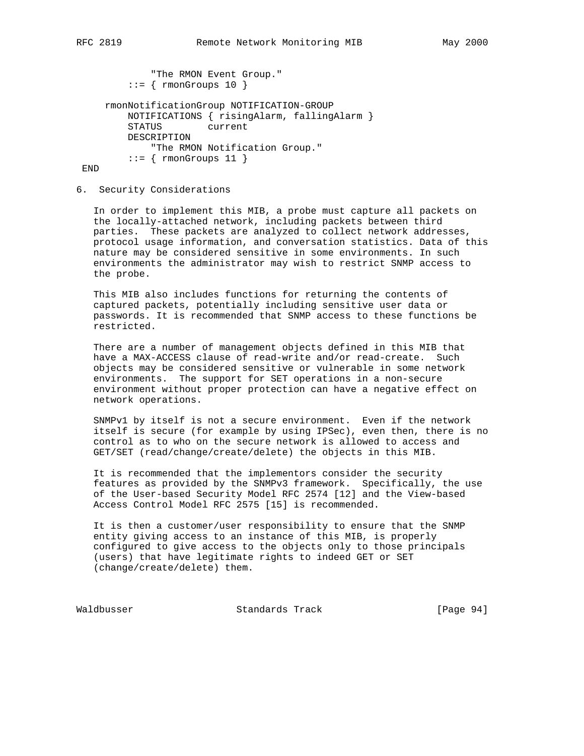```
 "The RMON Event Group."
    ::= { rmonGroups 10 }
 rmonNotificationGroup NOTIFICATION-GROUP
     NOTIFICATIONS { risingAlarm, fallingAlarm }
     STATUS current
    DESCRIPTION
        "The RMON Notification Group."
    ::= { rmonGroups 11 }
```
END

6. Security Considerations

 In order to implement this MIB, a probe must capture all packets on the locally-attached network, including packets between third parties. These packets are analyzed to collect network addresses, protocol usage information, and conversation statistics. Data of this nature may be considered sensitive in some environments. In such environments the administrator may wish to restrict SNMP access to the probe.

 This MIB also includes functions for returning the contents of captured packets, potentially including sensitive user data or passwords. It is recommended that SNMP access to these functions be restricted.

 There are a number of management objects defined in this MIB that have a MAX-ACCESS clause of read-write and/or read-create. Such objects may be considered sensitive or vulnerable in some network environments. The support for SET operations in a non-secure environment without proper protection can have a negative effect on network operations.

 SNMPv1 by itself is not a secure environment. Even if the network itself is secure (for example by using IPSec), even then, there is no control as to who on the secure network is allowed to access and GET/SET (read/change/create/delete) the objects in this MIB.

 It is recommended that the implementors consider the security features as provided by the SNMPv3 framework. Specifically, the use of the User-based Security Model RFC 2574 [12] and the View-based Access Control Model RFC 2575 [15] is recommended.

 It is then a customer/user responsibility to ensure that the SNMP entity giving access to an instance of this MIB, is properly configured to give access to the objects only to those principals (users) that have legitimate rights to indeed GET or SET (change/create/delete) them.

Waldbusser Standards Track [Page 94]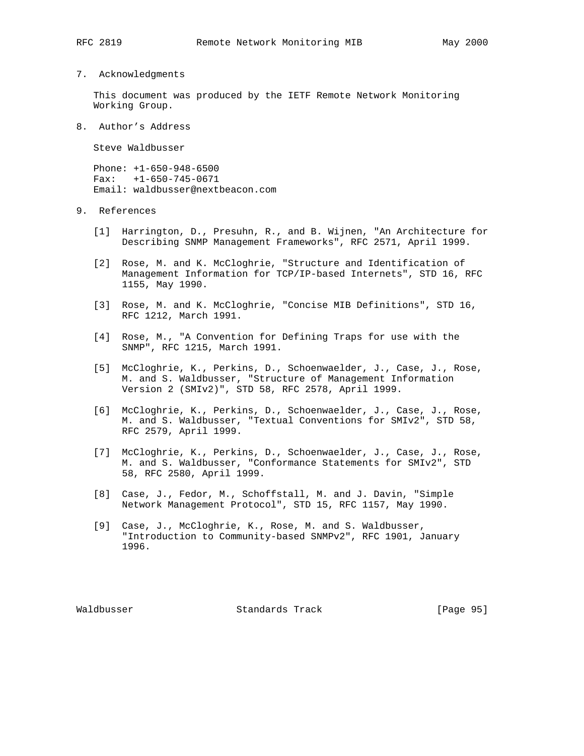7. Acknowledgments

 This document was produced by the IETF Remote Network Monitoring Working Group.

8. Author's Address

Steve Waldbusser

 Phone: +1-650-948-6500 Fax: +1-650-745-0671 Email: waldbusser@nextbeacon.com

- 9. References
	- [1] Harrington, D., Presuhn, R., and B. Wijnen, "An Architecture for Describing SNMP Management Frameworks", RFC 2571, April 1999.
	- [2] Rose, M. and K. McCloghrie, "Structure and Identification of Management Information for TCP/IP-based Internets", STD 16, RFC 1155, May 1990.
	- [3] Rose, M. and K. McCloghrie, "Concise MIB Definitions", STD 16, RFC 1212, March 1991.
	- [4] Rose, M., "A Convention for Defining Traps for use with the SNMP", RFC 1215, March 1991.
	- [5] McCloghrie, K., Perkins, D., Schoenwaelder, J., Case, J., Rose, M. and S. Waldbusser, "Structure of Management Information Version 2 (SMIv2)", STD 58, RFC 2578, April 1999.
	- [6] McCloghrie, K., Perkins, D., Schoenwaelder, J., Case, J., Rose, M. and S. Waldbusser, "Textual Conventions for SMIv2", STD 58, RFC 2579, April 1999.
	- [7] McCloghrie, K., Perkins, D., Schoenwaelder, J., Case, J., Rose, M. and S. Waldbusser, "Conformance Statements for SMIv2", STD 58, RFC 2580, April 1999.
	- [8] Case, J., Fedor, M., Schoffstall, M. and J. Davin, "Simple Network Management Protocol", STD 15, RFC 1157, May 1990.
	- [9] Case, J., McCloghrie, K., Rose, M. and S. Waldbusser, "Introduction to Community-based SNMPv2", RFC 1901, January 1996.

Waldbusser Standards Track [Page 95]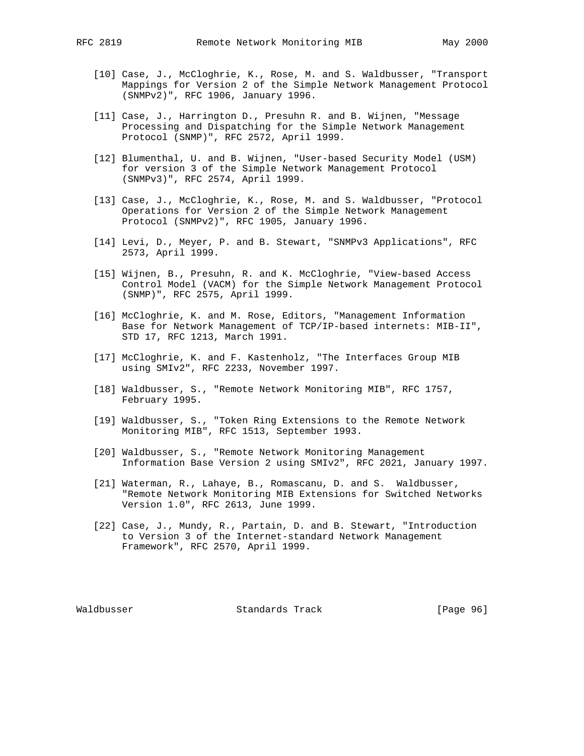- [10] Case, J., McCloghrie, K., Rose, M. and S. Waldbusser, "Transport Mappings for Version 2 of the Simple Network Management Protocol (SNMPv2)", RFC 1906, January 1996.
- [11] Case, J., Harrington D., Presuhn R. and B. Wijnen, "Message Processing and Dispatching for the Simple Network Management Protocol (SNMP)", RFC 2572, April 1999.
- [12] Blumenthal, U. and B. Wijnen, "User-based Security Model (USM) for version 3 of the Simple Network Management Protocol (SNMPv3)", RFC 2574, April 1999.
- [13] Case, J., McCloghrie, K., Rose, M. and S. Waldbusser, "Protocol Operations for Version 2 of the Simple Network Management Protocol (SNMPv2)", RFC 1905, January 1996.
- [14] Levi, D., Meyer, P. and B. Stewart, "SNMPv3 Applications", RFC 2573, April 1999.
- [15] Wijnen, B., Presuhn, R. and K. McCloghrie, "View-based Access Control Model (VACM) for the Simple Network Management Protocol (SNMP)", RFC 2575, April 1999.
- [16] McCloghrie, K. and M. Rose, Editors, "Management Information Base for Network Management of TCP/IP-based internets: MIB-II", STD 17, RFC 1213, March 1991.
- [17] McCloghrie, K. and F. Kastenholz, "The Interfaces Group MIB using SMIv2", RFC 2233, November 1997.
- [18] Waldbusser, S., "Remote Network Monitoring MIB", RFC 1757, February 1995.
- [19] Waldbusser, S., "Token Ring Extensions to the Remote Network Monitoring MIB", RFC 1513, September 1993.
- [20] Waldbusser, S., "Remote Network Monitoring Management Information Base Version 2 using SMIv2", RFC 2021, January 1997.
- [21] Waterman, R., Lahaye, B., Romascanu, D. and S. Waldbusser, "Remote Network Monitoring MIB Extensions for Switched Networks Version 1.0", RFC 2613, June 1999.
- [22] Case, J., Mundy, R., Partain, D. and B. Stewart, "Introduction to Version 3 of the Internet-standard Network Management Framework", RFC 2570, April 1999.

Waldbusser Standards Track [Page 96]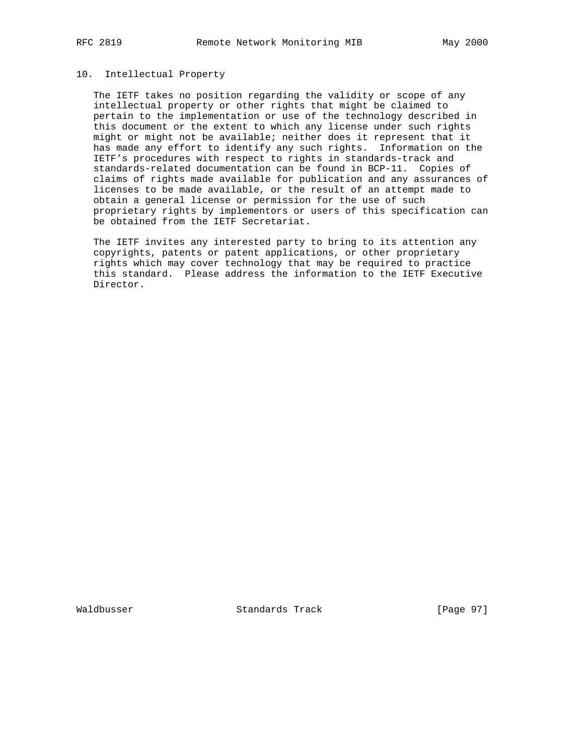## 10. Intellectual Property

 The IETF takes no position regarding the validity or scope of any intellectual property or other rights that might be claimed to pertain to the implementation or use of the technology described in this document or the extent to which any license under such rights might or might not be available; neither does it represent that it has made any effort to identify any such rights. Information on the IETF's procedures with respect to rights in standards-track and standards-related documentation can be found in BCP-11. Copies of claims of rights made available for publication and any assurances of licenses to be made available, or the result of an attempt made to obtain a general license or permission for the use of such proprietary rights by implementors or users of this specification can be obtained from the IETF Secretariat.

 The IETF invites any interested party to bring to its attention any copyrights, patents or patent applications, or other proprietary rights which may cover technology that may be required to practice this standard. Please address the information to the IETF Executive Director.

Waldbusser Standards Track [Page 97]